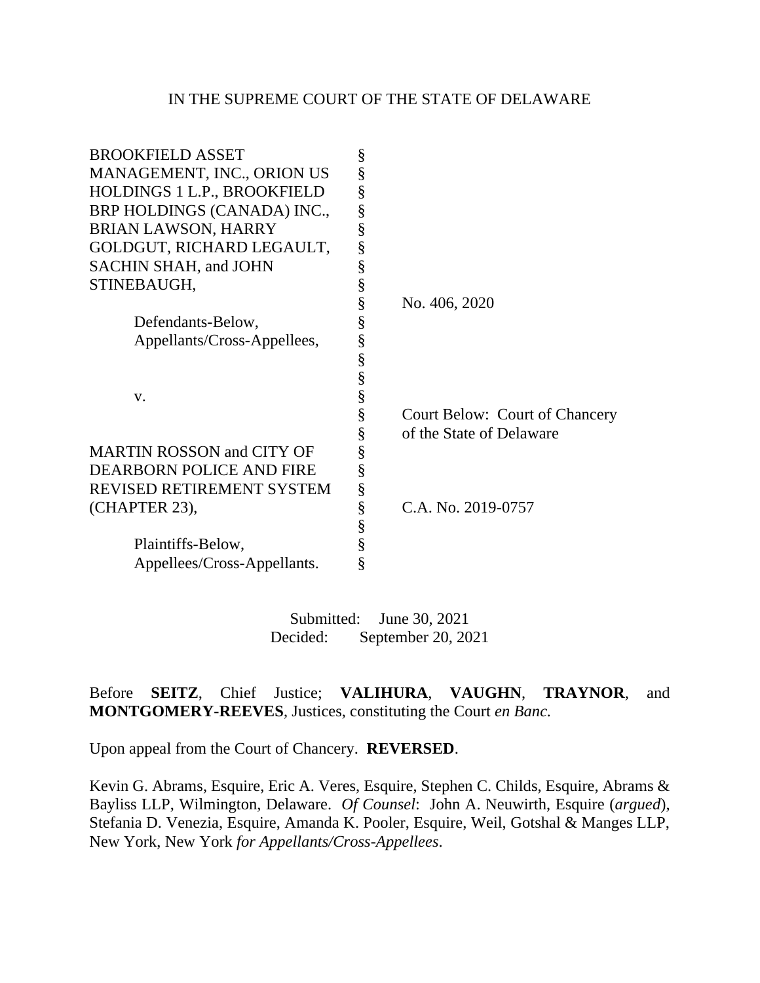#### IN THE SUPREME COURT OF THE STATE OF DELAWARE

| <b>BROOKFIELD ASSET</b>          | § |                                |
|----------------------------------|---|--------------------------------|
| MANAGEMENT, INC., ORION US       | § |                                |
| HOLDINGS 1 L.P., BROOKFIELD      | § |                                |
| BRP HOLDINGS (CANADA) INC.,      | § |                                |
| <b>BRIAN LAWSON, HARRY</b>       | § |                                |
| GOLDGUT, RICHARD LEGAULT,        | ş |                                |
| SACHIN SHAH, and JOHN            | § |                                |
| STINEBAUGH,                      | § |                                |
|                                  | § | No. 406, 2020                  |
| Defendants-Below,                | § |                                |
| Appellants/Cross-Appellees,      | § |                                |
|                                  | § |                                |
|                                  | § |                                |
| V.                               | § |                                |
|                                  | ş | Court Below: Court of Chancery |
|                                  | § | of the State of Delaware       |
| <b>MARTIN ROSSON and CITY OF</b> | § |                                |
| <b>DEARBORN POLICE AND FIRE</b>  | § |                                |
| REVISED RETIREMENT SYSTEM        | § |                                |
| (CHAPTER 23),                    | § | C.A. No. 2019-0757             |
|                                  | § |                                |
| Plaintiffs-Below,                | § |                                |
| Appellees/Cross-Appellants.      | § |                                |
|                                  |   |                                |

Submitted: June 30, 2021 Decided: September 20, 2021

Before **SEITZ**, Chief Justice; **VALIHURA**, **VAUGHN**, **TRAYNOR**, and **MONTGOMERY-REEVES**, Justices, constituting the Court *en Banc.*

Upon appeal from the Court of Chancery. **REVERSED**.

Kevin G. Abrams, Esquire, Eric A. Veres, Esquire, Stephen C. Childs, Esquire, Abrams & Bayliss LLP, Wilmington, Delaware. *Of Counsel*: John A. Neuwirth, Esquire (*argued*), Stefania D. Venezia, Esquire, Amanda K. Pooler, Esquire, Weil, Gotshal & Manges LLP, New York, New York *for Appellants/Cross-Appellees*.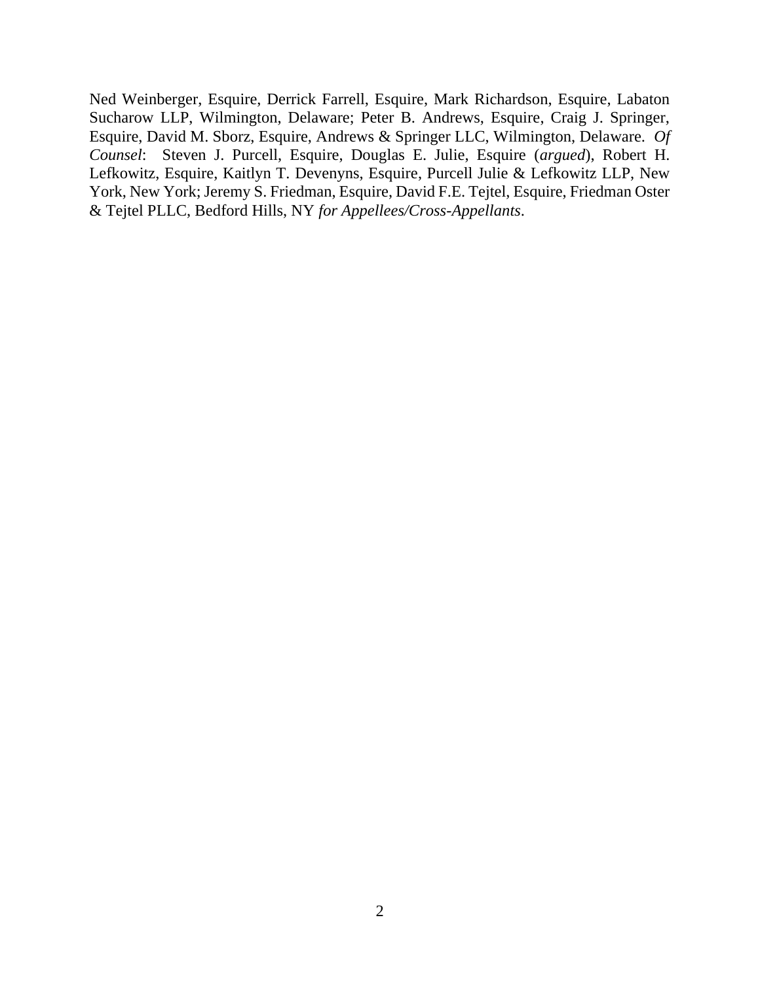Ned Weinberger, Esquire, Derrick Farrell, Esquire, Mark Richardson, Esquire, Labaton Sucharow LLP, Wilmington, Delaware; Peter B. Andrews, Esquire, Craig J. Springer, Esquire, David M. Sborz, Esquire, Andrews & Springer LLC, Wilmington, Delaware. *Of Counsel*: Steven J. Purcell, Esquire, Douglas E. Julie, Esquire (*argued*), Robert H. Lefkowitz, Esquire, Kaitlyn T. Devenyns, Esquire, Purcell Julie & Lefkowitz LLP, New York, New York; Jeremy S. Friedman, Esquire, David F.E. Tejtel, Esquire, Friedman Oster & Tejtel PLLC, Bedford Hills, NY *for Appellees/Cross-Appellants*.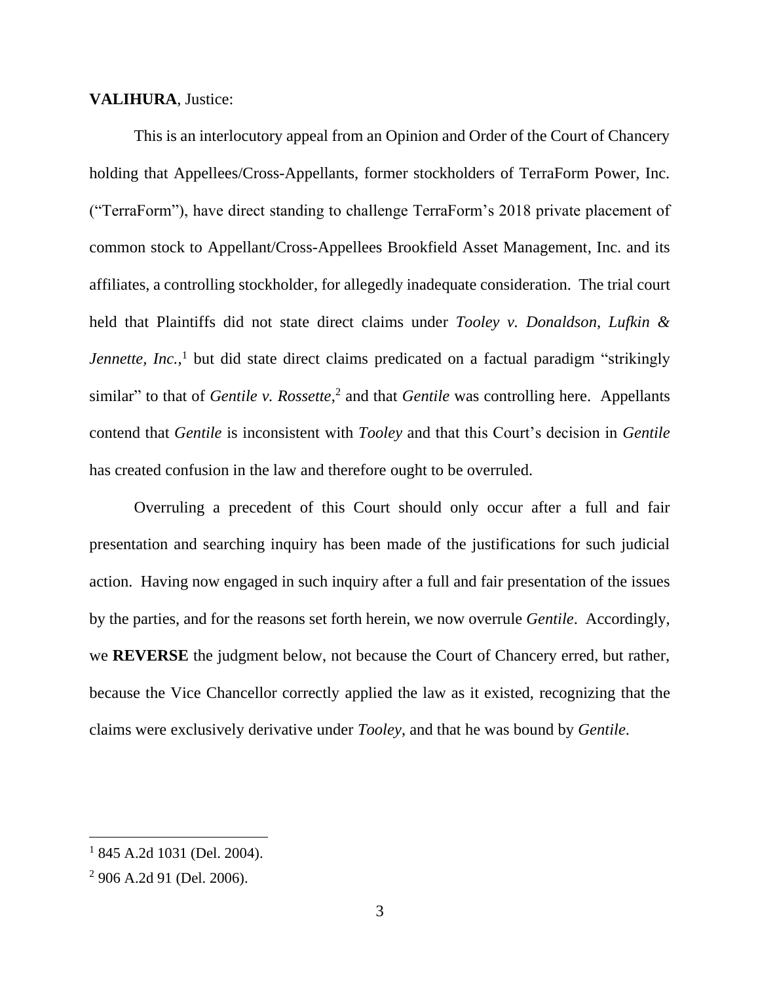#### **VALIHURA**, Justice:

This is an interlocutory appeal from an Opinion and Order of the Court of Chancery holding that Appellees/Cross-Appellants, former stockholders of TerraForm Power, Inc. ("TerraForm"), have direct standing to challenge TerraForm's 2018 private placement of common stock to Appellant/Cross-Appellees Brookfield Asset Management, Inc. and its affiliates, a controlling stockholder, for allegedly inadequate consideration. The trial court held that Plaintiffs did not state direct claims under *Tooley v. Donaldson, Lufkin &*  Jennette, Inc.,<sup>1</sup> but did state direct claims predicated on a factual paradigm "strikingly similar" to that of *Gentile v. Rossette*,<sup>2</sup> and that *Gentile* was controlling here. Appellants contend that *Gentile* is inconsistent with *Tooley* and that this Court's decision in *Gentile*  has created confusion in the law and therefore ought to be overruled.

Overruling a precedent of this Court should only occur after a full and fair presentation and searching inquiry has been made of the justifications for such judicial action. Having now engaged in such inquiry after a full and fair presentation of the issues by the parties, and for the reasons set forth herein, we now overrule *Gentile*. Accordingly, we **REVERSE** the judgment below, not because the Court of Chancery erred, but rather, because the Vice Chancellor correctly applied the law as it existed, recognizing that the claims were exclusively derivative under *Tooley*, and that he was bound by *Gentile*.

<sup>1</sup> 845 A.2d 1031 (Del. 2004).

<sup>2</sup> 906 A.2d 91 (Del. 2006).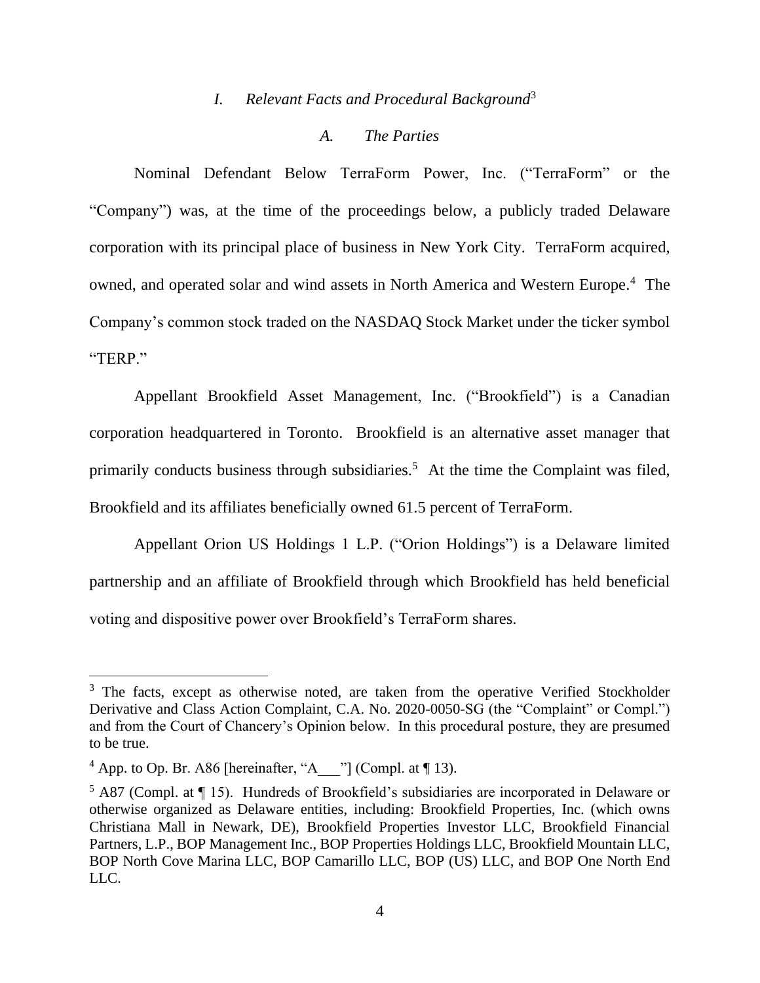# *I. Relevant Facts and Procedural Background*<sup>3</sup>

#### *A. The Parties*

Nominal Defendant Below TerraForm Power, Inc. ("TerraForm" or the "Company") was, at the time of the proceedings below, a publicly traded Delaware corporation with its principal place of business in New York City. TerraForm acquired, owned, and operated solar and wind assets in North America and Western Europe.<sup>4</sup> The Company's common stock traded on the NASDAQ Stock Market under the ticker symbol "TERP."

Appellant Brookfield Asset Management, Inc. ("Brookfield") is a Canadian corporation headquartered in Toronto. Brookfield is an alternative asset manager that primarily conducts business through subsidiaries.<sup>5</sup> At the time the Complaint was filed, Brookfield and its affiliates beneficially owned 61.5 percent of TerraForm.

Appellant Orion US Holdings 1 L.P. ("Orion Holdings") is a Delaware limited partnership and an affiliate of Brookfield through which Brookfield has held beneficial voting and dispositive power over Brookfield's TerraForm shares.

<sup>&</sup>lt;sup>3</sup> The facts, except as otherwise noted, are taken from the operative Verified Stockholder Derivative and Class Action Complaint, C.A. No. 2020-0050-SG (the "Complaint" or Compl.") and from the Court of Chancery's Opinion below. In this procedural posture, they are presumed to be true.

<sup>&</sup>lt;sup>4</sup> App. to Op. Br. A86 [hereinafter, "A\_\_\_"] (Compl. at ¶ 13).

<sup>5</sup> A87 (Compl. at ¶ 15). Hundreds of Brookfield's subsidiaries are incorporated in Delaware or otherwise organized as Delaware entities, including: Brookfield Properties, Inc. (which owns Christiana Mall in Newark, DE), Brookfield Properties Investor LLC, Brookfield Financial Partners, L.P., BOP Management Inc., BOP Properties Holdings LLC, Brookfield Mountain LLC, BOP North Cove Marina LLC, BOP Camarillo LLC, BOP (US) LLC, and BOP One North End LLC.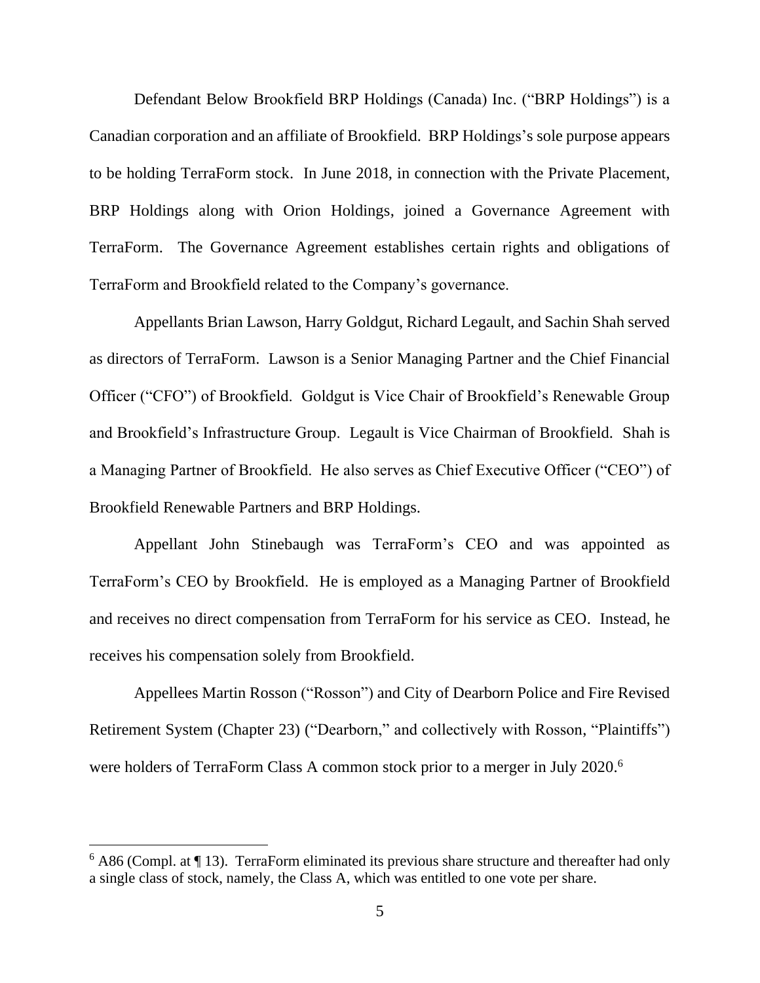Defendant Below Brookfield BRP Holdings (Canada) Inc. ("BRP Holdings") is a Canadian corporation and an affiliate of Brookfield. BRP Holdings's sole purpose appears to be holding TerraForm stock. In June 2018, in connection with the Private Placement, BRP Holdings along with Orion Holdings, joined a Governance Agreement with TerraForm. The Governance Agreement establishes certain rights and obligations of TerraForm and Brookfield related to the Company's governance.

Appellants Brian Lawson, Harry Goldgut, Richard Legault, and Sachin Shah served as directors of TerraForm. Lawson is a Senior Managing Partner and the Chief Financial Officer ("CFO") of Brookfield. Goldgut is Vice Chair of Brookfield's Renewable Group and Brookfield's Infrastructure Group. Legault is Vice Chairman of Brookfield. Shah is a Managing Partner of Brookfield. He also serves as Chief Executive Officer ("CEO") of Brookfield Renewable Partners and BRP Holdings.

Appellant John Stinebaugh was TerraForm's CEO and was appointed as TerraForm's CEO by Brookfield. He is employed as a Managing Partner of Brookfield and receives no direct compensation from TerraForm for his service as CEO. Instead, he receives his compensation solely from Brookfield.

Appellees Martin Rosson ("Rosson") and City of Dearborn Police and Fire Revised Retirement System (Chapter 23) ("Dearborn," and collectively with Rosson, "Plaintiffs") were holders of TerraForm Class A common stock prior to a merger in July 2020. 6

 $6$  A86 (Compl. at  $\P$  13). TerraForm eliminated its previous share structure and thereafter had only a single class of stock, namely, the Class A, which was entitled to one vote per share.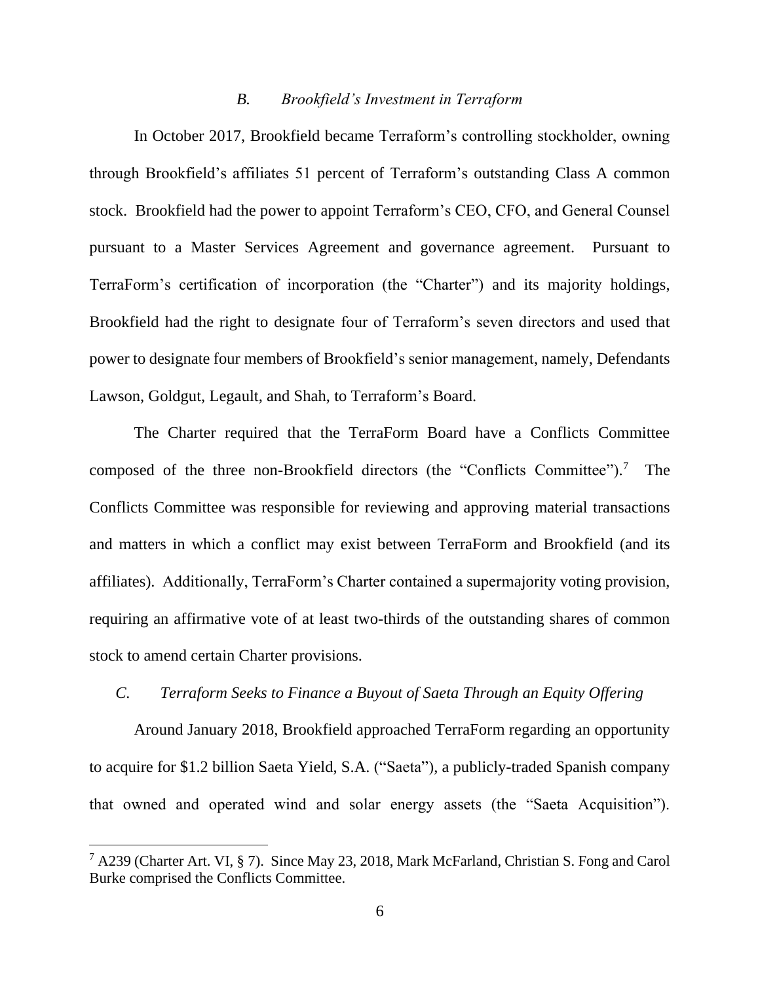#### *B. Brookfield's Investment in Terraform*

In October 2017, Brookfield became Terraform's controlling stockholder, owning through Brookfield's affiliates 51 percent of Terraform's outstanding Class A common stock. Brookfield had the power to appoint Terraform's CEO, CFO, and General Counsel pursuant to a Master Services Agreement and governance agreement. Pursuant to TerraForm's certification of incorporation (the "Charter") and its majority holdings, Brookfield had the right to designate four of Terraform's seven directors and used that power to designate four members of Brookfield's senior management, namely, Defendants Lawson, Goldgut, Legault, and Shah, to Terraform's Board.

The Charter required that the TerraForm Board have a Conflicts Committee composed of the three non-Brookfield directors (the "Conflicts Committee"). <sup>7</sup> The Conflicts Committee was responsible for reviewing and approving material transactions and matters in which a conflict may exist between TerraForm and Brookfield (and its affiliates). Additionally, TerraForm's Charter contained a supermajority voting provision, requiring an affirmative vote of at least two-thirds of the outstanding shares of common stock to amend certain Charter provisions.

## *C. Terraform Seeks to Finance a Buyout of Saeta Through an Equity Offering*

Around January 2018, Brookfield approached TerraForm regarding an opportunity to acquire for \$1.2 billion Saeta Yield, S.A. ("Saeta"), a publicly-traded Spanish company that owned and operated wind and solar energy assets (the "Saeta Acquisition").

<sup>7</sup> A239 (Charter Art. VI, § 7). Since May 23, 2018, Mark McFarland, Christian S. Fong and Carol Burke comprised the Conflicts Committee.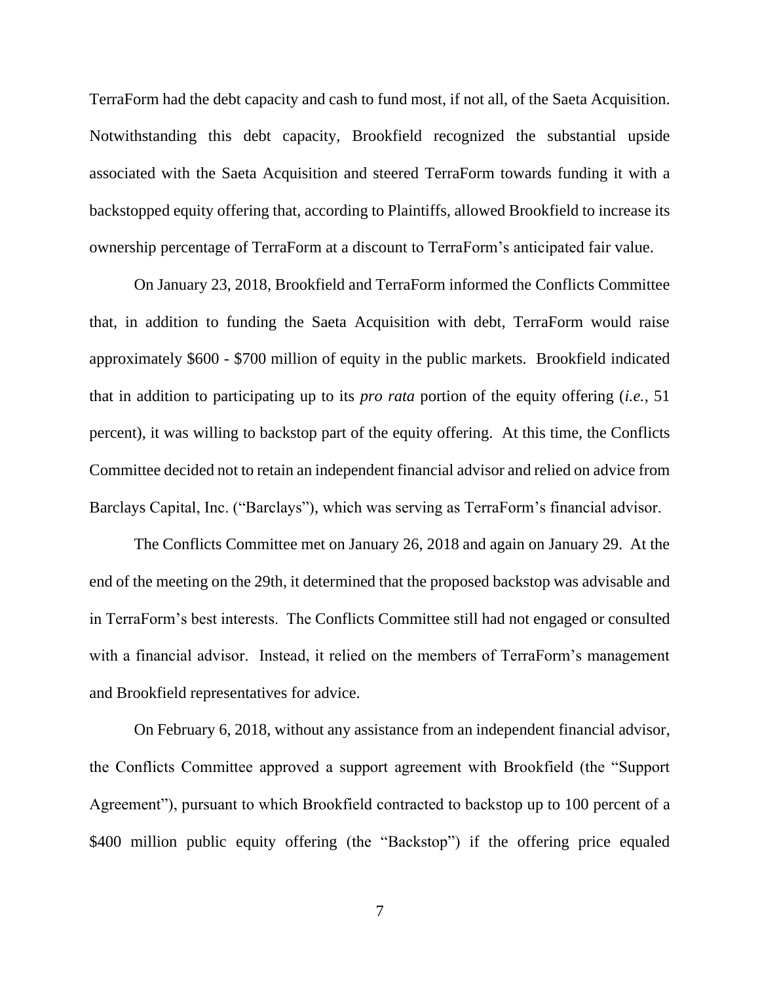TerraForm had the debt capacity and cash to fund most, if not all, of the Saeta Acquisition. Notwithstanding this debt capacity, Brookfield recognized the substantial upside associated with the Saeta Acquisition and steered TerraForm towards funding it with a backstopped equity offering that, according to Plaintiffs, allowed Brookfield to increase its ownership percentage of TerraForm at a discount to TerraForm's anticipated fair value.

On January 23, 2018, Brookfield and TerraForm informed the Conflicts Committee that, in addition to funding the Saeta Acquisition with debt, TerraForm would raise approximately \$600 - \$700 million of equity in the public markets. Brookfield indicated that in addition to participating up to its *pro rata* portion of the equity offering (*i.e.*, 51 percent), it was willing to backstop part of the equity offering. At this time, the Conflicts Committee decided not to retain an independent financial advisor and relied on advice from Barclays Capital, Inc. ("Barclays"), which was serving as TerraForm's financial advisor.

The Conflicts Committee met on January 26, 2018 and again on January 29. At the end of the meeting on the 29th, it determined that the proposed backstop was advisable and in TerraForm's best interests. The Conflicts Committee still had not engaged or consulted with a financial advisor. Instead, it relied on the members of TerraForm's management and Brookfield representatives for advice.

On February 6, 2018, without any assistance from an independent financial advisor, the Conflicts Committee approved a support agreement with Brookfield (the "Support Agreement"), pursuant to which Brookfield contracted to backstop up to 100 percent of a \$400 million public equity offering (the "Backstop") if the offering price equaled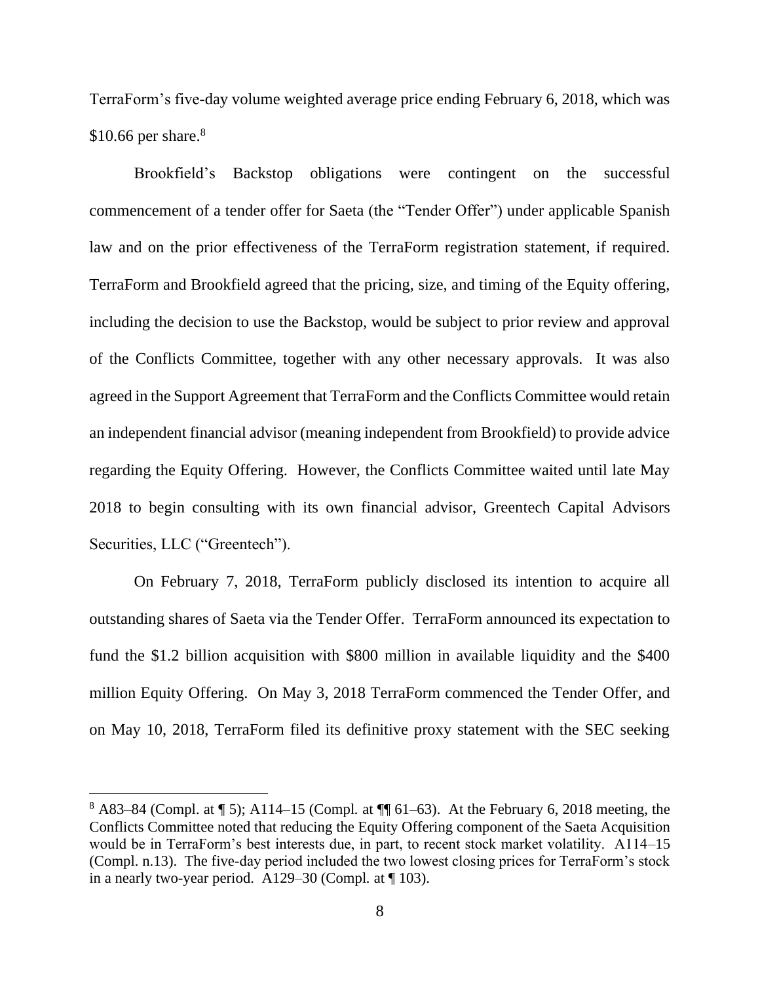TerraForm's five-day volume weighted average price ending February 6, 2018, which was  $$10.66$  per share.<sup>8</sup>

Brookfield's Backstop obligations were contingent on the successful commencement of a tender offer for Saeta (the "Tender Offer") under applicable Spanish law and on the prior effectiveness of the TerraForm registration statement, if required. TerraForm and Brookfield agreed that the pricing, size, and timing of the Equity offering, including the decision to use the Backstop, would be subject to prior review and approval of the Conflicts Committee, together with any other necessary approvals. It was also agreed in the Support Agreement that TerraForm and the Conflicts Committee would retain an independent financial advisor (meaning independent from Brookfield) to provide advice regarding the Equity Offering. However, the Conflicts Committee waited until late May 2018 to begin consulting with its own financial advisor, Greentech Capital Advisors Securities, LLC ("Greentech").

On February 7, 2018, TerraForm publicly disclosed its intention to acquire all outstanding shares of Saeta via the Tender Offer. TerraForm announced its expectation to fund the \$1.2 billion acquisition with \$800 million in available liquidity and the \$400 million Equity Offering. On May 3, 2018 TerraForm commenced the Tender Offer, and on May 10, 2018, TerraForm filed its definitive proxy statement with the SEC seeking

 $8$  A83–84 (Compl. at  $\P$  5); A114–15 (Compl. at  $\P$  $[61–63)$ . At the February 6, 2018 meeting, the Conflicts Committee noted that reducing the Equity Offering component of the Saeta Acquisition would be in TerraForm's best interests due, in part, to recent stock market volatility. A114–15 (Compl. n.13). The five-day period included the two lowest closing prices for TerraForm's stock in a nearly two-year period. A129–30 (Compl*.* at ¶ 103).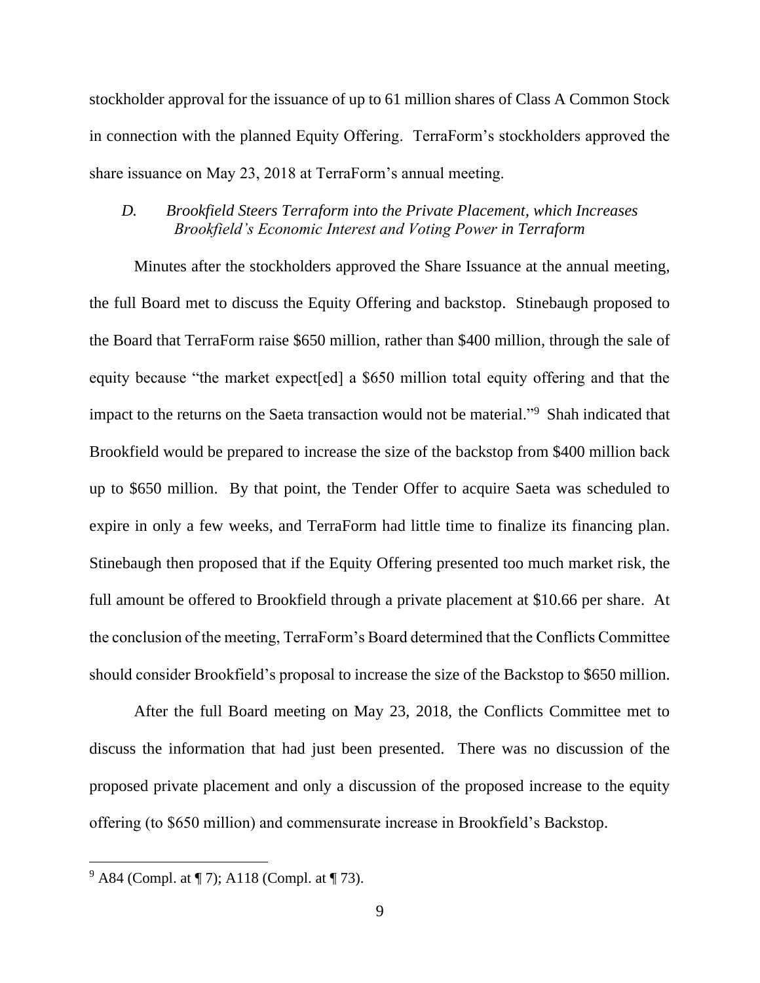stockholder approval for the issuance of up to 61 million shares of Class A Common Stock in connection with the planned Equity Offering. TerraForm's stockholders approved the share issuance on May 23, 2018 at TerraForm's annual meeting.

### *D. Brookfield Steers Terraform into the Private Placement, which Increases Brookfield's Economic Interest and Voting Power in Terraform*

Minutes after the stockholders approved the Share Issuance at the annual meeting, the full Board met to discuss the Equity Offering and backstop. Stinebaugh proposed to the Board that TerraForm raise \$650 million, rather than \$400 million, through the sale of equity because "the market expect[ed] a \$650 million total equity offering and that the impact to the returns on the Saeta transaction would not be material."<sup>9</sup> Shah indicated that Brookfield would be prepared to increase the size of the backstop from \$400 million back up to \$650 million. By that point, the Tender Offer to acquire Saeta was scheduled to expire in only a few weeks, and TerraForm had little time to finalize its financing plan. Stinebaugh then proposed that if the Equity Offering presented too much market risk, the full amount be offered to Brookfield through a private placement at \$10.66 per share. At the conclusion of the meeting, TerraForm's Board determined that the Conflicts Committee should consider Brookfield's proposal to increase the size of the Backstop to \$650 million.

After the full Board meeting on May 23, 2018, the Conflicts Committee met to discuss the information that had just been presented. There was no discussion of the proposed private placement and only a discussion of the proposed increase to the equity offering (to \$650 million) and commensurate increase in Brookfield's Backstop.

 $9^9$  A84 (Compl. at ¶ 7); A118 (Compl. at ¶ 73).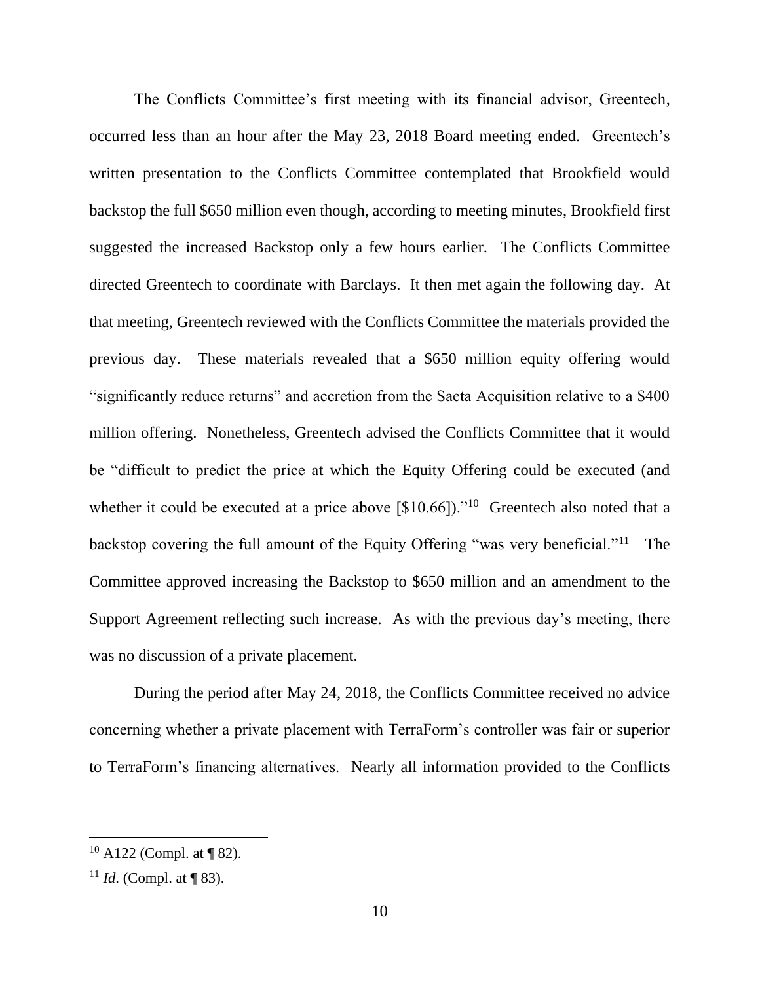The Conflicts Committee's first meeting with its financial advisor, Greentech, occurred less than an hour after the May 23, 2018 Board meeting ended. Greentech's written presentation to the Conflicts Committee contemplated that Brookfield would backstop the full \$650 million even though, according to meeting minutes, Brookfield first suggested the increased Backstop only a few hours earlier. The Conflicts Committee directed Greentech to coordinate with Barclays. It then met again the following day. At that meeting, Greentech reviewed with the Conflicts Committee the materials provided the previous day. These materials revealed that a \$650 million equity offering would "significantly reduce returns" and accretion from the Saeta Acquisition relative to a \$400 million offering. Nonetheless, Greentech advised the Conflicts Committee that it would be "difficult to predict the price at which the Equity Offering could be executed (and whether it could be executed at a price above  $[\$10.66]$ ."<sup>10</sup> Greentech also noted that a backstop covering the full amount of the Equity Offering "was very beneficial."<sup>11</sup> The Committee approved increasing the Backstop to \$650 million and an amendment to the Support Agreement reflecting such increase. As with the previous day's meeting, there was no discussion of a private placement.

During the period after May 24, 2018, the Conflicts Committee received no advice concerning whether a private placement with TerraForm's controller was fair or superior to TerraForm's financing alternatives. Nearly all information provided to the Conflicts

 $10$  A122 (Compl. at ¶ 82).

<sup>&</sup>lt;sup>11</sup> *Id.* (Compl. at  $\P$  83).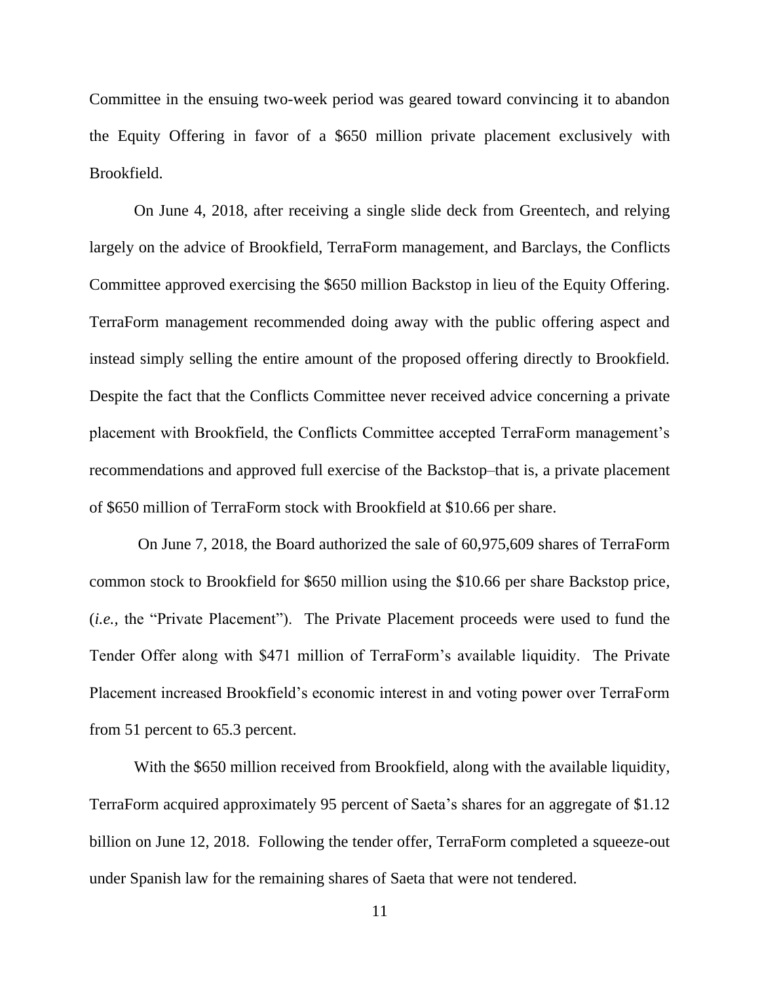Committee in the ensuing two-week period was geared toward convincing it to abandon the Equity Offering in favor of a \$650 million private placement exclusively with Brookfield.

On June 4, 2018, after receiving a single slide deck from Greentech, and relying largely on the advice of Brookfield, TerraForm management, and Barclays, the Conflicts Committee approved exercising the \$650 million Backstop in lieu of the Equity Offering. TerraForm management recommended doing away with the public offering aspect and instead simply selling the entire amount of the proposed offering directly to Brookfield. Despite the fact that the Conflicts Committee never received advice concerning a private placement with Brookfield, the Conflicts Committee accepted TerraForm management's recommendations and approved full exercise of the Backstop–that is, a private placement of \$650 million of TerraForm stock with Brookfield at \$10.66 per share.

On June 7, 2018, the Board authorized the sale of 60,975,609 shares of TerraForm common stock to Brookfield for \$650 million using the \$10.66 per share Backstop price, (*i.e.,* the "Private Placement"). The Private Placement proceeds were used to fund the Tender Offer along with \$471 million of TerraForm's available liquidity. The Private Placement increased Brookfield's economic interest in and voting power over TerraForm from 51 percent to 65.3 percent.

With the \$650 million received from Brookfield, along with the available liquidity, TerraForm acquired approximately 95 percent of Saeta's shares for an aggregate of \$1.12 billion on June 12, 2018. Following the tender offer, TerraForm completed a squeeze-out under Spanish law for the remaining shares of Saeta that were not tendered.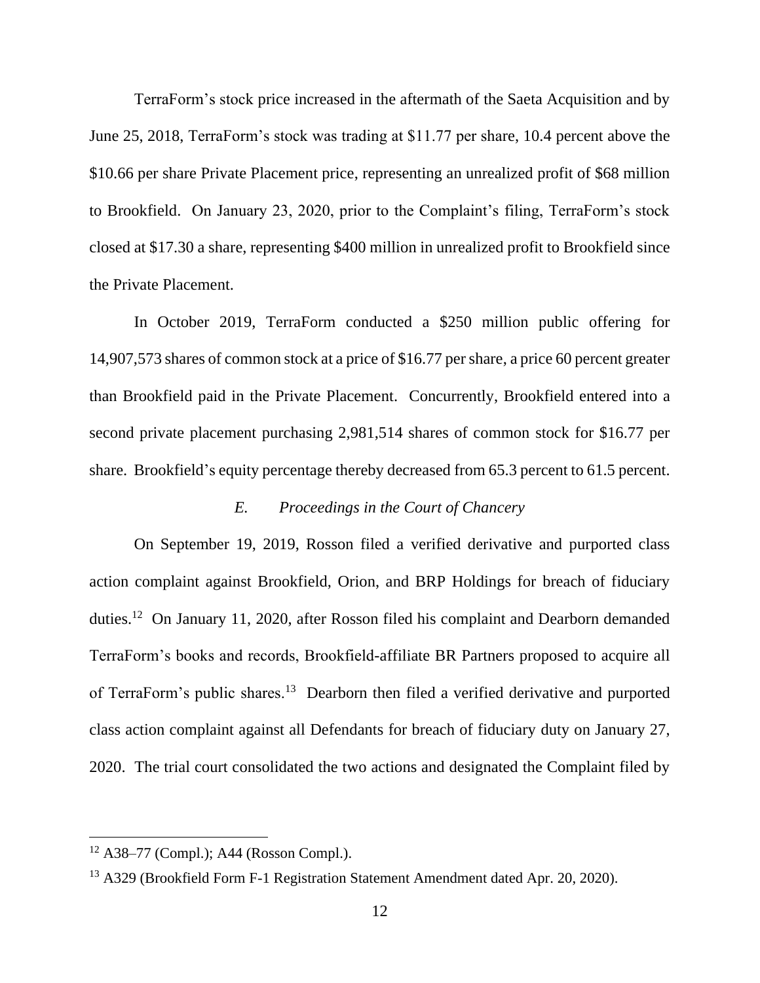TerraForm's stock price increased in the aftermath of the Saeta Acquisition and by June 25, 2018, TerraForm's stock was trading at \$11.77 per share, 10.4 percent above the \$10.66 per share Private Placement price, representing an unrealized profit of \$68 million to Brookfield. On January 23, 2020, prior to the Complaint's filing, TerraForm's stock closed at \$17.30 a share, representing \$400 million in unrealized profit to Brookfield since the Private Placement.

In October 2019, TerraForm conducted a \$250 million public offering for 14,907,573 shares of common stock at a price of \$16.77 per share, a price 60 percent greater than Brookfield paid in the Private Placement. Concurrently, Brookfield entered into a second private placement purchasing 2,981,514 shares of common stock for \$16.77 per share. Brookfield's equity percentage thereby decreased from 65.3 percent to 61.5 percent.

### *E. Proceedings in the Court of Chancery*

On September 19, 2019, Rosson filed a verified derivative and purported class action complaint against Brookfield, Orion, and BRP Holdings for breach of fiduciary duties.<sup>12</sup> On January 11, 2020, after Rosson filed his complaint and Dearborn demanded TerraForm's books and records, Brookfield-affiliate BR Partners proposed to acquire all of TerraForm's public shares.<sup>13</sup> Dearborn then filed a verified derivative and purported class action complaint against all Defendants for breach of fiduciary duty on January 27, 2020. The trial court consolidated the two actions and designated the Complaint filed by

 $12$  A38–77 (Compl.); A44 (Rosson Compl.).

<sup>&</sup>lt;sup>13</sup> A329 (Brookfield Form F-1 Registration Statement Amendment dated Apr. 20, 2020).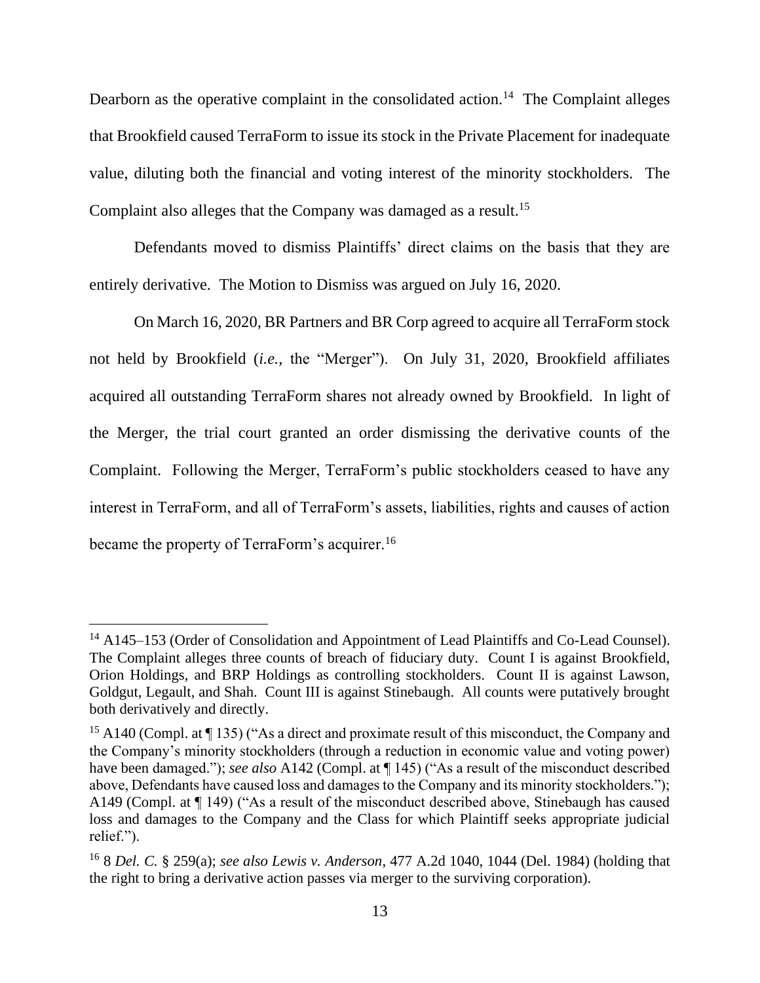Dearborn as the operative complaint in the consolidated action.<sup>14</sup> The Complaint alleges that Brookfield caused TerraForm to issue its stock in the Private Placement for inadequate value, diluting both the financial and voting interest of the minority stockholders. The Complaint also alleges that the Company was damaged as a result. 15

Defendants moved to dismiss Plaintiffs' direct claims on the basis that they are entirely derivative. The Motion to Dismiss was argued on July 16, 2020.

On March 16, 2020, BR Partners and BR Corp agreed to acquire all TerraForm stock not held by Brookfield (*i.e.,* the "Merger"). On July 31, 2020, Brookfield affiliates acquired all outstanding TerraForm shares not already owned by Brookfield. In light of the Merger, the trial court granted an order dismissing the derivative counts of the Complaint. Following the Merger, TerraForm's public stockholders ceased to have any interest in TerraForm, and all of TerraForm's assets, liabilities, rights and causes of action became the property of TerraForm's acquirer.<sup>16</sup>

<sup>&</sup>lt;sup>14</sup> A145–153 (Order of Consolidation and Appointment of Lead Plaintiffs and Co-Lead Counsel). The Complaint alleges three counts of breach of fiduciary duty. Count I is against Brookfield, Orion Holdings, and BRP Holdings as controlling stockholders. Count II is against Lawson, Goldgut, Legault, and Shah. Count III is against Stinebaugh. All counts were putatively brought both derivatively and directly.

<sup>&</sup>lt;sup>15</sup> A140 (Compl. at  $\P$  135) ("As a direct and proximate result of this misconduct, the Company and the Company's minority stockholders (through a reduction in economic value and voting power) have been damaged."); *see also* A142 (Compl. at ¶ 145) ("As a result of the misconduct described above, Defendants have caused loss and damages to the Company and its minority stockholders."); A149 (Compl. at ¶ 149) ("As a result of the misconduct described above, Stinebaugh has caused loss and damages to the Company and the Class for which Plaintiff seeks appropriate judicial relief.").

<sup>16</sup> 8 *Del. C.* § 259(a); *see also Lewis v. Anderson*, 477 A.2d 1040, 1044 (Del. 1984) (holding that the right to bring a derivative action passes via merger to the surviving corporation).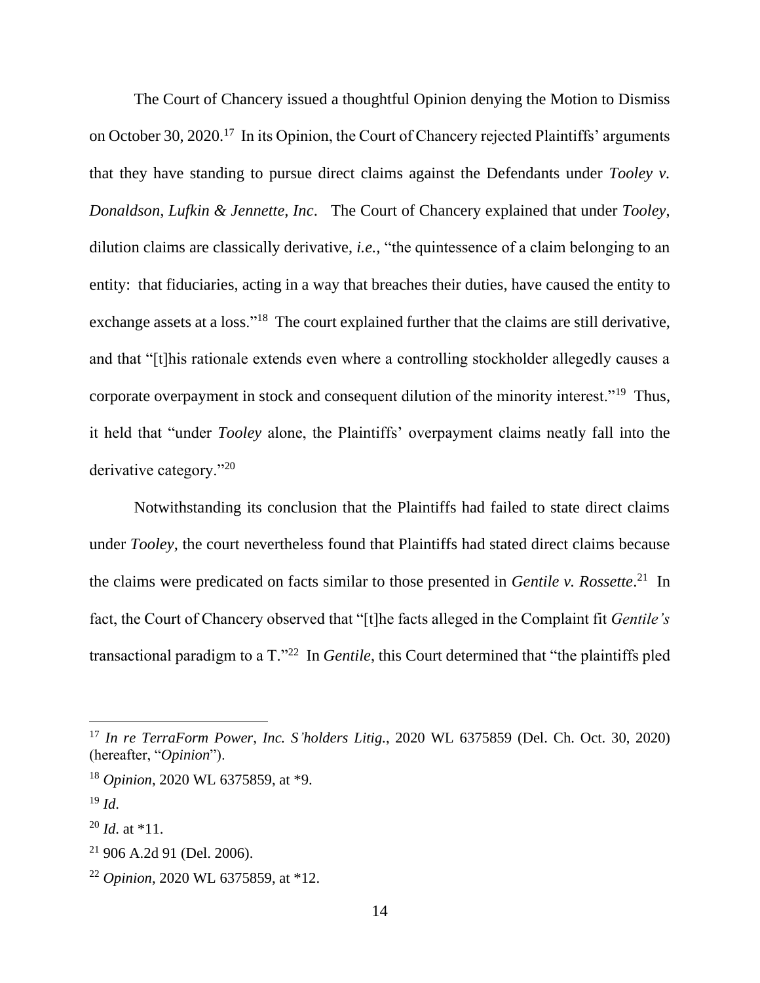The Court of Chancery issued a thoughtful Opinion denying the Motion to Dismiss on October 30, 2020.<sup>17</sup> In its Opinion, the Court of Chancery rejected Plaintiffs' arguments that they have standing to pursue direct claims against the Defendants under *Tooley v. Donaldson, Lufkin & Jennette, Inc*. The Court of Chancery explained that under *Tooley*, dilution claims are classically derivative, *i.e.,* "the quintessence of a claim belonging to an entity: that fiduciaries, acting in a way that breaches their duties, have caused the entity to exchange assets at a loss."<sup>18</sup> The court explained further that the claims are still derivative, and that "[t]his rationale extends even where a controlling stockholder allegedly causes a corporate overpayment in stock and consequent dilution of the minority interest."<sup>19</sup> Thus, it held that "under *Tooley* alone, the Plaintiffs' overpayment claims neatly fall into the derivative category."<sup>20</sup>

Notwithstanding its conclusion that the Plaintiffs had failed to state direct claims under *Tooley*, the court nevertheless found that Plaintiffs had stated direct claims because the claims were predicated on facts similar to those presented in *Gentile v. Rossette*. 21 In fact, the Court of Chancery observed that "[t]he facts alleged in the Complaint fit *Gentile's*  transactional paradigm to a T."<sup>22</sup> In *Gentile*, this Court determined that "the plaintiffs pled

<sup>17</sup> *In re TerraForm Power, Inc. S'holders Litig.*, 2020 WL 6375859 (Del. Ch. Oct. 30, 2020) (hereafter, "*Opinion*").

<sup>18</sup> *Opinion*, 2020 WL 6375859, at \*9.

 $19 \,$ *Id*.

<sup>20</sup> *Id*. at \*11.

 $21$  906 A.2d 91 (Del. 2006).

<sup>22</sup> *Opinion*, 2020 WL 6375859, at \*12.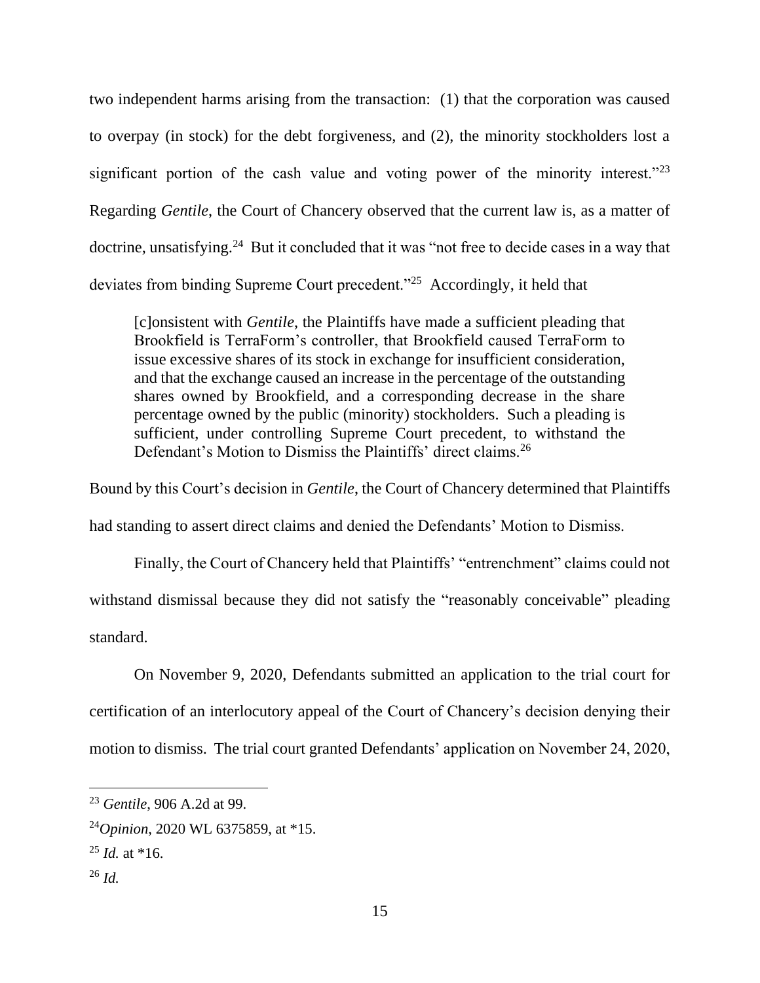two independent harms arising from the transaction: (1) that the corporation was caused to overpay (in stock) for the debt forgiveness, and (2), the minority stockholders lost a significant portion of the cash value and voting power of the minority interest."<sup>23</sup> Regarding *Gentile*, the Court of Chancery observed that the current law is, as a matter of doctrine, unsatisfying.<sup>24</sup> But it concluded that it was "not free to decide cases in a way that deviates from binding Supreme Court precedent."<sup>25</sup> Accordingly, it held that

[c]onsistent with *Gentile*, the Plaintiffs have made a sufficient pleading that Brookfield is TerraForm's controller, that Brookfield caused TerraForm to issue excessive shares of its stock in exchange for insufficient consideration, and that the exchange caused an increase in the percentage of the outstanding shares owned by Brookfield, and a corresponding decrease in the share percentage owned by the public (minority) stockholders. Such a pleading is sufficient, under controlling Supreme Court precedent, to withstand the Defendant's Motion to Dismiss the Plaintiffs' direct claims.<sup>26</sup>

Bound by this Court's decision in *Gentile*, the Court of Chancery determined that Plaintiffs had standing to assert direct claims and denied the Defendants' Motion to Dismiss.

Finally, the Court of Chancery held that Plaintiffs' "entrenchment" claims could not withstand dismissal because they did not satisfy the "reasonably conceivable" pleading standard.

On November 9, 2020, Defendants submitted an application to the trial court for certification of an interlocutory appeal of the Court of Chancery's decision denying their motion to dismiss. The trial court granted Defendants' application on November 24, 2020,

<sup>23</sup> *Gentile*, 906 A.2d at 99.

<sup>24</sup>*Opinion*, 2020 WL 6375859, at \*15.

 $^{25}$  *Id.* at  $*16$ .

<sup>26</sup> *Id.*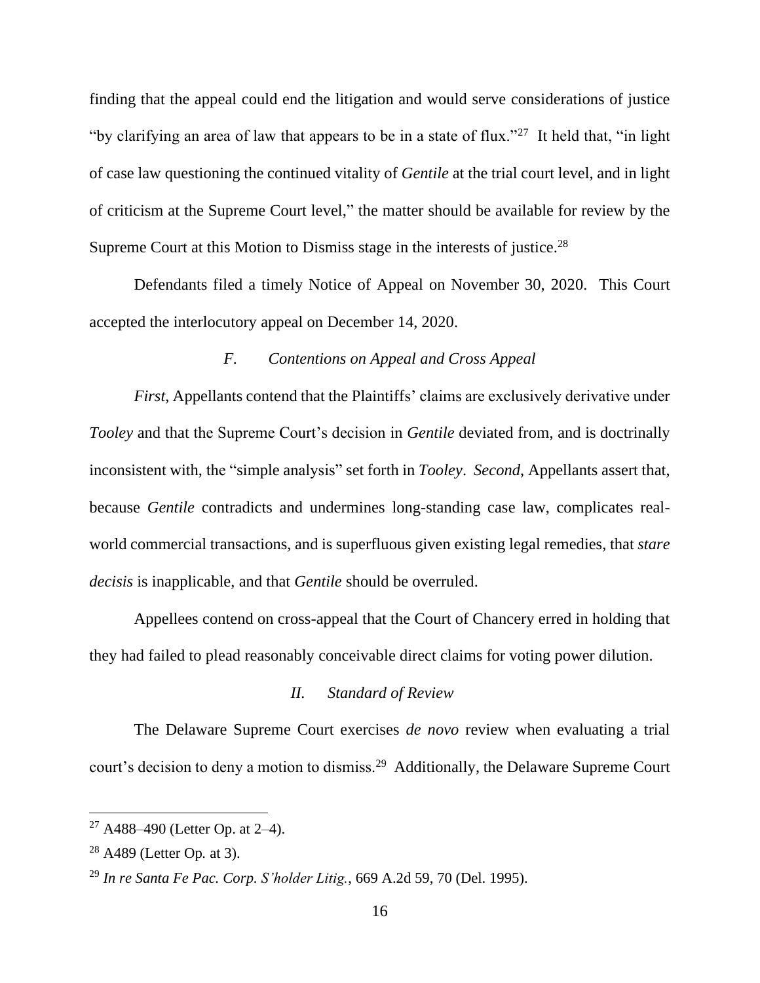finding that the appeal could end the litigation and would serve considerations of justice "by clarifying an area of law that appears to be in a state of flux."<sup>27</sup> It held that, "in light of case law questioning the continued vitality of *Gentile* at the trial court level, and in light of criticism at the Supreme Court level," the matter should be available for review by the Supreme Court at this Motion to Dismiss stage in the interests of justice.<sup>28</sup>

Defendants filed a timely Notice of Appeal on November 30, 2020. This Court accepted the interlocutory appeal on December 14, 2020.

### *F. Contentions on Appeal and Cross Appeal*

*First*, Appellants contend that the Plaintiffs' claims are exclusively derivative under *Tooley* and that the Supreme Court's decision in *Gentile* deviated from, and is doctrinally inconsistent with, the "simple analysis" set forth in *Tooley*. *Second*, Appellants assert that, because *Gentile* contradicts and undermines long-standing case law, complicates realworld commercial transactions, and is superfluous given existing legal remedies, that *stare decisis* is inapplicable, and that *Gentile* should be overruled.

Appellees contend on cross-appeal that the Court of Chancery erred in holding that they had failed to plead reasonably conceivable direct claims for voting power dilution.

### *II. Standard of Review*

The Delaware Supreme Court exercises *de novo* review when evaluating a trial court's decision to deny a motion to dismiss.<sup>29</sup> Additionally, the Delaware Supreme Court

 $27$  A488–490 (Letter Op. at 2–4).

<sup>28</sup> A489 (Letter Op*.* at 3).

<sup>29</sup> *In re Santa Fe Pac. Corp. S'holder Litig.*, 669 A.2d 59, 70 (Del. 1995).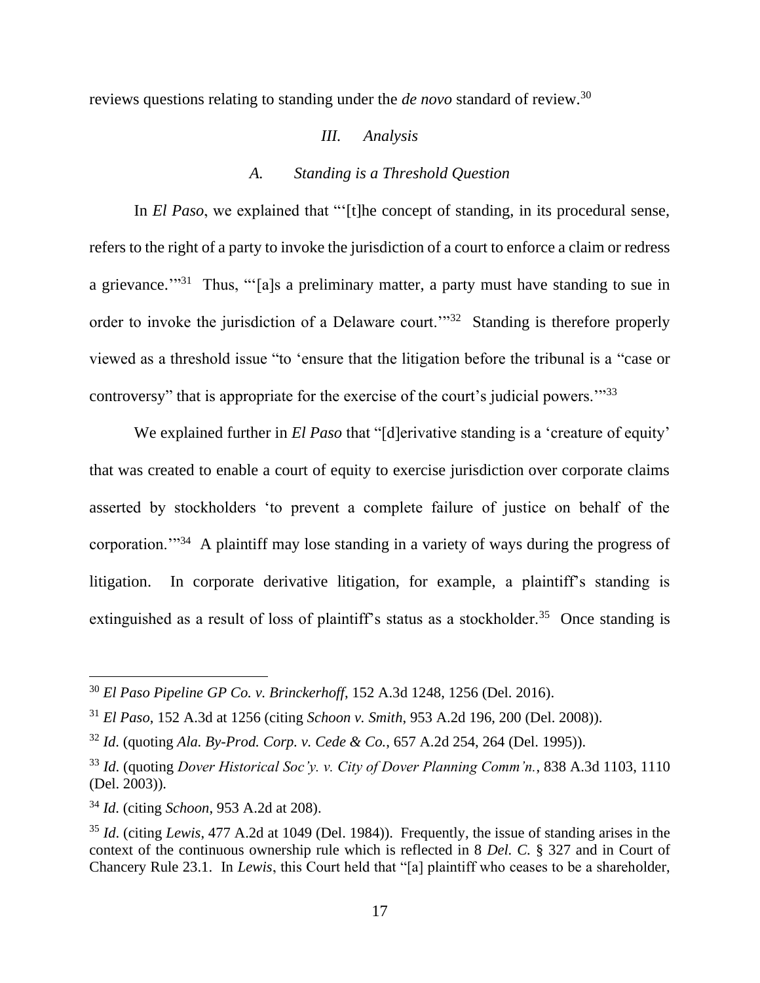reviews questions relating to standing under the *de novo* standard of review.<sup>30</sup>

#### *III. Analysis*

## *A. Standing is a Threshold Question*

In *El Paso*, we explained that "'[t]he concept of standing, in its procedural sense, refers to the right of a party to invoke the jurisdiction of a court to enforce a claim or redress a grievance."<sup>31</sup> Thus, "'[a]s a preliminary matter, a party must have standing to sue in order to invoke the jurisdiction of a Delaware court."<sup>32</sup> Standing is therefore properly viewed as a threshold issue "to 'ensure that the litigation before the tribunal is a "case or controversy" that is appropriate for the exercise of the court's judicial powers.'"<sup>33</sup>

We explained further in *El Paso* that "[d]erivative standing is a 'creature of equity' that was created to enable a court of equity to exercise jurisdiction over corporate claims asserted by stockholders 'to prevent a complete failure of justice on behalf of the corporation."<sup>34</sup> A plaintiff may lose standing in a variety of ways during the progress of litigation. In corporate derivative litigation, for example, a plaintiff's standing is extinguished as a result of loss of plaintiff's status as a stockholder.<sup>35</sup> Once standing is

<sup>30</sup> *El Paso Pipeline GP Co. v. Brinckerhoff*, 152 A.3d 1248, 1256 (Del. 2016).

<sup>31</sup> *El Paso*, 152 A.3d at 1256 (citing *Schoon v. Smith*, 953 A.2d 196, 200 (Del. 2008)).

<sup>32</sup> *Id*. (quoting *Ala. By-Prod. Corp. v. Cede & Co.*, 657 A.2d 254, 264 (Del. 1995)).

<sup>33</sup> *Id*. (quoting *Dover Historical Soc'y. v. City of Dover Planning Comm'n.*, 838 A.3d 1103, 1110 (Del. 2003)).

<sup>34</sup> *Id*. (citing *Schoon*, 953 A.2d at 208).

<sup>35</sup> *Id*. (citing *Lewis*, 477 A.2d at 1049 (Del. 1984)). Frequently, the issue of standing arises in the context of the continuous ownership rule which is reflected in 8 *Del. C.* § 327 and in Court of Chancery Rule 23.1. In *Lewis*, this Court held that "[a] plaintiff who ceases to be a shareholder,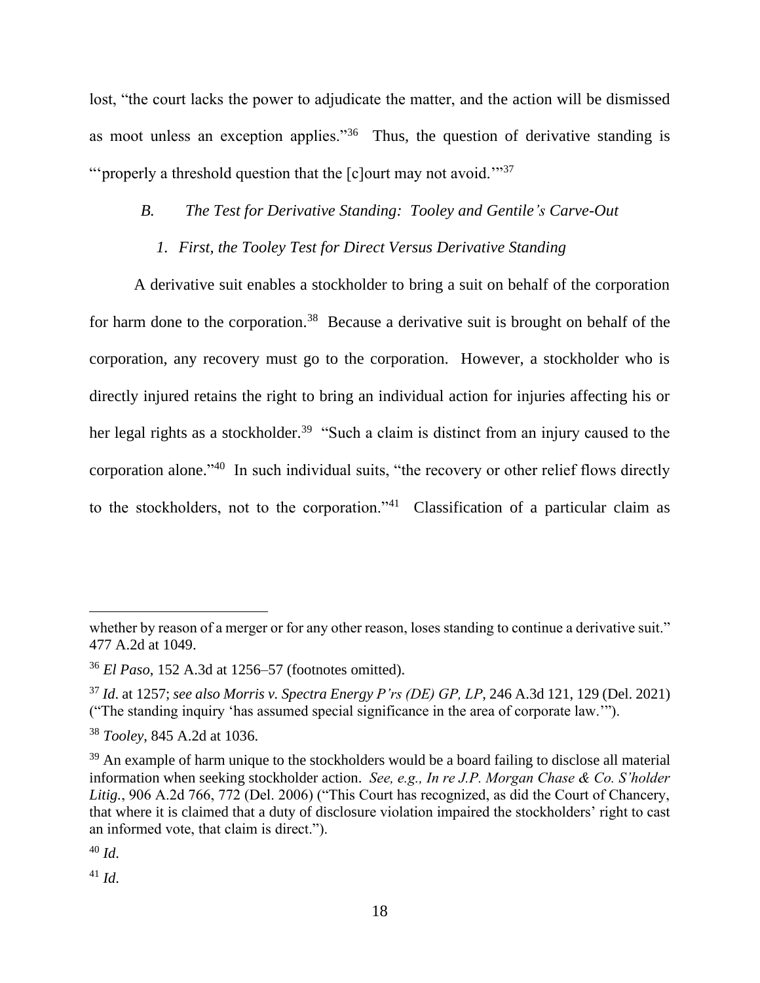lost, "the court lacks the power to adjudicate the matter, and the action will be dismissed as moot unless an exception applies."<sup>36</sup> Thus, the question of derivative standing is "'properly a threshold question that the [c]ourt may not avoid."<sup>37</sup>

## *B. The Test for Derivative Standing: Tooley and Gentile's Carve-Out*

### *1. First, the Tooley Test for Direct Versus Derivative Standing*

A derivative suit enables a stockholder to bring a suit on behalf of the corporation for harm done to the corporation.<sup>38</sup> Because a derivative suit is brought on behalf of the corporation, any recovery must go to the corporation. However, a stockholder who is directly injured retains the right to bring an individual action for injuries affecting his or her legal rights as a stockholder.<sup>39</sup> "Such a claim is distinct from an injury caused to the corporation alone."<sup>40</sup> In such individual suits, "the recovery or other relief flows directly to the stockholders, not to the corporation."<sup>41</sup> Classification of a particular claim as

 $^{41}$  *Id.* 

whether by reason of a merger or for any other reason, loses standing to continue a derivative suit." 477 A.2d at 1049.

<sup>36</sup> *El Paso*, 152 A.3d at 1256–57 (footnotes omitted).

<sup>37</sup> *Id*. at 1257; *see also Morris v. Spectra Energy P'rs (DE) GP, LP*, 246 A.3d 121, 129 (Del. 2021) ("The standing inquiry 'has assumed special significance in the area of corporate law.'").

<sup>38</sup> *Tooley*, 845 A.2d at 1036.

<sup>&</sup>lt;sup>39</sup> An example of harm unique to the stockholders would be a board failing to disclose all material information when seeking stockholder action. *See, e.g., In re J.P. Morgan Chase & Co. S'holder Litig.*, 906 A.2d 766, 772 (Del. 2006) ("This Court has recognized, as did the Court of Chancery, that where it is claimed that a duty of disclosure violation impaired the stockholders' right to cast an informed vote, that claim is direct.").

<sup>40</sup> *Id*.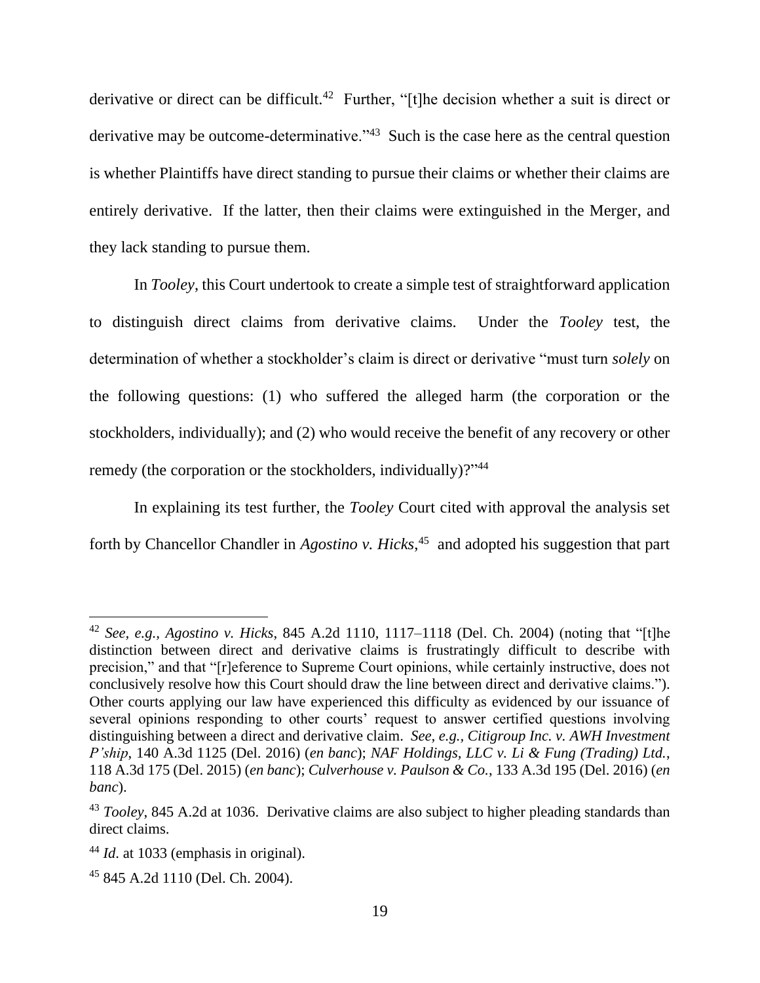derivative or direct can be difficult.<sup>42</sup> Further, "[t]he decision whether a suit is direct or derivative may be outcome-determinative."<sup>43</sup> Such is the case here as the central question is whether Plaintiffs have direct standing to pursue their claims or whether their claims are entirely derivative. If the latter, then their claims were extinguished in the Merger, and they lack standing to pursue them.

In *Tooley*, this Court undertook to create a simple test of straightforward application to distinguish direct claims from derivative claims. Under the *Tooley* test, the determination of whether a stockholder's claim is direct or derivative "must turn *solely* on the following questions: (1) who suffered the alleged harm (the corporation or the stockholders, individually); and (2) who would receive the benefit of any recovery or other remedy (the corporation or the stockholders, individually)?"<sup>44</sup>

In explaining its test further, the *Tooley* Court cited with approval the analysis set forth by Chancellor Chandler in *Agostino v. Hicks*, 45 and adopted his suggestion that part

<sup>42</sup> *See, e.g., Agostino v. Hicks*, 845 A.2d 1110, 1117–1118 (Del. Ch. 2004) (noting that "[t]he distinction between direct and derivative claims is frustratingly difficult to describe with precision," and that "[r]eference to Supreme Court opinions, while certainly instructive, does not conclusively resolve how this Court should draw the line between direct and derivative claims."). Other courts applying our law have experienced this difficulty as evidenced by our issuance of several opinions responding to other courts' request to answer certified questions involving distinguishing between a direct and derivative claim. *See, e.g., Citigroup Inc. v. AWH Investment P'ship*, 140 A.3d 1125 (Del. 2016) (*en banc*); *NAF Holdings, LLC v. Li & Fung (Trading) Ltd.*, 118 A.3d 175 (Del. 2015) (*en banc*); *Culverhouse v. Paulson & Co.*, 133 A.3d 195 (Del. 2016) (*en banc*).

<sup>43</sup> *Tooley*, 845 A.2d at 1036. Derivative claims are also subject to higher pleading standards than direct claims.

<sup>44</sup> *Id*. at 1033 (emphasis in original).

<sup>45</sup> 845 A.2d 1110 (Del. Ch. 2004).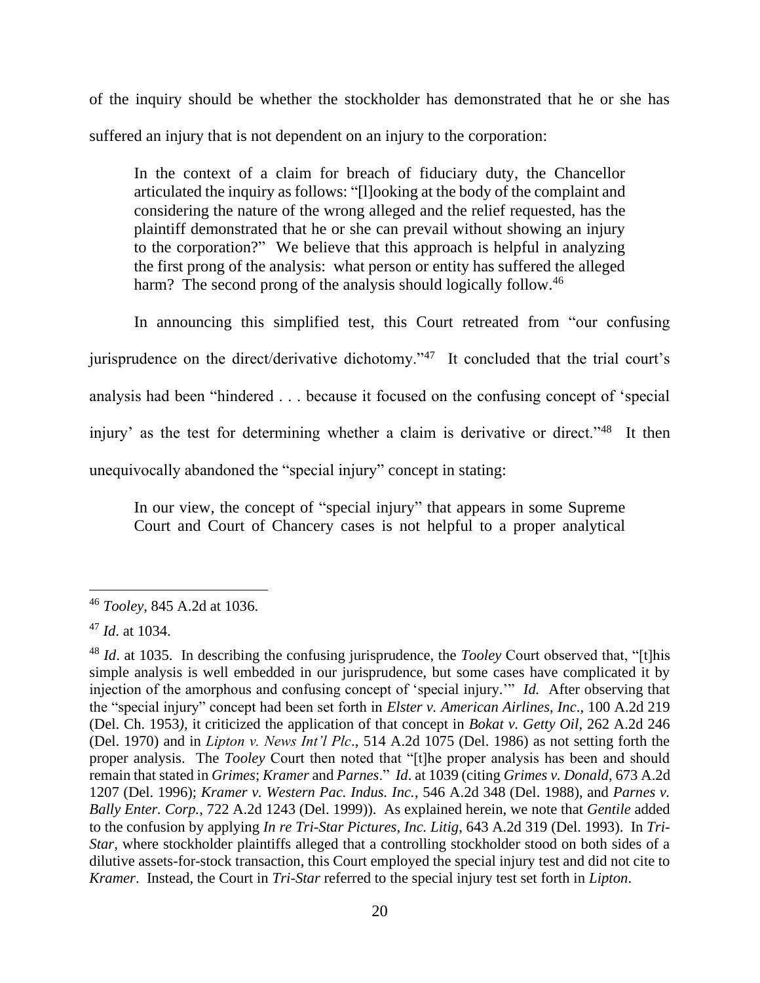of the inquiry should be whether the stockholder has demonstrated that he or she has suffered an injury that is not dependent on an injury to the corporation:

In the context of a claim for breach of fiduciary duty, the Chancellor articulated the inquiry as follows: "[l]ooking at the body of the complaint and considering the nature of the wrong alleged and the relief requested, has the plaintiff demonstrated that he or she can prevail without showing an injury to the corporation?" We believe that this approach is helpful in analyzing the first prong of the analysis: what person or entity has suffered the alleged harm? The second prong of the analysis should logically follow.<sup>46</sup>

In announcing this simplified test, this Court retreated from "our confusing

jurisprudence on the direct/derivative dichotomy."<sup>47</sup> It concluded that the trial court's

analysis had been "hindered . . . because it focused on the confusing concept of 'special

injury' as the test for determining whether a claim is derivative or direct."<sup>48</sup> It then

unequivocally abandoned the "special injury" concept in stating:

In our view, the concept of "special injury" that appears in some Supreme Court and Court of Chancery cases is not helpful to a proper analytical

<sup>46</sup> *Tooley*, 845 A.2d at 1036.

<sup>47</sup> *Id*. at 1034.

<sup>48</sup> *Id*. at 1035. In describing the confusing jurisprudence, the *Tooley* Court observed that, "[t]his simple analysis is well embedded in our jurisprudence, but some cases have complicated it by injection of the amorphous and confusing concept of 'special injury.'" *Id.* After observing that the "special injury" concept had been set forth in *Elster v. American Airlines, Inc*., 100 A.2d 219 (Del. Ch. 1953*),* it criticized the application of that concept in *Bokat v. Getty Oil*, 262 A.2d 246 (Del. 1970) and in *Lipton v. News Int'l Plc*., 514 A.2d 1075 (Del. 1986) as not setting forth the proper analysis. The *Tooley* Court then noted that "[t]he proper analysis has been and should remain that stated in *Grimes*; *Kramer* and *Parnes*." *Id*. at 1039 (citing *Grimes v. Donald*, 673 A.2d 1207 (Del. 1996); *Kramer v. Western Pac. Indus. Inc.*, 546 A.2d 348 (Del. 1988), and *Parnes v. Bally Enter. Corp.*, 722 A.2d 1243 (Del. 1999)). As explained herein, we note that *Gentile* added to the confusion by applying *In re Tri-Star Pictures, Inc. Litig*, 643 A.2d 319 (Del. 1993). In *Tri-Star*, where stockholder plaintiffs alleged that a controlling stockholder stood on both sides of a dilutive assets-for-stock transaction, this Court employed the special injury test and did not cite to *Kramer*. Instead, the Court in *Tri-Star* referred to the special injury test set forth in *Lipton*.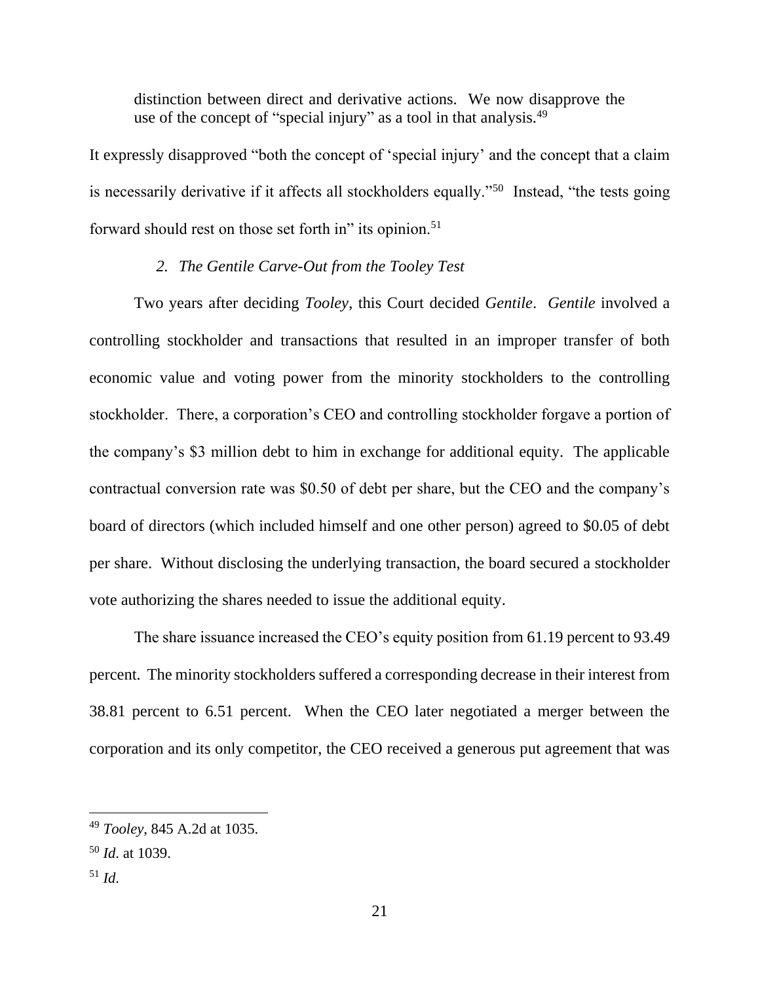distinction between direct and derivative actions. We now disapprove the use of the concept of "special injury" as a tool in that analysis.<sup>49</sup>

It expressly disapproved "both the concept of 'special injury' and the concept that a claim is necessarily derivative if it affects all stockholders equally."<sup>50</sup> Instead, "the tests going forward should rest on those set forth in" its opinion.<sup>51</sup>

## *2. The Gentile Carve-Out from the Tooley Test*

Two years after deciding *Tooley*, this Court decided *Gentile*. *Gentile* involved a controlling stockholder and transactions that resulted in an improper transfer of both economic value and voting power from the minority stockholders to the controlling stockholder. There, a corporation's CEO and controlling stockholder forgave a portion of the company's \$3 million debt to him in exchange for additional equity. The applicable contractual conversion rate was \$0.50 of debt per share, but the CEO and the company's board of directors (which included himself and one other person) agreed to \$0.05 of debt per share. Without disclosing the underlying transaction, the board secured a stockholder vote authorizing the shares needed to issue the additional equity.

The share issuance increased the CEO's equity position from 61.19 percent to 93.49 percent. The minority stockholders suffered a corresponding decrease in their interest from 38.81 percent to 6.51 percent. When the CEO later negotiated a merger between the corporation and its only competitor, the CEO received a generous put agreement that was

<sup>49</sup> *Tooley*, 845 A.2d at 1035.

<sup>50</sup> *Id*. at 1039.

 $^{51}$  *Id.*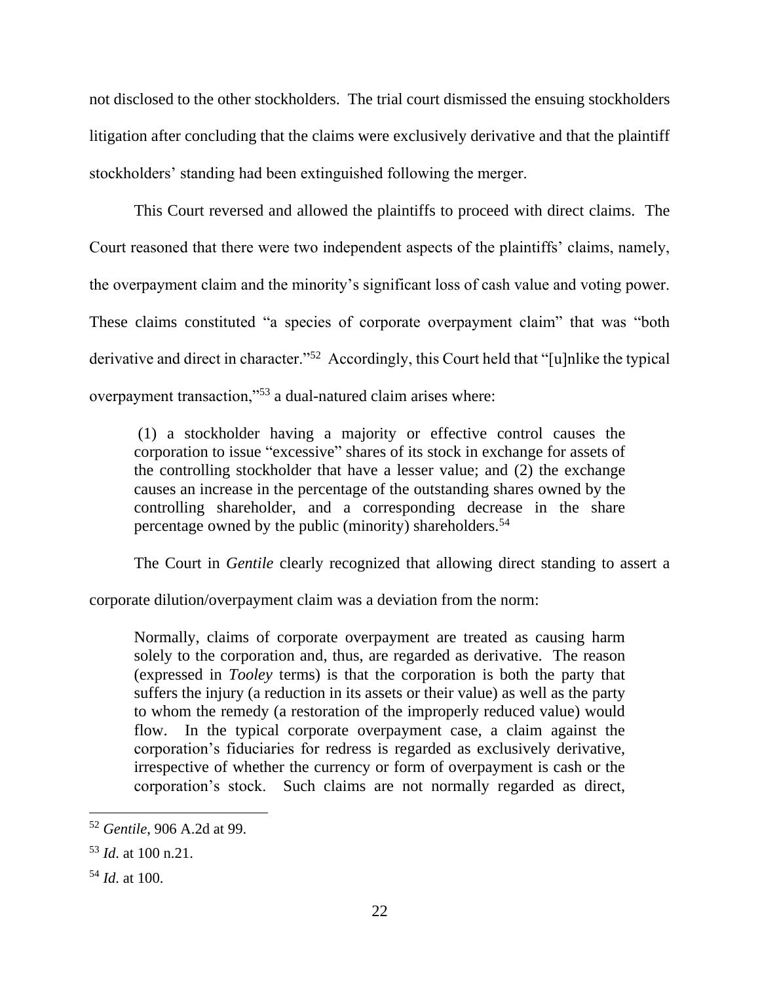not disclosed to the other stockholders. The trial court dismissed the ensuing stockholders litigation after concluding that the claims were exclusively derivative and that the plaintiff stockholders' standing had been extinguished following the merger.

This Court reversed and allowed the plaintiffs to proceed with direct claims. The Court reasoned that there were two independent aspects of the plaintiffs' claims, namely, the overpayment claim and the minority's significant loss of cash value and voting power. These claims constituted "a species of corporate overpayment claim" that was "both derivative and direct in character."<sup>52</sup> Accordingly, this Court held that "[u]nlike the typical overpayment transaction,"<sup>53</sup> a dual-natured claim arises where:

(1) a stockholder having a majority or effective control causes the corporation to issue "excessive" shares of its stock in exchange for assets of the controlling stockholder that have a lesser value; and (2) the exchange causes an increase in the percentage of the outstanding shares owned by the controlling shareholder, and a corresponding decrease in the share percentage owned by the public (minority) shareholders.<sup>54</sup>

The Court in *Gentile* clearly recognized that allowing direct standing to assert a

corporate dilution/overpayment claim was a deviation from the norm:

Normally, claims of corporate overpayment are treated as causing harm solely to the corporation and, thus, are regarded as derivative. The reason (expressed in *Tooley* terms) is that the corporation is both the party that suffers the injury (a reduction in its assets or their value) as well as the party to whom the remedy (a restoration of the improperly reduced value) would flow. In the typical corporate overpayment case, a claim against the corporation's fiduciaries for redress is regarded as exclusively derivative, irrespective of whether the currency or form of overpayment is cash or the corporation's stock. Such claims are not normally regarded as direct,

<sup>52</sup> *Gentile*, 906 A.2d at 99.

<sup>53</sup> *Id*. at 100 n.21.

<sup>54</sup> *Id*. at 100.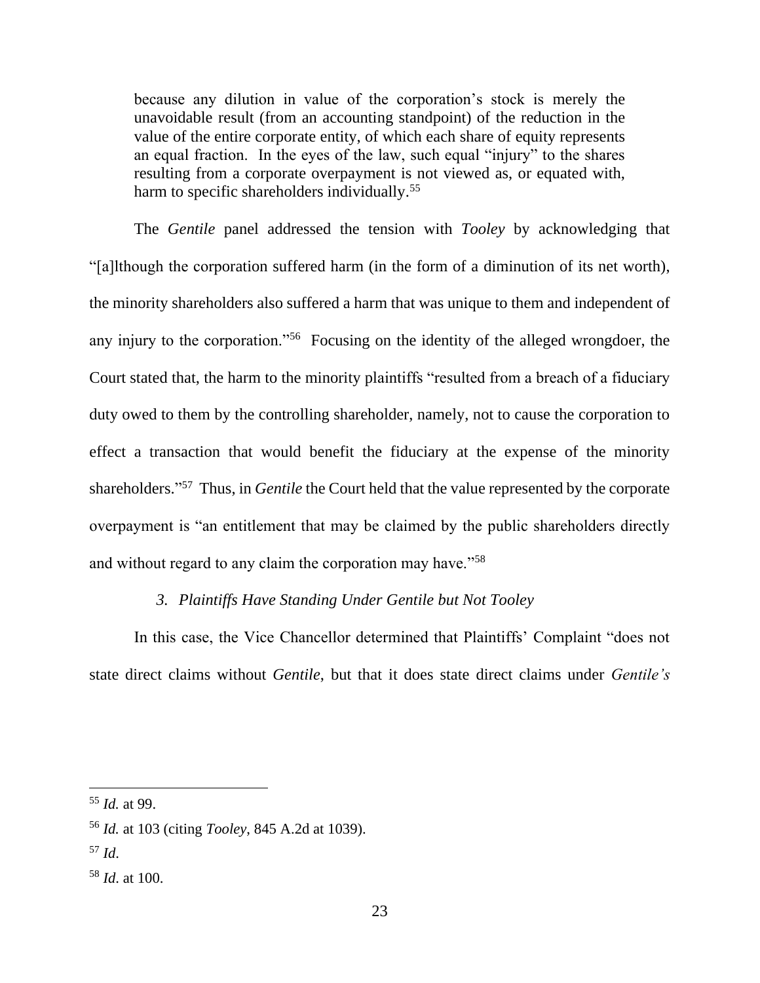because any dilution in value of the corporation's stock is merely the unavoidable result (from an accounting standpoint) of the reduction in the value of the entire corporate entity, of which each share of equity represents an equal fraction. In the eyes of the law, such equal "injury" to the shares resulting from a corporate overpayment is not viewed as, or equated with, harm to specific shareholders individually.<sup>55</sup>

The *Gentile* panel addressed the tension with *Tooley* by acknowledging that "[a]lthough the corporation suffered harm (in the form of a diminution of its net worth), the minority shareholders also suffered a harm that was unique to them and independent of any injury to the corporation."<sup>56</sup> Focusing on the identity of the alleged wrongdoer, the Court stated that, the harm to the minority plaintiffs "resulted from a breach of a fiduciary duty owed to them by the controlling shareholder, namely, not to cause the corporation to effect a transaction that would benefit the fiduciary at the expense of the minority shareholders." 57 Thus, in *Gentile* the Court held that the value represented by the corporate overpayment is "an entitlement that may be claimed by the public shareholders directly and without regard to any claim the corporation may have."<sup>58</sup>

### *3. Plaintiffs Have Standing Under Gentile but Not Tooley*

In this case, the Vice Chancellor determined that Plaintiffs' Complaint "does not state direct claims without *Gentile*, but that it does state direct claims under *Gentile's* 

<sup>57</sup> *Id*.

<sup>55</sup> *Id.* at 99.

<sup>56</sup> *Id.* at 103 (citing *Tooley*, 845 A.2d at 1039).

<sup>58</sup> *Id*. at 100.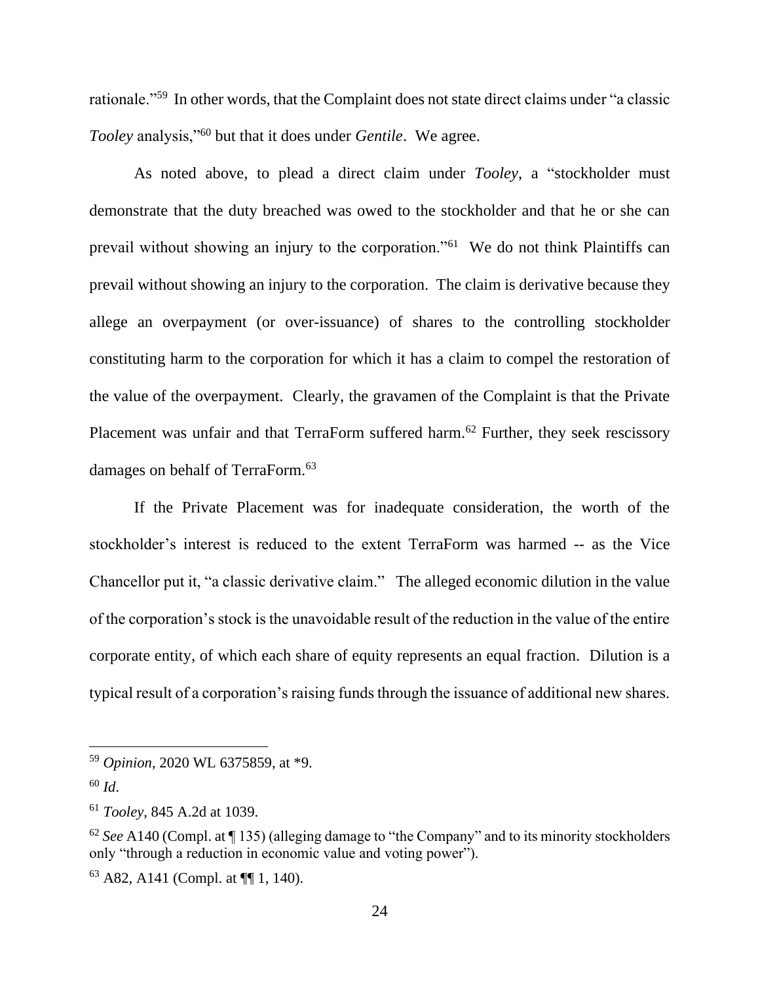rationale."<sup>59</sup> In other words, that the Complaint does not state direct claims under "a classic *Tooley* analysis,"<sup>60</sup> but that it does under *Gentile*. We agree.

As noted above, to plead a direct claim under *Tooley*, a "stockholder must demonstrate that the duty breached was owed to the stockholder and that he or she can prevail without showing an injury to the corporation."<sup>61</sup> We do not think Plaintiffs can prevail without showing an injury to the corporation. The claim is derivative because they allege an overpayment (or over-issuance) of shares to the controlling stockholder constituting harm to the corporation for which it has a claim to compel the restoration of the value of the overpayment. Clearly, the gravamen of the Complaint is that the Private Placement was unfair and that TerraForm suffered harm.<sup>62</sup> Further, they seek rescissory damages on behalf of TerraForm.<sup>63</sup>

If the Private Placement was for inadequate consideration, the worth of the stockholder's interest is reduced to the extent TerraForm was harmed -- as the Vice Chancellor put it, "a classic derivative claim." The alleged economic dilution in the value of the corporation's stock is the unavoidable result of the reduction in the value of the entire corporate entity, of which each share of equity represents an equal fraction. Dilution is a typical result of a corporation's raising funds through the issuance of additional new shares.

<sup>59</sup> *Opinion*, 2020 WL 6375859, at \*9.

<sup>60</sup> *Id*.

<sup>61</sup> *Tooley*, 845 A.2d at 1039.

<sup>62</sup> *See* A140 (Compl. at ¶ 135) (alleging damage to "the Company" and to its minority stockholders only "through a reduction in economic value and voting power").

 $63$  A82, A141 (Compl. at  $\P\P$  1, 140).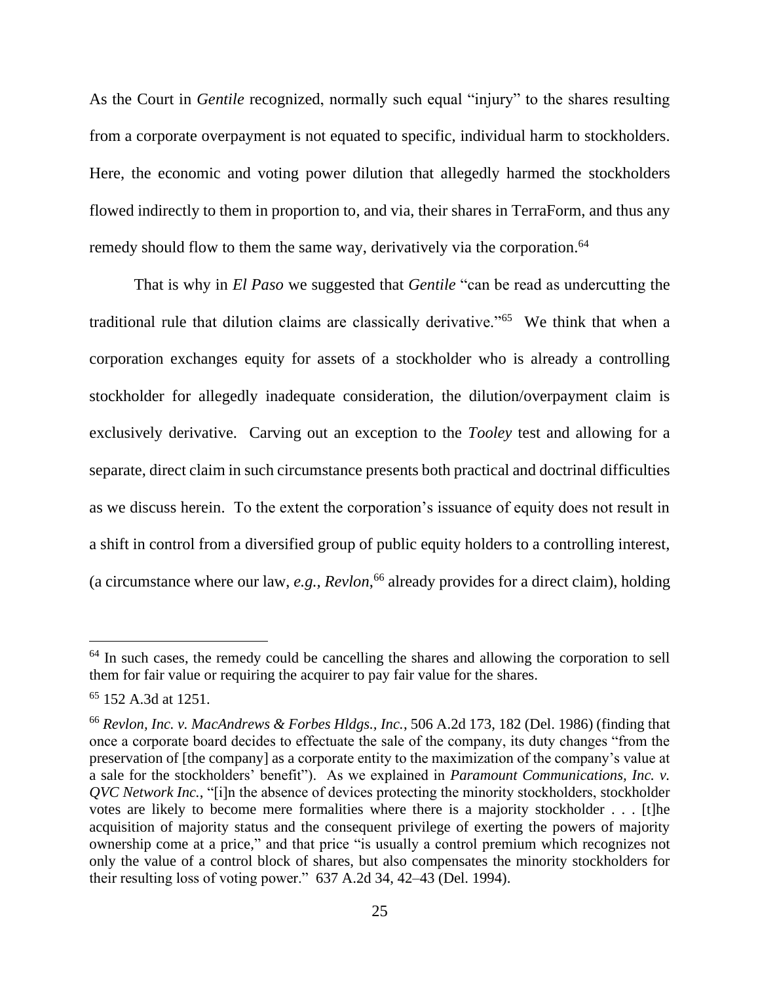As the Court in *Gentile* recognized, normally such equal "injury" to the shares resulting from a corporate overpayment is not equated to specific, individual harm to stockholders. Here, the economic and voting power dilution that allegedly harmed the stockholders flowed indirectly to them in proportion to, and via, their shares in TerraForm, and thus any remedy should flow to them the same way, derivatively via the corporation. 64

That is why in *El Paso* we suggested that *Gentile* "can be read as undercutting the traditional rule that dilution claims are classically derivative."<sup>65</sup> We think that when a corporation exchanges equity for assets of a stockholder who is already a controlling stockholder for allegedly inadequate consideration, the dilution/overpayment claim is exclusively derivative. Carving out an exception to the *Tooley* test and allowing for a separate, direct claim in such circumstance presents both practical and doctrinal difficulties as we discuss herein.To the extent the corporation's issuance of equity does not result in a shift in control from a diversified group of public equity holders to a controlling interest, (a circumstance where our law, *e.g., Revlon*, <sup>66</sup> already provides for a direct claim), holding

<sup>&</sup>lt;sup>64</sup> In such cases, the remedy could be cancelling the shares and allowing the corporation to sell them for fair value or requiring the acquirer to pay fair value for the shares.

<sup>&</sup>lt;sup>65</sup> 152 A.3d at 1251.

<sup>66</sup> *Revlon, Inc. v. MacAndrews & Forbes Hldgs., Inc.*, 506 A.2d 173, 182 (Del. 1986) (finding that once a corporate board decides to effectuate the sale of the company, its duty changes "from the preservation of [the company] as a corporate entity to the maximization of the company's value at a sale for the stockholders' benefit"). As we explained in *Paramount Communications, Inc. v. QVC Network Inc.*, "[i]n the absence of devices protecting the minority stockholders, stockholder votes are likely to become mere formalities where there is a majority stockholder . . . [t]he acquisition of majority status and the consequent privilege of exerting the powers of majority ownership come at a price," and that price "is usually a control premium which recognizes not only the value of a control block of shares, but also compensates the minority stockholders for their resulting loss of voting power." 637 A.2d 34, 42–43 (Del. 1994).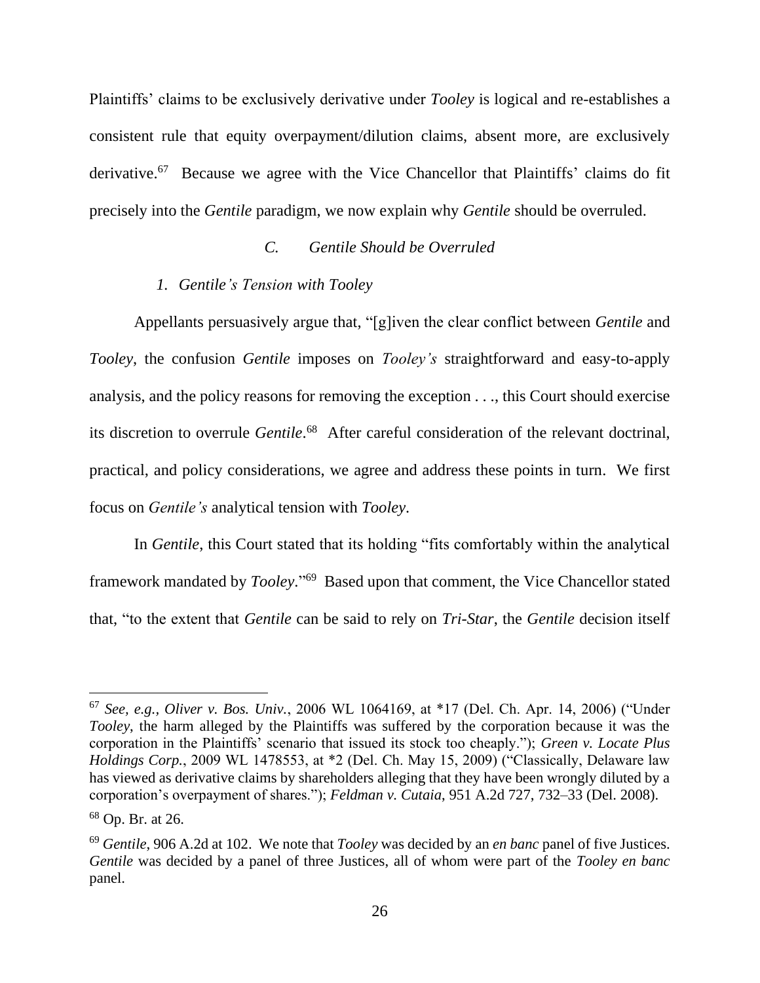Plaintiffs' claims to be exclusively derivative under *Tooley* is logical and re-establishes a consistent rule that equity overpayment/dilution claims, absent more, are exclusively derivative.<sup>67</sup> Because we agree with the Vice Chancellor that Plaintiffs' claims do fit precisely into the *Gentile* paradigm, we now explain why *Gentile* should be overruled.

## *C. Gentile Should be Overruled*

#### *1. Gentile's Tension with Tooley*

Appellants persuasively argue that, "[g]iven the clear conflict between *Gentile* and *Tooley*, the confusion *Gentile* imposes on *Tooley's* straightforward and easy-to-apply analysis, and the policy reasons for removing the exception . . ., this Court should exercise its discretion to overrule *Gentile*. 68 After careful consideration of the relevant doctrinal, practical, and policy considerations, we agree and address these points in turn. We first focus on *Gentile's* analytical tension with *Tooley*.

In *Gentile*, this Court stated that its holding "fits comfortably within the analytical framework mandated by *Tooley*." 69 Based upon that comment, the Vice Chancellor stated that, "to the extent that *Gentile* can be said to rely on *Tri-Star*, the *Gentile* decision itself

<sup>67</sup> *See, e.g., Oliver v. Bos. Univ.*, 2006 WL 1064169, at \*17 (Del. Ch. Apr. 14, 2006) ("Under *Tooley*, the harm alleged by the Plaintiffs was suffered by the corporation because it was the corporation in the Plaintiffs' scenario that issued its stock too cheaply."); *Green v. Locate Plus Holdings Corp.*, 2009 WL 1478553, at \*2 (Del. Ch. May 15, 2009) ("Classically, Delaware law has viewed as derivative claims by shareholders alleging that they have been wrongly diluted by a corporation's overpayment of shares."); *Feldman v. Cutaia*, 951 A.2d 727, 732–33 (Del. 2008).

<sup>68</sup> Op. Br. at 26.

<sup>69</sup> *Gentile*, 906 A.2d at 102. We note that *Tooley* was decided by an *en banc* panel of five Justices. *Gentile* was decided by a panel of three Justices, all of whom were part of the *Tooley en banc* panel.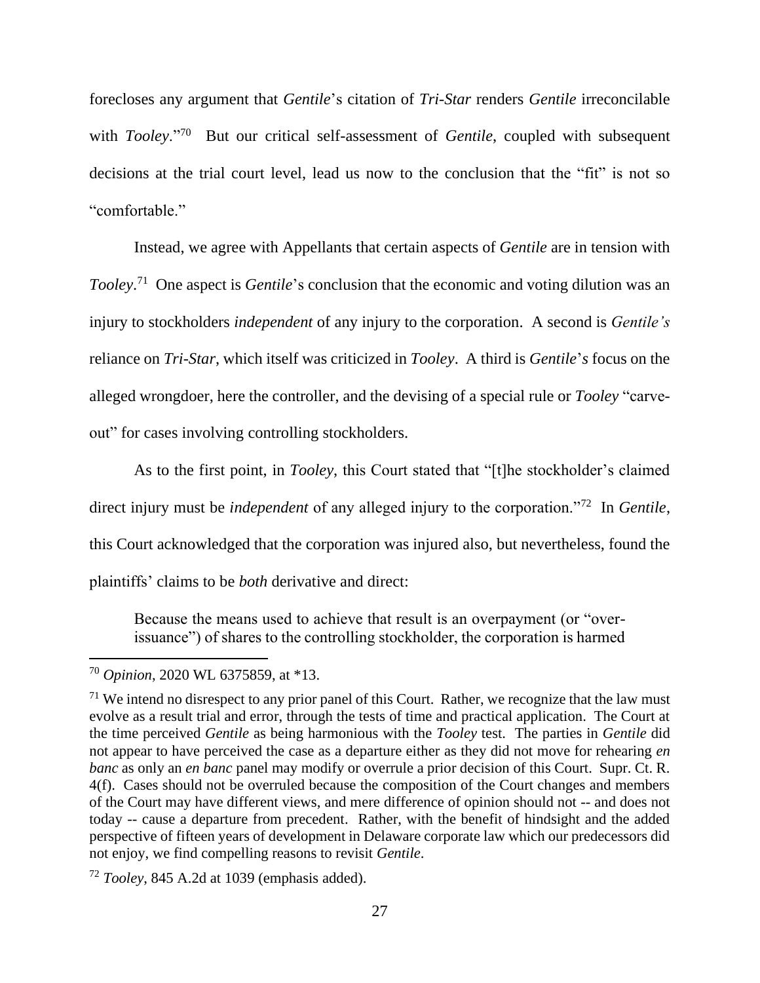forecloses any argument that *Gentile*'s citation of *Tri-Star* renders *Gentile* irreconcilable with *Tooley*."<sup>70</sup> But our critical self-assessment of *Gentile*, coupled with subsequent decisions at the trial court level, lead us now to the conclusion that the "fit" is not so "comfortable."

Instead, we agree with Appellants that certain aspects of *Gentile* are in tension with *Tooley*. 71 One aspect is *Gentile*'s conclusion that the economic and voting dilution was an injury to stockholders *independent* of any injury to the corporation. A second is *Gentile's*  reliance on *Tri-Star*, which itself was criticized in *Tooley*. A third is *Gentile*'*s* focus on the alleged wrongdoer, here the controller, and the devising of a special rule or *Tooley* "carveout" for cases involving controlling stockholders.

As to the first point, in *Tooley*, this Court stated that "[t]he stockholder's claimed direct injury must be *independent* of any alleged injury to the corporation."<sup>72</sup> In *Gentile*, this Court acknowledged that the corporation was injured also, but nevertheless, found the plaintiffs' claims to be *both* derivative and direct:

Because the means used to achieve that result is an overpayment (or "overissuance") of shares to the controlling stockholder, the corporation is harmed

<sup>70</sup> *Opinion*, 2020 WL 6375859, at \*13.

 $71$  We intend no disrespect to any prior panel of this Court. Rather, we recognize that the law must evolve as a result trial and error, through the tests of time and practical application. The Court at the time perceived *Gentile* as being harmonious with the *Tooley* test. The parties in *Gentile* did not appear to have perceived the case as a departure either as they did not move for rehearing *en banc* as only an *en banc* panel may modify or overrule a prior decision of this Court. Supr. Ct. R. 4(f). Cases should not be overruled because the composition of the Court changes and members of the Court may have different views, and mere difference of opinion should not -- and does not today -- cause a departure from precedent. Rather, with the benefit of hindsight and the added perspective of fifteen years of development in Delaware corporate law which our predecessors did not enjoy, we find compelling reasons to revisit *Gentile*.

<sup>72</sup> *Tooley*, 845 A.2d at 1039 (emphasis added).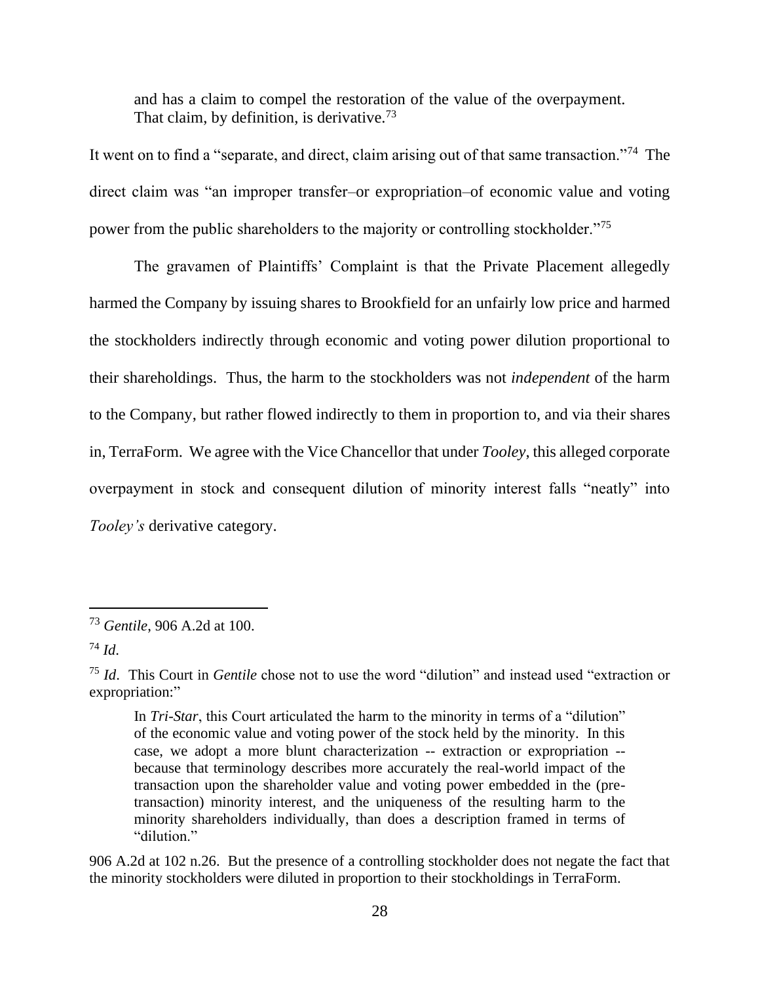and has a claim to compel the restoration of the value of the overpayment. That claim, by definition, is derivative.<sup>73</sup>

It went on to find a "separate, and direct, claim arising out of that same transaction."<sup>74</sup> The direct claim was "an improper transfer–or expropriation–of economic value and voting power from the public shareholders to the majority or controlling stockholder."<sup>75</sup>

The gravamen of Plaintiffs' Complaint is that the Private Placement allegedly harmed the Company by issuing shares to Brookfield for an unfairly low price and harmed the stockholders indirectly through economic and voting power dilution proportional to their shareholdings. Thus, the harm to the stockholders was not *independent* of the harm to the Company, but rather flowed indirectly to them in proportion to, and via their shares in, TerraForm. We agree with the Vice Chancellor that under *Tooley*, this alleged corporate overpayment in stock and consequent dilution of minority interest falls "neatly" into *Tooley's* derivative category.

906 A.2d at 102 n.26. But the presence of a controlling stockholder does not negate the fact that the minority stockholders were diluted in proportion to their stockholdings in TerraForm.

<sup>73</sup> *Gentile*, 906 A.2d at 100.

<sup>74</sup> *Id*.

<sup>75</sup> *Id*. This Court in *Gentile* chose not to use the word "dilution" and instead used "extraction or expropriation:"

In *Tri-Star*, this Court articulated the harm to the minority in terms of a "dilution" of the economic value and voting power of the stock held by the minority. In this case, we adopt a more blunt characterization -- extraction or expropriation - because that terminology describes more accurately the real-world impact of the transaction upon the shareholder value and voting power embedded in the (pretransaction) minority interest, and the uniqueness of the resulting harm to the minority shareholders individually, than does a description framed in terms of "dilution"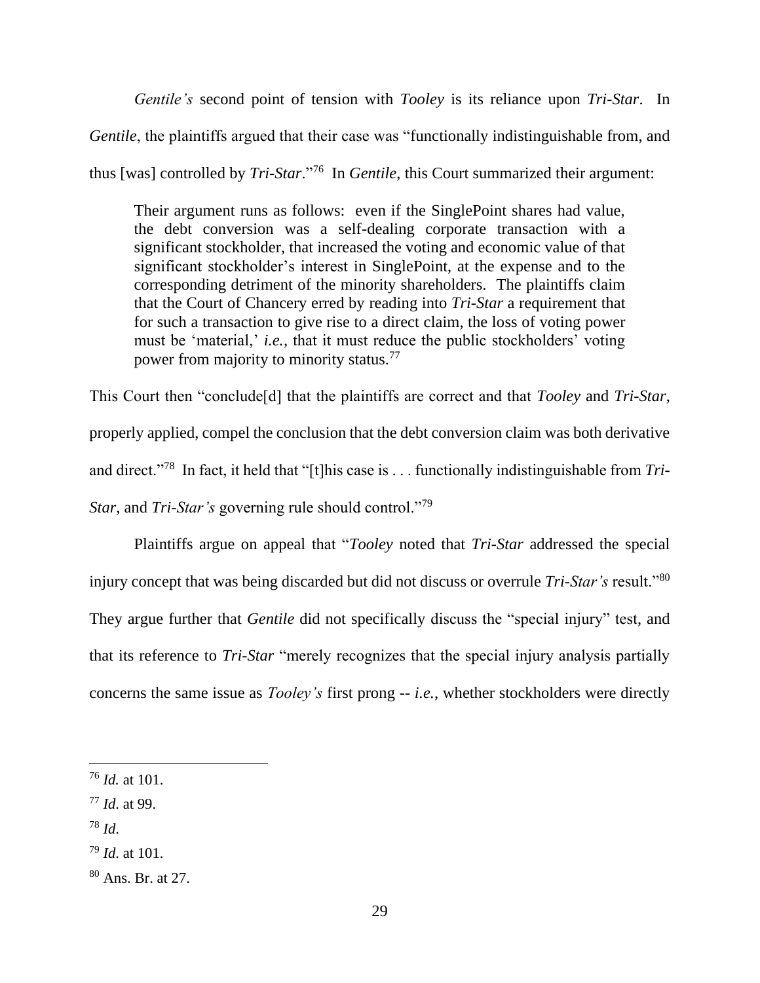*Gentile's* second point of tension with *Tooley* is its reliance upon *Tri-Star*. In

*Gentile*, the plaintiffs argued that their case was "functionally indistinguishable from, and

thus [was] controlled by *Tri-Star*."<sup>76</sup> In *Gentile*, this Court summarized their argument:

Their argument runs as follows: even if the SinglePoint shares had value, the debt conversion was a self-dealing corporate transaction with a significant stockholder, that increased the voting and economic value of that significant stockholder's interest in SinglePoint, at the expense and to the corresponding detriment of the minority shareholders. The plaintiffs claim that the Court of Chancery erred by reading into *Tri-Star* a requirement that for such a transaction to give rise to a direct claim, the loss of voting power must be 'material,' *i.e.,* that it must reduce the public stockholders' voting power from majority to minority status.<sup>77</sup>

This Court then "conclude[d] that the plaintiffs are correct and that *Tooley* and *Tri-Star*, properly applied, compel the conclusion that the debt conversion claim was both derivative and direct."<sup>78</sup> In fact, it held that "[t]his case is . . . functionally indistinguishable from *Tri-Star*, and *Tri-Star's* governing rule should control."<sup>79</sup>

Plaintiffs argue on appeal that "*Tooley* noted that *Tri-Star* addressed the special injury concept that was being discarded but did not discuss or overrule *Tri-Star's* result."<sup>80</sup> They argue further that *Gentile* did not specifically discuss the "special injury" test, and that its reference to *Tri-Star* "merely recognizes that the special injury analysis partially concerns the same issue as *Tooley's* first prong -- *i.e.,* whether stockholders were directly

<sup>78</sup> *Id*.

<sup>76</sup> *Id.* at 101.

<sup>77</sup> *Id*. at 99.

<sup>79</sup> *Id*. at 101.

<sup>80</sup> Ans. Br. at 27.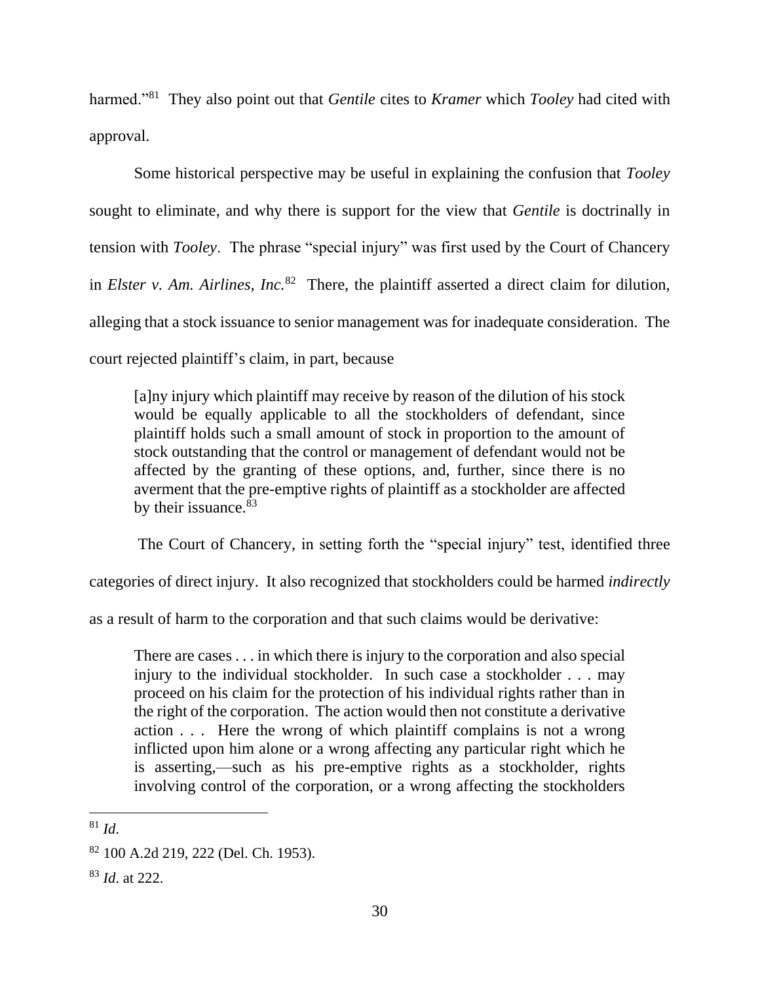harmed."<sup>81</sup> They also point out that *Gentile* cites to *Kramer* which *Tooley* had cited with approval.

Some historical perspective may be useful in explaining the confusion that *Tooley* sought to eliminate, and why there is support for the view that *Gentile* is doctrinally in tension with *Tooley*. The phrase "special injury" was first used by the Court of Chancery in *Elster v. Am. Airlines, Inc.*<sup>82</sup> There, the plaintiff asserted a direct claim for dilution, alleging that a stock issuance to senior management was for inadequate consideration. The court rejected plaintiff's claim, in part, because

[a]ny injury which plaintiff may receive by reason of the dilution of his stock would be equally applicable to all the stockholders of defendant, since plaintiff holds such a small amount of stock in proportion to the amount of stock outstanding that the control or management of defendant would not be affected by the granting of these options, and, further, since there is no averment that the pre-emptive rights of plaintiff as a stockholder are affected by their issuance.<sup>83</sup>

The Court of Chancery, in setting forth the "special injury" test, identified three

categories of direct injury. It also recognized that stockholders could be harmed *indirectly*

as a result of harm to the corporation and that such claims would be derivative:

There are cases . . . in which there is injury to the corporation and also special injury to the individual stockholder. In such case a stockholder . . . may proceed on his claim for the protection of his individual rights rather than in the right of the corporation. The action would then not constitute a derivative action . . . Here the wrong of which plaintiff complains is not a wrong inflicted upon him alone or a wrong affecting any particular right which he is asserting,—such as his pre-emptive rights as a stockholder, rights involving control of the corporation, or a wrong affecting the stockholders

 $81 \, \text{Id}$ 

<sup>82</sup> 100 A.2d 219, 222 (Del. Ch. 1953).

<sup>83</sup> *Id*. at 222.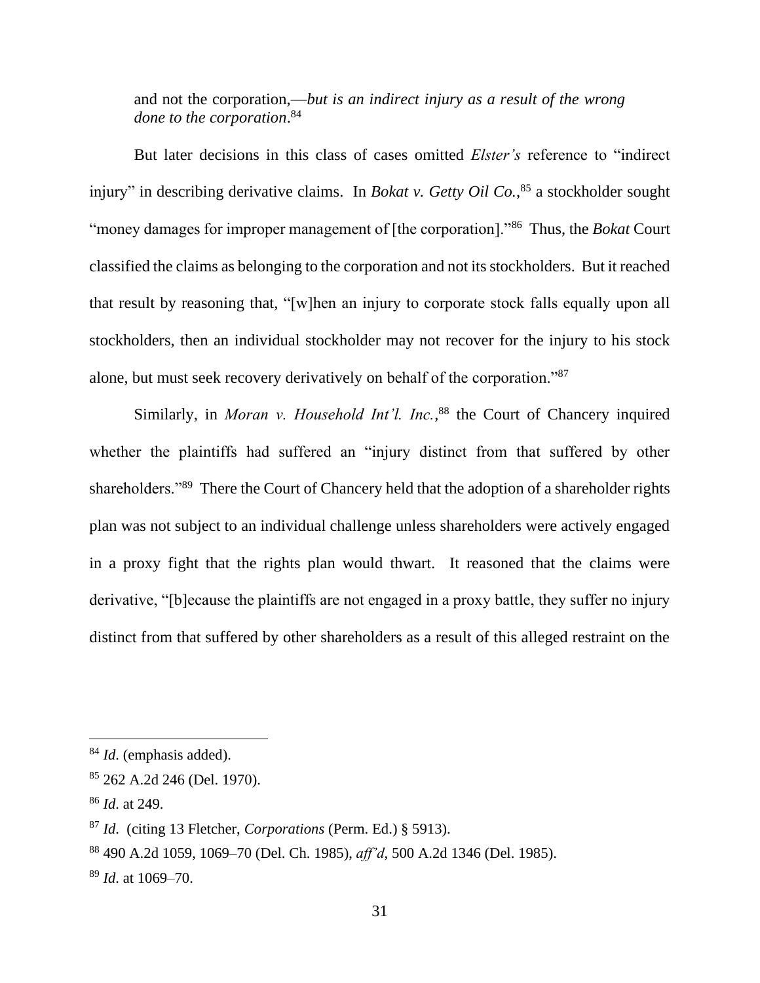and not the corporation,—*but is an indirect injury as a result of the wrong done to the corporation*. 84

But later decisions in this class of cases omitted *Elster's* reference to "indirect injury" in describing derivative claims. In *Bokat v. Getty Oil Co.*, <sup>85</sup> a stockholder sought "money damages for improper management of [the corporation]."<sup>86</sup> Thus, the *Bokat* Court classified the claims as belonging to the corporation and not its stockholders. But it reached that result by reasoning that, "[w]hen an injury to corporate stock falls equally upon all stockholders, then an individual stockholder may not recover for the injury to his stock alone, but must seek recovery derivatively on behalf of the corporation."<sup>87</sup>

Similarly, in *Moran v. Household Int'l. Inc.*,<sup>88</sup> the Court of Chancery inquired whether the plaintiffs had suffered an "injury distinct from that suffered by other shareholders."<sup>89</sup> There the Court of Chancery held that the adoption of a shareholder rights plan was not subject to an individual challenge unless shareholders were actively engaged in a proxy fight that the rights plan would thwart. It reasoned that the claims were derivative, "[b]ecause the plaintiffs are not engaged in a proxy battle, they suffer no injury distinct from that suffered by other shareholders as a result of this alleged restraint on the

<sup>84</sup> *Id*. (emphasis added).

<sup>85</sup> 262 A.2d 246 (Del. 1970).

<sup>86</sup> *Id*. at 249.

<sup>87</sup> *Id*. (citing 13 Fletcher, *Corporations* (Perm. Ed.) § 5913).

<sup>88</sup> 490 A.2d 1059, 1069–70 (Del. Ch. 1985), *aff'd*, 500 A.2d 1346 (Del. 1985).

<sup>89</sup> *Id*. at 1069–70.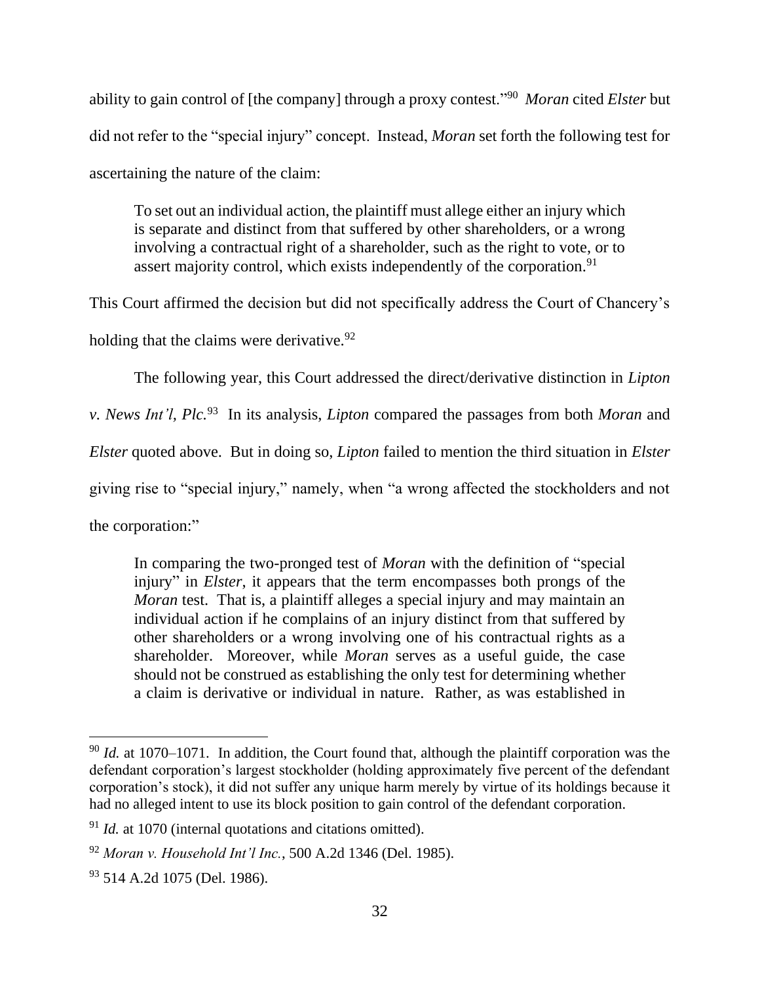ability to gain control of [the company] through a proxy contest."<sup>90</sup> *Moran* cited *Elster* but did not refer to the "special injury" concept. Instead, *Moran* set forth the following test for ascertaining the nature of the claim:

To set out an individual action, the plaintiff must allege either an injury which is separate and distinct from that suffered by other shareholders, or a wrong involving a contractual right of a shareholder, such as the right to vote, or to assert majority control, which exists independently of the corporation.<sup>91</sup>

This Court affirmed the decision but did not specifically address the Court of Chancery's

holding that the claims were derivative.  $92$ 

The following year, this Court addressed the direct/derivative distinction in *Lipton* 

*v. News Int'l, Plc.*<sup>93</sup> In its analysis, *Lipton* compared the passages from both *Moran* and

*Elster* quoted above. But in doing so, *Lipton* failed to mention the third situation in *Elster*

giving rise to "special injury," namely, when "a wrong affected the stockholders and not

the corporation:"

In comparing the two-pronged test of *Moran* with the definition of "special injury" in *Elster*, it appears that the term encompasses both prongs of the *Moran* test. That is, a plaintiff alleges a special injury and may maintain an individual action if he complains of an injury distinct from that suffered by other shareholders or a wrong involving one of his contractual rights as a shareholder. Moreover, while *Moran* serves as a useful guide, the case should not be construed as establishing the only test for determining whether a claim is derivative or individual in nature. Rather, as was established in

<sup>90</sup> *Id.* at 1070–1071. In addition, the Court found that, although the plaintiff corporation was the defendant corporation's largest stockholder (holding approximately five percent of the defendant corporation's stock), it did not suffer any unique harm merely by virtue of its holdings because it had no alleged intent to use its block position to gain control of the defendant corporation.

<sup>&</sup>lt;sup>91</sup> *Id.* at 1070 (internal quotations and citations omitted).

<sup>92</sup> *Moran v. Household Int'l Inc.*, 500 A.2d 1346 (Del. 1985).

<sup>&</sup>lt;sup>93</sup> 514 A.2d 1075 (Del. 1986).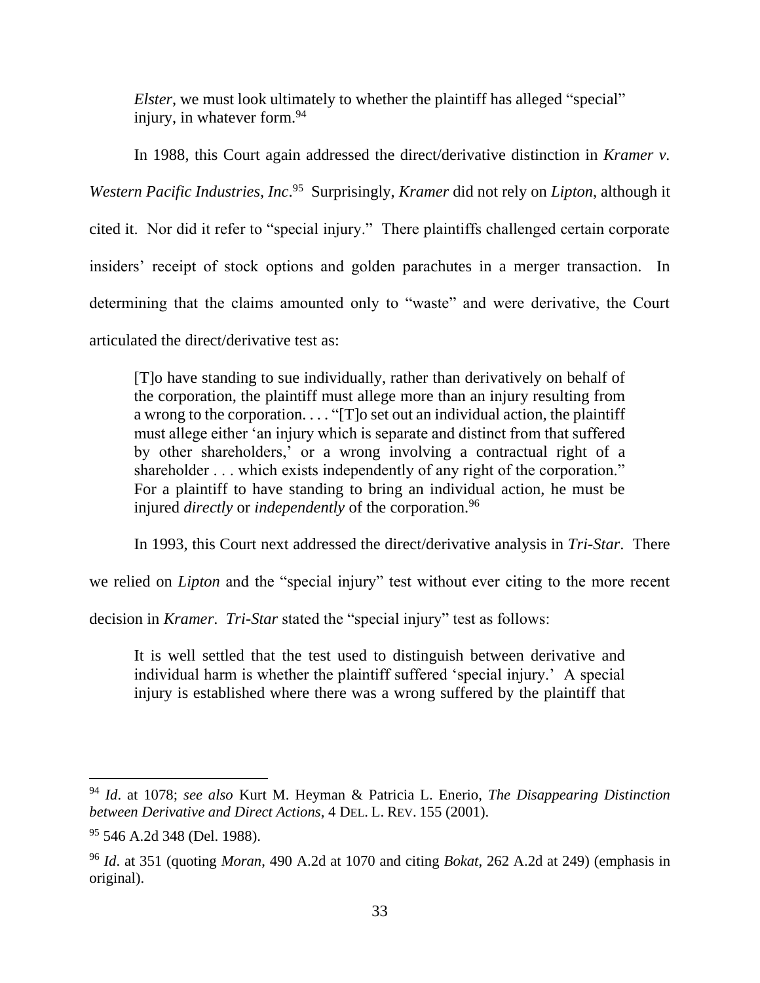*Elster*, we must look ultimately to whether the plaintiff has alleged "special" injury, in whatever form.<sup>94</sup>

In 1988, this Court again addressed the direct/derivative distinction in *Kramer v. Western Pacific Industries, Inc*. 95 Surprisingly, *Kramer* did not rely on *Lipton*, although it cited it. Nor did it refer to "special injury." There plaintiffs challenged certain corporate insiders' receipt of stock options and golden parachutes in a merger transaction. In determining that the claims amounted only to "waste" and were derivative, the Court articulated the direct/derivative test as:

[T]o have standing to sue individually, rather than derivatively on behalf of the corporation, the plaintiff must allege more than an injury resulting from a wrong to the corporation. . . . "[T]o set out an individual action, the plaintiff must allege either 'an injury which is separate and distinct from that suffered by other shareholders,' or a wrong involving a contractual right of a shareholder . . . which exists independently of any right of the corporation." For a plaintiff to have standing to bring an individual action, he must be injured *directly* or *independently* of the corporation.<sup>96</sup>

In 1993, this Court next addressed the direct/derivative analysis in *Tri-Star*. There

we relied on *Lipton* and the "special injury" test without ever citing to the more recent

decision in *Kramer*. *Tri-Star* stated the "special injury" test as follows:

It is well settled that the test used to distinguish between derivative and individual harm is whether the plaintiff suffered 'special injury.' A special injury is established where there was a wrong suffered by the plaintiff that

<sup>94</sup> *Id*. at 1078; *see also* Kurt M. Heyman & Patricia L. Enerio, *The Disappearing Distinction between Derivative and Direct Actions*, 4 DEL. L. REV. 155 (2001).

 $95$  546 A.2d 348 (Del. 1988).

<sup>96</sup> *Id*. at 351 (quoting *Moran*, 490 A.2d at 1070 and citing *Bokat*, 262 A.2d at 249) (emphasis in original).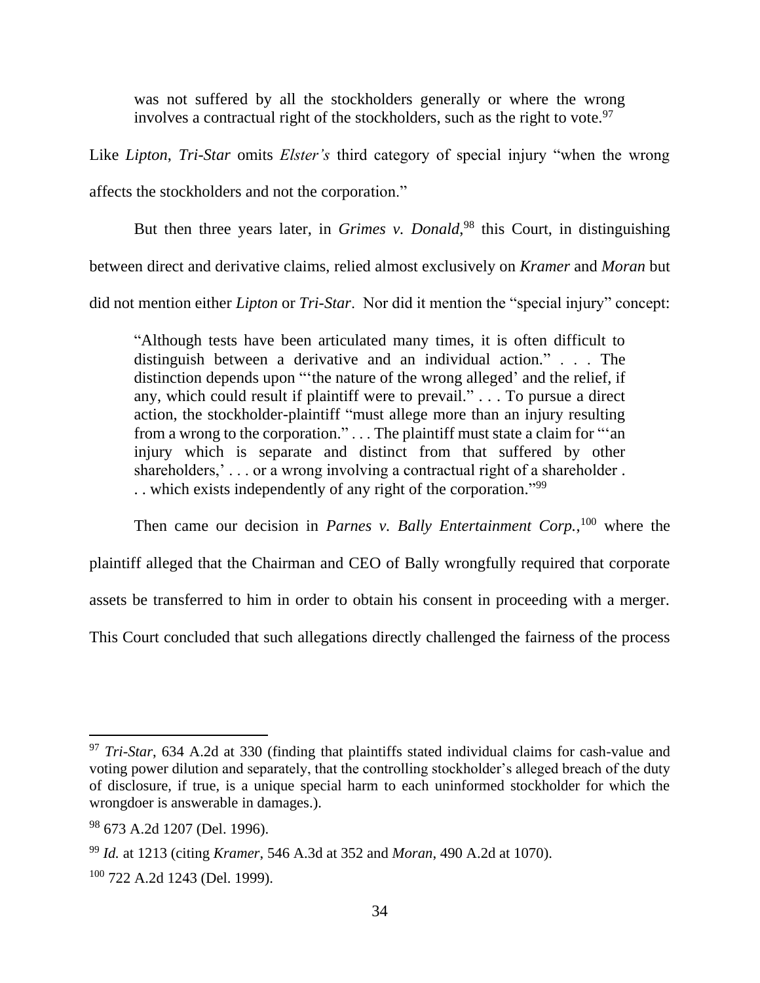was not suffered by all the stockholders generally or where the wrong involves a contractual right of the stockholders, such as the right to vote.<sup>97</sup>

Like *Lipton*, *Tri-Star* omits *Elster's* third category of special injury "when the wrong affects the stockholders and not the corporation."

But then three years later, in *Grimes v. Donald*, <sup>98</sup> this Court, in distinguishing

between direct and derivative claims, relied almost exclusively on *Kramer* and *Moran* but

did not mention either *Lipton* or *Tri-Star*. Nor did it mention the "special injury" concept:

"Although tests have been articulated many times, it is often difficult to distinguish between a derivative and an individual action." . . . The distinction depends upon "'the nature of the wrong alleged' and the relief, if any, which could result if plaintiff were to prevail." . . . To pursue a direct action, the stockholder-plaintiff "must allege more than an injury resulting from a wrong to the corporation." . . . The plaintiff must state a claim for "'an injury which is separate and distinct from that suffered by other shareholders,'... or a wrong involving a contractual right of a shareholder. .. which exists independently of any right of the corporation."<sup>99</sup>

Then came our decision in *Parnes v. Bally Entertainment Corp.*,<sup>100</sup> where the

plaintiff alleged that the Chairman and CEO of Bally wrongfully required that corporate

assets be transferred to him in order to obtain his consent in proceeding with a merger.

This Court concluded that such allegations directly challenged the fairness of the process

<sup>97</sup> *Tri-Star*, 634 A.2d at 330 (finding that plaintiffs stated individual claims for cash-value and voting power dilution and separately, that the controlling stockholder's alleged breach of the duty of disclosure, if true, is a unique special harm to each uninformed stockholder for which the wrongdoer is answerable in damages.).

<sup>98</sup> 673 A.2d 1207 (Del. 1996).

<sup>99</sup> *Id.* at 1213 (citing *Kramer*, 546 A.3d at 352 and *Moran*, 490 A.2d at 1070).

 $100$  722 A.2d 1243 (Del. 1999).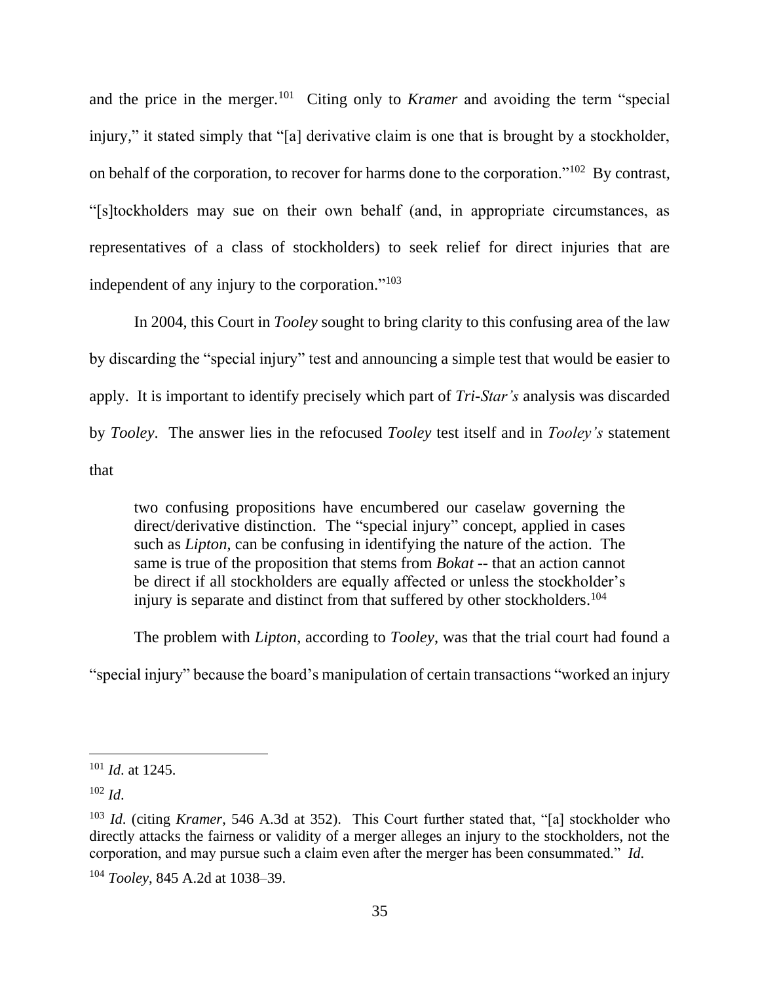and the price in the merger.<sup>101</sup> Citing only to *Kramer* and avoiding the term "special injury," it stated simply that "[a] derivative claim is one that is brought by a stockholder, on behalf of the corporation, to recover for harms done to the corporation."<sup>102</sup> By contrast, "[s]tockholders may sue on their own behalf (and, in appropriate circumstances, as representatives of a class of stockholders) to seek relief for direct injuries that are independent of any injury to the corporation."<sup>103</sup>

In 2004, this Court in *Tooley* sought to bring clarity to this confusing area of the law by discarding the "special injury" test and announcing a simple test that would be easier to apply. It is important to identify precisely which part of *Tri-Star's* analysis was discarded by *Tooley*. The answer lies in the refocused *Tooley* test itself and in *Tooley's* statement that

two confusing propositions have encumbered our caselaw governing the direct/derivative distinction. The "special injury" concept, applied in cases such as *Lipton*, can be confusing in identifying the nature of the action. The same is true of the proposition that stems from *Bokat* -- that an action cannot be direct if all stockholders are equally affected or unless the stockholder's injury is separate and distinct from that suffered by other stockholders.<sup>104</sup>

The problem with *Lipton*, according to *Tooley*, was that the trial court had found a

"special injury" because the board's manipulation of certain transactions "worked an injury

<sup>101</sup> *Id*. at 1245.

 $102$  *Id.* 

<sup>103</sup> *Id*. (citing *Kramer*, 546 A.3d at 352). This Court further stated that, "[a] stockholder who directly attacks the fairness or validity of a merger alleges an injury to the stockholders, not the corporation, and may pursue such a claim even after the merger has been consummated." *Id*.

<sup>104</sup> *Tooley*, 845 A.2d at 1038–39.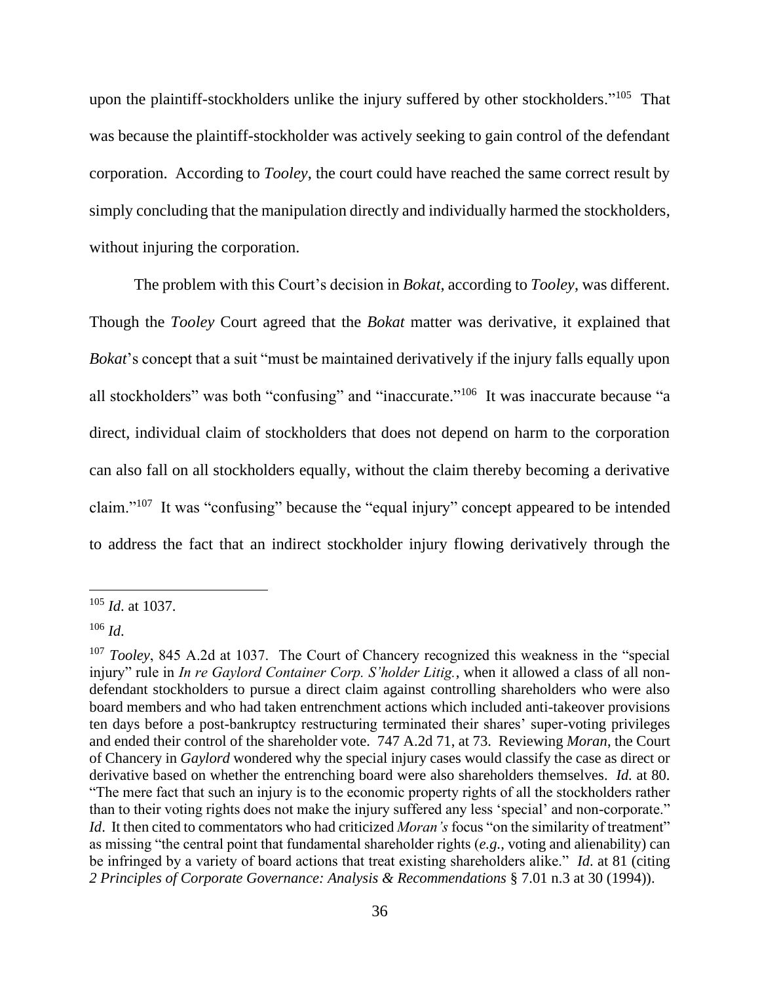upon the plaintiff-stockholders unlike the injury suffered by other stockholders."<sup>105</sup> That was because the plaintiff-stockholder was actively seeking to gain control of the defendant corporation. According to *Tooley*, the court could have reached the same correct result by simply concluding that the manipulation directly and individually harmed the stockholders, without injuring the corporation.

The problem with this Court's decision in *Bokat*, according to *Tooley*, was different. Though the *Tooley* Court agreed that the *Bokat* matter was derivative, it explained that *Bokat*'s concept that a suit "must be maintained derivatively if the injury falls equally upon all stockholders" was both "confusing" and "inaccurate."<sup>106</sup> It was inaccurate because "a direct, individual claim of stockholders that does not depend on harm to the corporation can also fall on all stockholders equally, without the claim thereby becoming a derivative claim."<sup>107</sup> It was "confusing" because the "equal injury" concept appeared to be intended to address the fact that an indirect stockholder injury flowing derivatively through the

<sup>105</sup> *Id*. at 1037.

<sup>106</sup> *Id*.

<sup>&</sup>lt;sup>107</sup> *Tooley*, 845 A.2d at 1037. The Court of Chancery recognized this weakness in the "special" injury" rule in *In re Gaylord Container Corp. S'holder Litig.*, when it allowed a class of all nondefendant stockholders to pursue a direct claim against controlling shareholders who were also board members and who had taken entrenchment actions which included anti-takeover provisions ten days before a post-bankruptcy restructuring terminated their shares' super-voting privileges and ended their control of the shareholder vote. 747 A.2d 71, at 73. Reviewing *Moran*, the Court of Chancery in *Gaylord* wondered why the special injury cases would classify the case as direct or derivative based on whether the entrenching board were also shareholders themselves. *Id.* at 80. "The mere fact that such an injury is to the economic property rights of all the stockholders rather than to their voting rights does not make the injury suffered any less 'special' and non-corporate." *Id.* It then cited to commentators who had criticized *Moran's* focus "on the similarity of treatment" as missing "the central point that fundamental shareholder rights (*e.g.,* voting and alienability) can be infringed by a variety of board actions that treat existing shareholders alike." *Id*. at 81 (citing *2 Principles of Corporate Governance: Analysis & Recommendations* § 7.01 n.3 at 30 (1994)).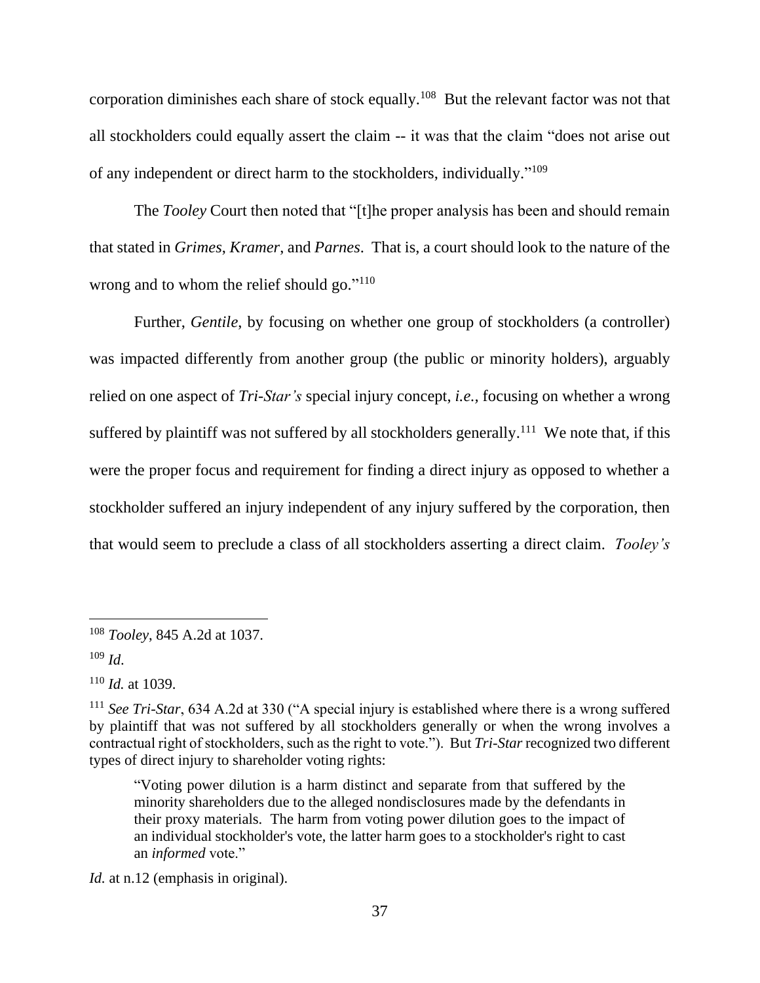corporation diminishes each share of stock equally.<sup>108</sup> But the relevant factor was not that all stockholders could equally assert the claim -- it was that the claim "does not arise out of any independent or direct harm to the stockholders, individually."<sup>109</sup>

The *Tooley* Court then noted that "[t]he proper analysis has been and should remain that stated in *Grimes*, *Kramer*, and *Parnes*. That is, a court should look to the nature of the wrong and to whom the relief should go."<sup>110</sup>

Further, *Gentile*, by focusing on whether one group of stockholders (a controller) was impacted differently from another group (the public or minority holders), arguably relied on one aspect of *Tri-Star's* special injury concept, *i.e.,* focusing on whether a wrong suffered by plaintiff was not suffered by all stockholders generally.<sup>111</sup> We note that, if this were the proper focus and requirement for finding a direct injury as opposed to whether a stockholder suffered an injury independent of any injury suffered by the corporation, then that would seem to preclude a class of all stockholders asserting a direct claim. *Tooley's*

<sup>109</sup> *Id*.

<sup>110</sup> *Id.* at 1039.

*Id.* at n.12 (emphasis in original).

<sup>108</sup> *Tooley*, 845 A.2d at 1037.

<sup>111</sup> *See Tri-Star*, 634 A.2d at 330 ("A special injury is established where there is a wrong suffered by plaintiff that was not suffered by all stockholders generally or when the wrong involves a contractual right of stockholders, such as the right to vote."). But *Tri-Star* recognized two different types of direct injury to shareholder voting rights:

<sup>&</sup>quot;Voting power dilution is a harm distinct and separate from that suffered by the minority shareholders due to the alleged nondisclosures made by the defendants in their proxy materials. The harm from voting power dilution goes to the impact of an individual stockholder's vote, the latter harm goes to a stockholder's right to cast an *informed* vote."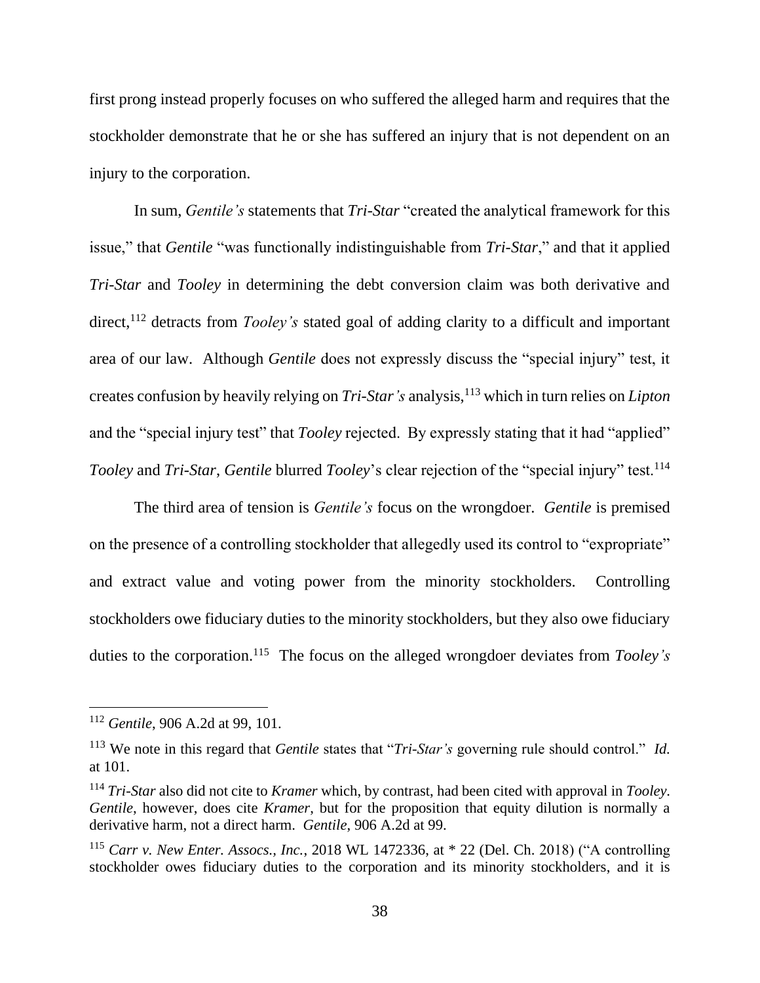first prong instead properly focuses on who suffered the alleged harm and requires that the stockholder demonstrate that he or she has suffered an injury that is not dependent on an injury to the corporation.

In sum, *Gentile's* statements that *Tri-Star* "created the analytical framework for this issue," that *Gentile* "was functionally indistinguishable from *Tri-Star*," and that it applied *Tri-Star* and *Tooley* in determining the debt conversion claim was both derivative and direct,<sup>112</sup> detracts from *Tooley's* stated goal of adding clarity to a difficult and important area of our law. Although *Gentile* does not expressly discuss the "special injury" test, it creates confusion by heavily relying on *Tri-Star's* analysis, <sup>113</sup> which in turn relies on *Lipton*  and the "special injury test" that *Tooley* rejected. By expressly stating that it had "applied" *Tooley* and *Tri-Star, Gentile* blurred *Tooley*'s clear rejection of the "special injury" test.<sup>114</sup>

The third area of tension is *Gentile's* focus on the wrongdoer. *Gentile* is premised on the presence of a controlling stockholder that allegedly used its control to "expropriate" and extract value and voting power from the minority stockholders. Controlling stockholders owe fiduciary duties to the minority stockholders, but they also owe fiduciary duties to the corporation.<sup>115</sup> The focus on the alleged wrongdoer deviates from *Tooley's* 

<sup>112</sup> *Gentile*, 906 A.2d at 99, 101.

<sup>113</sup> We note in this regard that *Gentile* states that "*Tri-Star's* governing rule should control." *Id.* at 101.

<sup>114</sup> *Tri-Star* also did not cite to *Kramer* which, by contrast, had been cited with approval in *Tooley*. *Gentile*, however, does cite *Kramer*, but for the proposition that equity dilution is normally a derivative harm, not a direct harm. *Gentile*, 906 A.2d at 99.

<sup>115</sup> *Carr v. New Enter. Assocs., Inc.*, 2018 WL 1472336, at \* 22 (Del. Ch. 2018) ("A controlling stockholder owes fiduciary duties to the corporation and its minority stockholders, and it is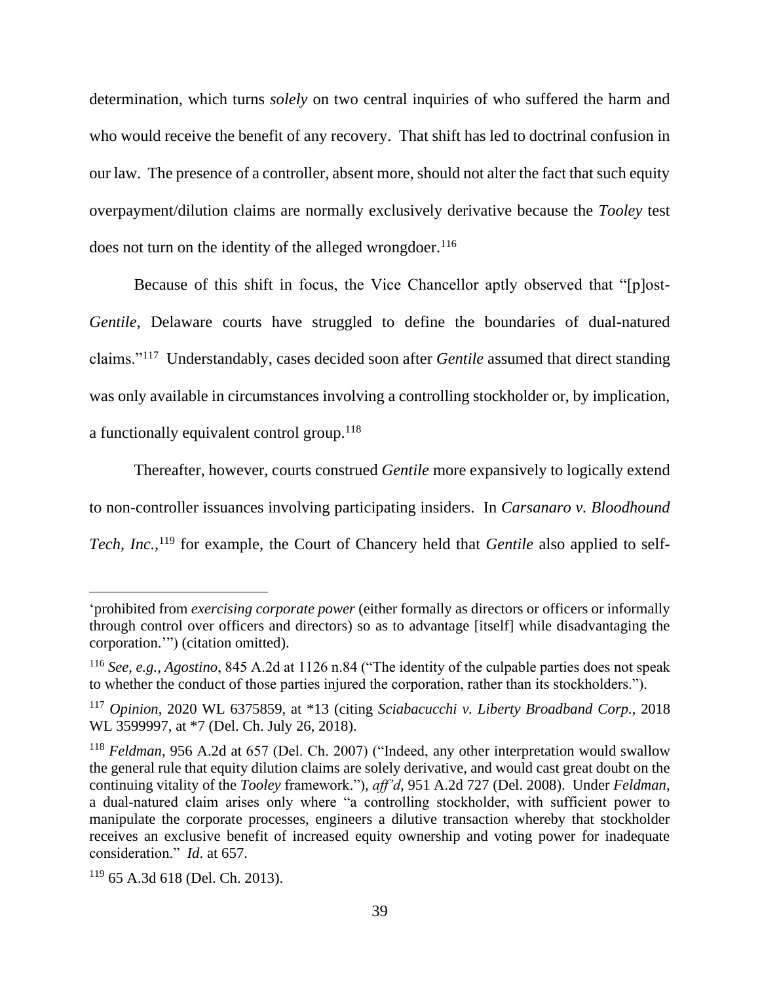determination, which turns *solely* on two central inquiries of who suffered the harm and who would receive the benefit of any recovery. That shift has led to doctrinal confusion in our law. The presence of a controller, absent more, should not alter the fact that such equity overpayment/dilution claims are normally exclusively derivative because the *Tooley* test does not turn on the identity of the alleged wrongdoer.<sup>116</sup>

Because of this shift in focus, the Vice Chancellor aptly observed that "[p]ost-*Gentile*, Delaware courts have struggled to define the boundaries of dual-natured claims."<sup>117</sup> Understandably, cases decided soon after *Gentile* assumed that direct standing was only available in circumstances involving a controlling stockholder or, by implication, a functionally equivalent control group.<sup>118</sup>

Thereafter, however, courts construed *Gentile* more expansively to logically extend to non-controller issuances involving participating insiders. In *Carsanaro v. Bloodhound*  Tech, Inc.,<sup>119</sup> for example, the Court of Chancery held that *Gentile* also applied to self-

<sup>&#</sup>x27;prohibited from *exercising corporate power* (either formally as directors or officers or informally through control over officers and directors) so as to advantage [itself] while disadvantaging the corporation.'") (citation omitted).

<sup>116</sup> *See, e.g., Agostino*, 845 A.2d at 1126 n.84 ("The identity of the culpable parties does not speak to whether the conduct of those parties injured the corporation, rather than its stockholders.").

<sup>117</sup> *Opinion*, 2020 WL 6375859, at \*13 (citing *Sciabacucchi v. Liberty Broadband Corp.*, 2018 WL 3599997, at \*7 (Del. Ch. July 26, 2018).

<sup>118</sup> *Feldman*, 956 A.2d at 657 (Del. Ch. 2007) ("Indeed, any other interpretation would swallow the general rule that equity dilution claims are solely derivative, and would cast great doubt on the continuing vitality of the *Tooley* framework."), *aff'd*, 951 A.2d 727 (Del. 2008). Under *Feldman*, a dual-natured claim arises only where "a controlling stockholder, with sufficient power to manipulate the corporate processes, engineers a dilutive transaction whereby that stockholder receives an exclusive benefit of increased equity ownership and voting power for inadequate consideration." *Id*. at 657.

 $119$  65 A.3d 618 (Del. Ch. 2013).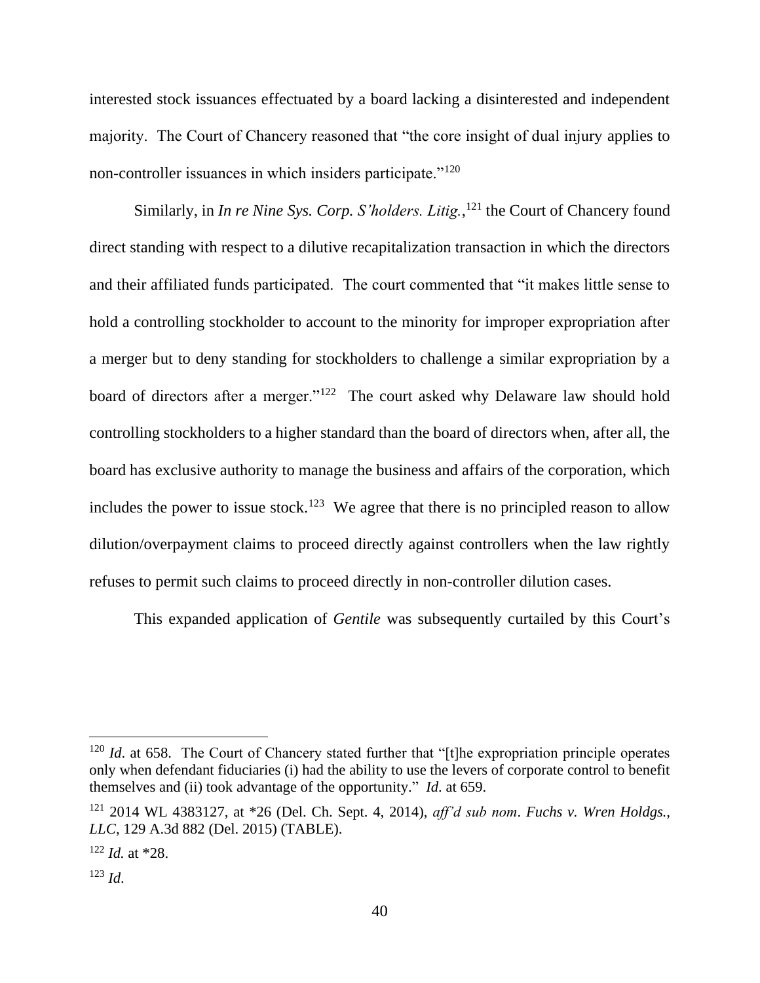interested stock issuances effectuated by a board lacking a disinterested and independent majority. The Court of Chancery reasoned that "the core insight of dual injury applies to non-controller issuances in which insiders participate."<sup>120</sup>

Similarly, in *In re Nine Sys. Corp. S'holders. Litig.*, <sup>121</sup> the Court of Chancery found direct standing with respect to a dilutive recapitalization transaction in which the directors and their affiliated funds participated. The court commented that "it makes little sense to hold a controlling stockholder to account to the minority for improper expropriation after a merger but to deny standing for stockholders to challenge a similar expropriation by a board of directors after a merger."<sup>122</sup> The court asked why Delaware law should hold controlling stockholders to a higher standard than the board of directors when, after all, the board has exclusive authority to manage the business and affairs of the corporation, which includes the power to issue stock.<sup>123</sup> We agree that there is no principled reason to allow dilution/overpayment claims to proceed directly against controllers when the law rightly refuses to permit such claims to proceed directly in non-controller dilution cases.

This expanded application of *Gentile* was subsequently curtailed by this Court's

<sup>&</sup>lt;sup>120</sup> *Id.* at 658. The Court of Chancery stated further that "[t]he expropriation principle operates only when defendant fiduciaries (i) had the ability to use the levers of corporate control to benefit themselves and (ii) took advantage of the opportunity." *Id*. at 659.

<sup>121</sup> 2014 WL 4383127, at \*26 (Del. Ch. Sept. 4, 2014), *aff'd sub nom*. *Fuchs v. Wren Holdgs., LLC*, 129 A.3d 882 (Del. 2015) (TABLE).

 $122$  *Id.* at \*28.

<sup>123</sup> *Id*.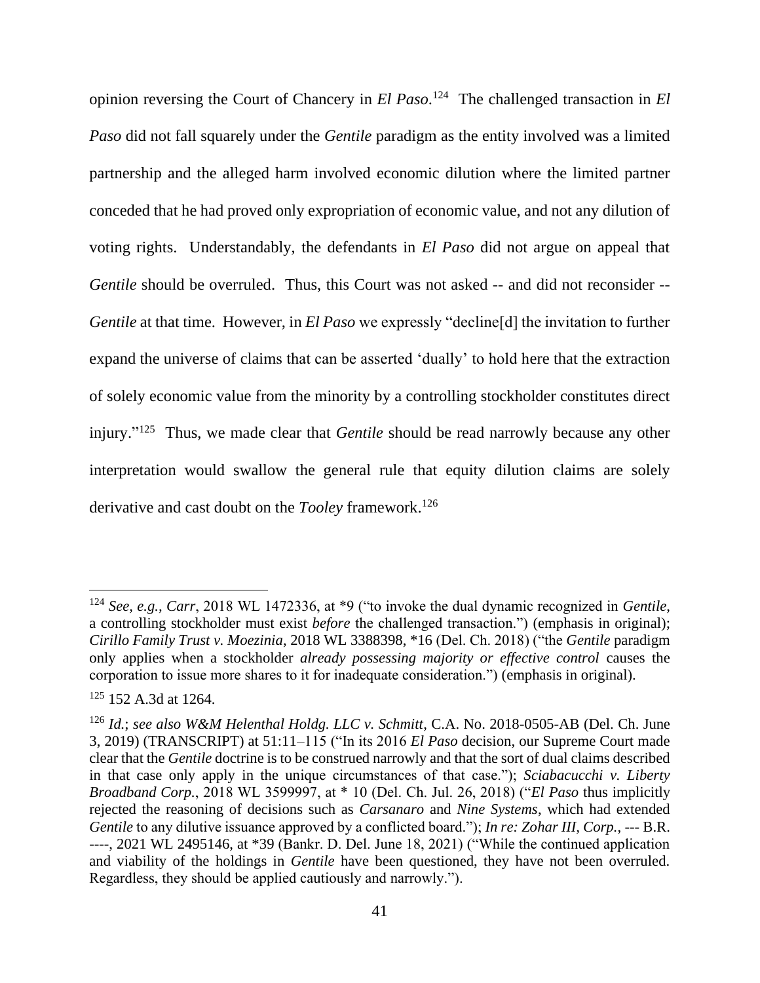opinion reversing the Court of Chancery in *El Paso*. <sup>124</sup> The challenged transaction in *El Paso* did not fall squarely under the *Gentile* paradigm as the entity involved was a limited partnership and the alleged harm involved economic dilution where the limited partner conceded that he had proved only expropriation of economic value, and not any dilution of voting rights. Understandably, the defendants in *El Paso* did not argue on appeal that *Gentile* should be overruled. Thus, this Court was not asked -- and did not reconsider -- *Gentile* at that time. However, in *El Paso* we expressly "decline[d] the invitation to further expand the universe of claims that can be asserted 'dually' to hold here that the extraction of solely economic value from the minority by a controlling stockholder constitutes direct injury." 125 Thus, we made clear that *Gentile* should be read narrowly because any other interpretation would swallow the general rule that equity dilution claims are solely derivative and cast doubt on the *Tooley* framework.<sup>126</sup>

<sup>124</sup> *See, e.g., Carr*, 2018 WL 1472336, at \*9 ("to invoke the dual dynamic recognized in *Gentile*, a controlling stockholder must exist *before* the challenged transaction.") (emphasis in original); *Cirillo Family Trust v. Moezinia*, 2018 WL 3388398, \*16 (Del. Ch. 2018) ("the *Gentile* paradigm only applies when a stockholder *already possessing majority or effective control* causes the corporation to issue more shares to it for inadequate consideration.") (emphasis in original).

<sup>125</sup> 152 A.3d at 1264.

<sup>126</sup> *Id.*; *see also W&M Helenthal Holdg. LLC v. Schmitt*, C.A. No. 2018-0505-AB (Del. Ch. June 3, 2019) (TRANSCRIPT) at 51:11–115 ("In its 2016 *El Paso* decision, our Supreme Court made clear that the *Gentile* doctrine is to be construed narrowly and that the sort of dual claims described in that case only apply in the unique circumstances of that case."); *Sciabacucchi v. Liberty Broadband Corp.*, 2018 WL 3599997, at \* 10 (Del. Ch. Jul. 26, 2018) ("*El Paso* thus implicitly rejected the reasoning of decisions such as *Carsanaro* and *Nine Systems*, which had extended *Gentile* to any dilutive issuance approved by a conflicted board."); *In re: Zohar III, Corp.*, --- B.R. ----, 2021 WL 2495146, at \*39 (Bankr. D. Del. June 18, 2021) ("While the continued application and viability of the holdings in *Gentile* have been questioned, they have not been overruled. Regardless, they should be applied cautiously and narrowly.").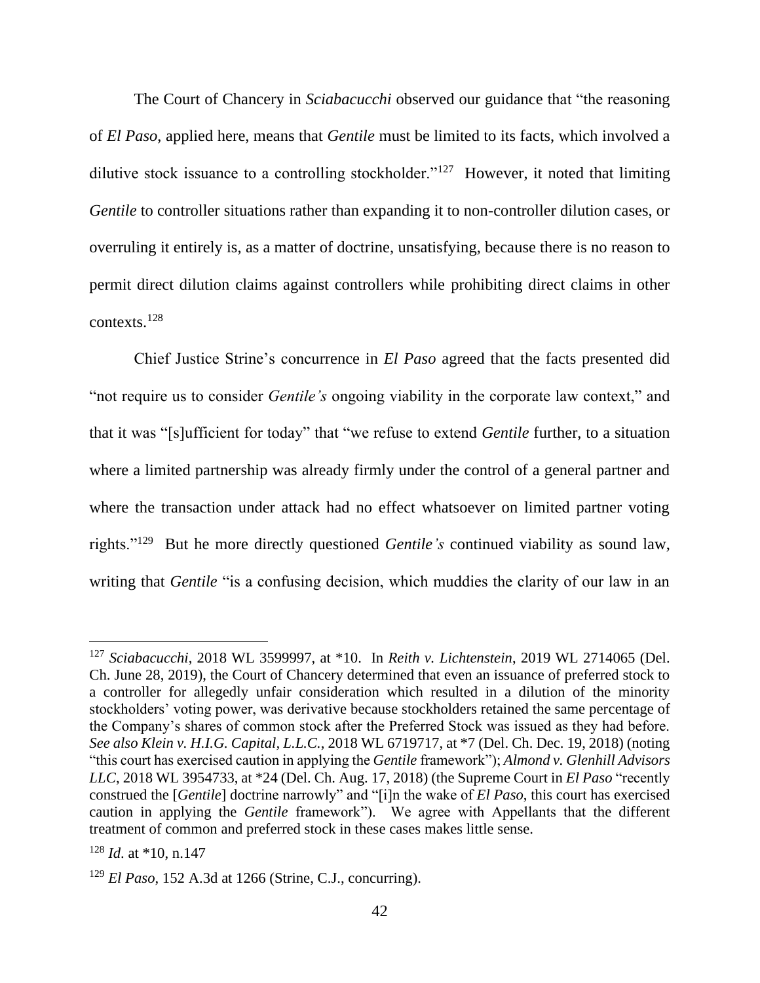The Court of Chancery in *Sciabacucchi* observed our guidance that "the reasoning of *El Paso*, applied here, means that *Gentile* must be limited to its facts, which involved a dilutive stock issuance to a controlling stockholder."<sup>127</sup> However, it noted that limiting *Gentile* to controller situations rather than expanding it to non-controller dilution cases, or overruling it entirely is, as a matter of doctrine, unsatisfying, because there is no reason to permit direct dilution claims against controllers while prohibiting direct claims in other contexts.<sup>128</sup>

Chief Justice Strine's concurrence in *El Paso* agreed that the facts presented did "not require us to consider *Gentile's* ongoing viability in the corporate law context," and that it was "[s]ufficient for today" that "we refuse to extend *Gentile* further, to a situation where a limited partnership was already firmly under the control of a general partner and where the transaction under attack had no effect whatsoever on limited partner voting rights."<sup>129</sup> But he more directly questioned *Gentile's* continued viability as sound law, writing that *Gentile* "is a confusing decision, which muddies the clarity of our law in an

<sup>127</sup> *Sciabacucchi*, 2018 WL 3599997, at \*10. In *Reith v. Lichtenstein*, 2019 WL 2714065 (Del. Ch. June 28, 2019), the Court of Chancery determined that even an issuance of preferred stock to a controller for allegedly unfair consideration which resulted in a dilution of the minority stockholders' voting power, was derivative because stockholders retained the same percentage of the Company's shares of common stock after the Preferred Stock was issued as they had before. *See also Klein v. H.I.G. Capital, L.L.C.*, 2018 WL 6719717, at \*7 (Del. Ch. Dec. 19, 2018) (noting "this court has exercised caution in applying the *Gentile* framework"); *Almond v. Glenhill Advisors LLC*, 2018 WL 3954733, at \*24 (Del. Ch. Aug. 17, 2018) (the Supreme Court in *El Paso* "recently construed the [*Gentile*] doctrine narrowly" and "[i]n the wake of *El Paso*, this court has exercised caution in applying the *Gentile* framework"). We agree with Appellants that the different treatment of common and preferred stock in these cases makes little sense.

<sup>128</sup> *Id*. at \*10, n.147

<sup>129</sup> *El Paso*, 152 A.3d at 1266 (Strine, C.J., concurring).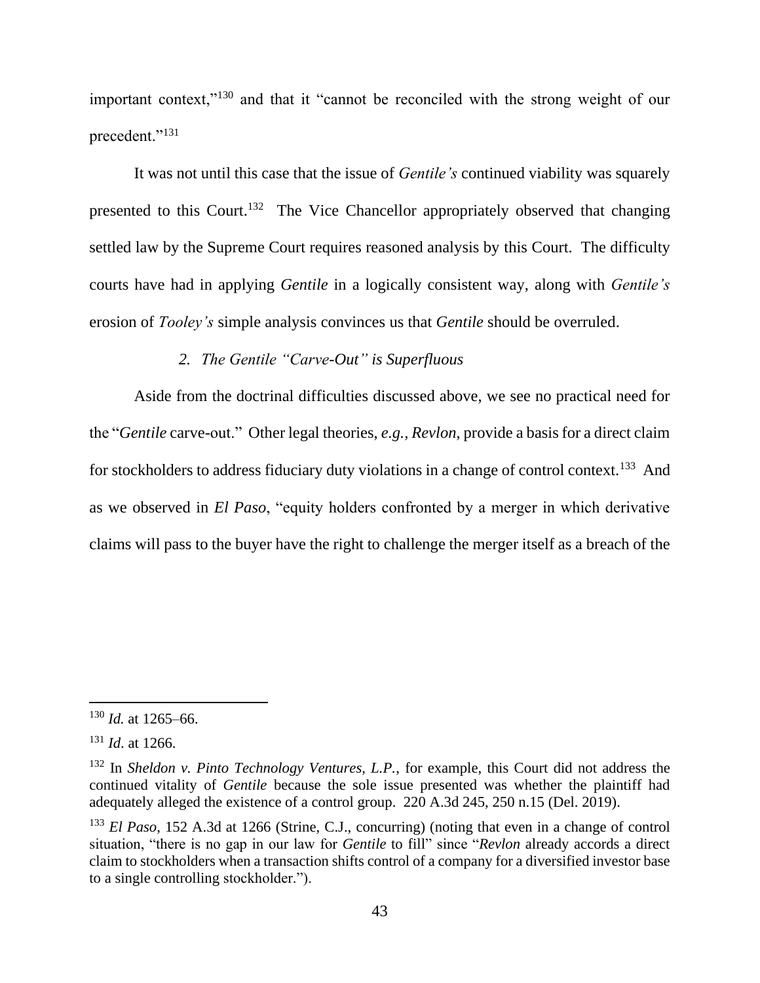important context,"<sup>130</sup> and that it "cannot be reconciled with the strong weight of our precedent."<sup>131</sup>

It was not until this case that the issue of *Gentile's* continued viability was squarely presented to this Court.<sup>132</sup> The Vice Chancellor appropriately observed that changing settled law by the Supreme Court requires reasoned analysis by this Court. The difficulty courts have had in applying *Gentile* in a logically consistent way, along with *Gentile's* erosion of *Tooley's* simple analysis convinces us that *Gentile* should be overruled.

## *2. The Gentile "Carve-Out" is Superfluous*

Aside from the doctrinal difficulties discussed above, we see no practical need for the "*Gentile* carve-out." Other legal theories, *e.g., Revlon*, provide a basis for a direct claim for stockholders to address fiduciary duty violations in a change of control context.<sup>133</sup> And as we observed in *El Paso*, "equity holders confronted by a merger in which derivative claims will pass to the buyer have the right to challenge the merger itself as a breach of the

<sup>130</sup> *Id.* at 1265–66.

<sup>131</sup> *Id*. at 1266.

<sup>132</sup> In *Sheldon v. Pinto Technology Ventures, L.P.*, for example, this Court did not address the continued vitality of *Gentile* because the sole issue presented was whether the plaintiff had adequately alleged the existence of a control group. 220 A.3d 245, 250 n.15 (Del. 2019).

<sup>133</sup> *El Paso*, 152 A.3d at 1266 (Strine, C.J., concurring) (noting that even in a change of control situation, "there is no gap in our law for *Gentile* to fill" since "*Revlon* already accords a direct claim to stockholders when a transaction shifts control of a company for a diversified investor base to a single controlling stockholder.").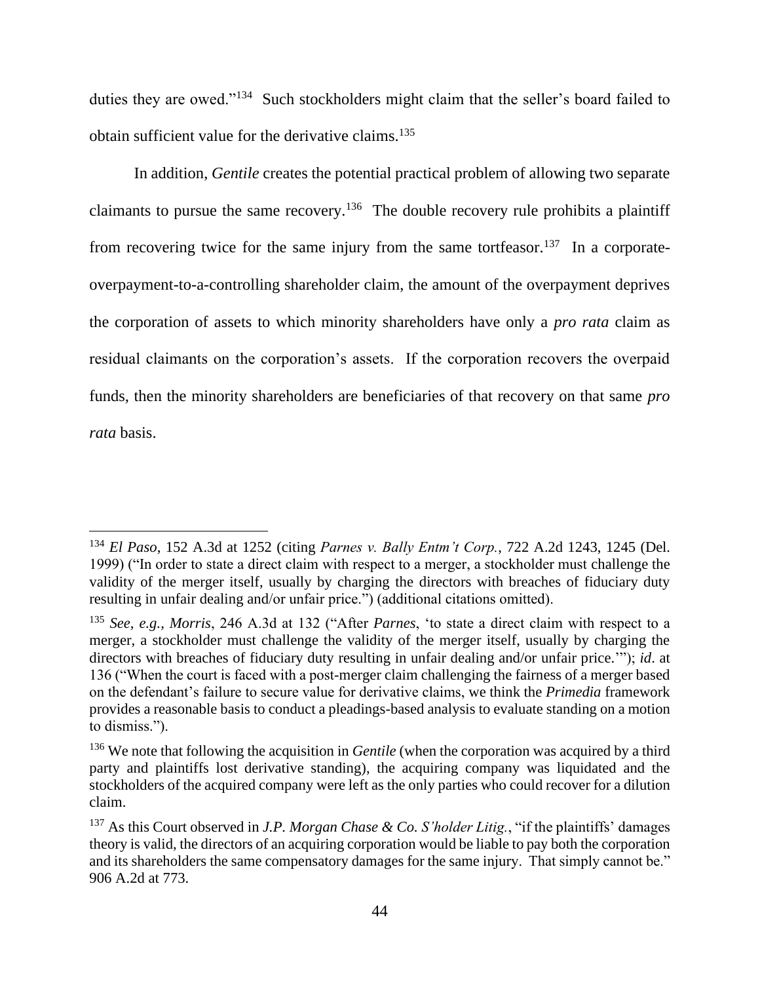duties they are owed."<sup>134</sup> Such stockholders might claim that the seller's board failed to obtain sufficient value for the derivative claims.<sup>135</sup>

In addition, *Gentile* creates the potential practical problem of allowing two separate claimants to pursue the same recovery.<sup>136</sup> The double recovery rule prohibits a plaintiff from recovering twice for the same injury from the same tortfeasor.<sup>137</sup> In a corporateoverpayment-to-a-controlling shareholder claim, the amount of the overpayment deprives the corporation of assets to which minority shareholders have only a *pro rata* claim as residual claimants on the corporation's assets. If the corporation recovers the overpaid funds, then the minority shareholders are beneficiaries of that recovery on that same *pro rata* basis.

<sup>134</sup> *El Paso*, 152 A.3d at 1252 (citing *Parnes v. Bally Entm't Corp.*, 722 A.2d 1243, 1245 (Del. 1999) ("In order to state a direct claim with respect to a merger, a stockholder must challenge the validity of the merger itself, usually by charging the directors with breaches of fiduciary duty resulting in unfair dealing and/or unfair price.") (additional citations omitted).

<sup>135</sup> *See, e.g., Morris*, 246 A.3d at 132 ("After *Parnes*, 'to state a direct claim with respect to a merger, a stockholder must challenge the validity of the merger itself, usually by charging the directors with breaches of fiduciary duty resulting in unfair dealing and/or unfair price.'"); *id*. at 136 ("When the court is faced with a post-merger claim challenging the fairness of a merger based on the defendant's failure to secure value for derivative claims, we think the *Primedia* framework provides a reasonable basis to conduct a pleadings-based analysis to evaluate standing on a motion to dismiss.").

<sup>&</sup>lt;sup>136</sup> We note that following the acquisition in *Gentile* (when the corporation was acquired by a third party and plaintiffs lost derivative standing), the acquiring company was liquidated and the stockholders of the acquired company were left as the only parties who could recover for a dilution claim.

<sup>137</sup> As this Court observed in *J.P. Morgan Chase & Co. S'holder Litig.*, "if the plaintiffs' damages theory is valid, the directors of an acquiring corporation would be liable to pay both the corporation and its shareholders the same compensatory damages for the same injury. That simply cannot be." 906 A.2d at 773.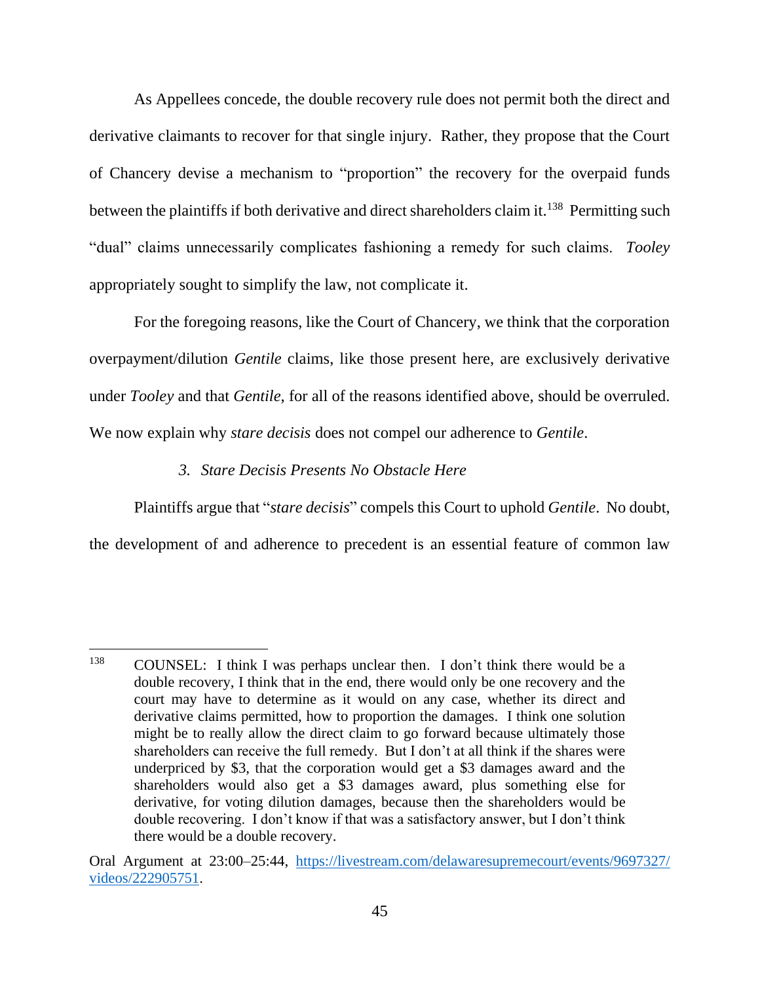As Appellees concede, the double recovery rule does not permit both the direct and derivative claimants to recover for that single injury. Rather, they propose that the Court of Chancery devise a mechanism to "proportion" the recovery for the overpaid funds between the plaintiffs if both derivative and direct shareholders claim it.<sup>138</sup> Permitting such "dual" claims unnecessarily complicates fashioning a remedy for such claims. *Tooley* appropriately sought to simplify the law, not complicate it.

For the foregoing reasons, like the Court of Chancery, we think that the corporation overpayment/dilution *Gentile* claims, like those present here, are exclusively derivative under *Tooley* and that *Gentile*, for all of the reasons identified above, should be overruled. We now explain why *stare decisis* does not compel our adherence to *Gentile*.

## *3. Stare Decisis Presents No Obstacle Here*

Plaintiffs argue that "*stare decisis*" compels this Court to uphold *Gentile*. No doubt, the development of and adherence to precedent is an essential feature of common law

<sup>138</sup> COUNSEL: I think I was perhaps unclear then. I don't think there would be a double recovery, I think that in the end, there would only be one recovery and the court may have to determine as it would on any case, whether its direct and derivative claims permitted, how to proportion the damages. I think one solution might be to really allow the direct claim to go forward because ultimately those shareholders can receive the full remedy. But I don't at all think if the shares were underpriced by \$3, that the corporation would get a \$3 damages award and the shareholders would also get a \$3 damages award, plus something else for derivative, for voting dilution damages, because then the shareholders would be double recovering. I don't know if that was a satisfactory answer, but I don't think there would be a double recovery.

Oral Argument at 23:00–25:44, [https://livestream.com/delawaresupremecourt/events/9697327/](https://livestream.com/delawaresupremecourt/events/9697327/videos/222905751) [videos/222905751.](https://livestream.com/delawaresupremecourt/events/9697327/videos/222905751)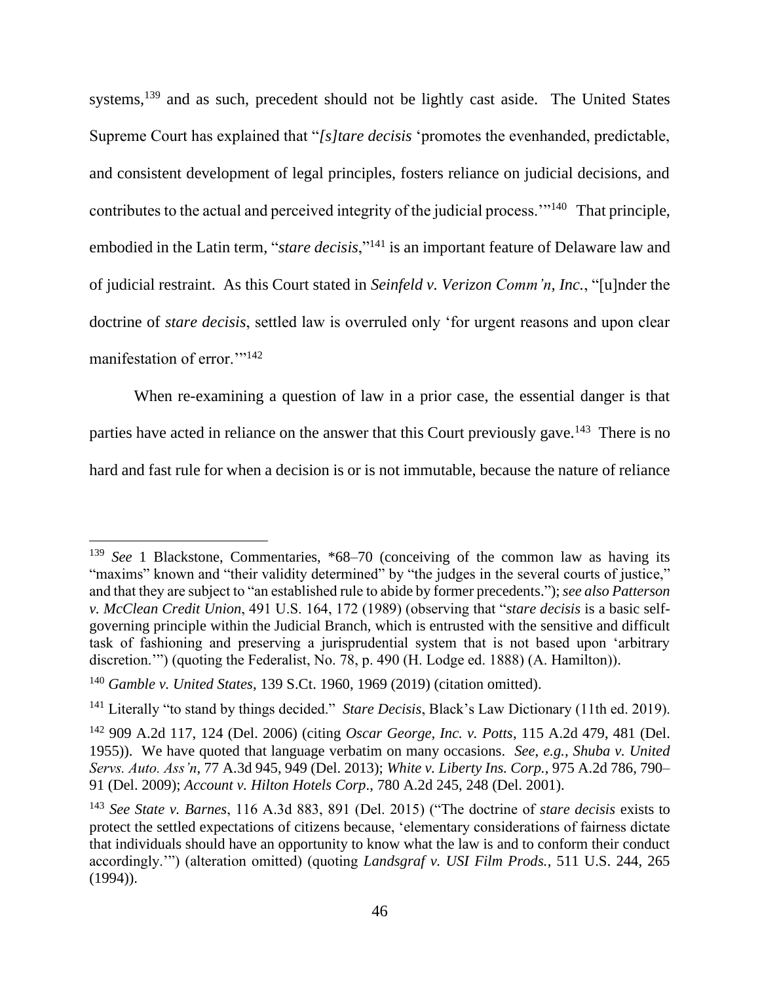systems,<sup>139</sup> and as such, precedent should not be lightly cast aside. The United States Supreme Court has explained that "*[s]tare decisis* 'promotes the evenhanded, predictable, and consistent development of legal principles, fosters reliance on judicial decisions, and contributes to the actual and perceived integrity of the judicial process."<sup>140</sup> That principle, embodied in the Latin term, "*stare decisis*,"<sup>141</sup> is an important feature of Delaware law and of judicial restraint. As this Court stated in *Seinfeld v. Verizon Comm'n, Inc.*, "[u]nder the doctrine of *stare decisis*, settled law is overruled only 'for urgent reasons and upon clear manifestation of error."<sup>142</sup>

When re-examining a question of law in a prior case, the essential danger is that

parties have acted in reliance on the answer that this Court previously gave.<sup>143</sup> There is no

hard and fast rule for when a decision is or is not immutable, because the nature of reliance

<sup>&</sup>lt;sup>139</sup> *See* 1 Blackstone, Commentaries, \*68–70 (conceiving of the common law as having its "maxims" known and "their validity determined" by "the judges in the several courts of justice," and that they are subject to "an established rule to abide by former precedents."); *see also Patterson v. McClean Credit Union*, 491 U.S. 164, 172 (1989) (observing that "*stare decisis* is a basic selfgoverning principle within the Judicial Branch, which is entrusted with the sensitive and difficult task of fashioning and preserving a jurisprudential system that is not based upon 'arbitrary discretion."") (quoting the Federalist, No. 78, p. 490 (H. Lodge ed. 1888) (A. Hamilton)).

<sup>140</sup> *Gamble v. United States*, 139 S.Ct. 1960, 1969 (2019) (citation omitted).

<sup>141</sup> Literally "to stand by things decided." *Stare Decisis*, Black's Law Dictionary (11th ed. 2019).

<sup>142</sup> 909 A.2d 117, 124 (Del. 2006) (citing *Oscar George, Inc. v. Potts*, 115 A.2d 479, 481 (Del. 1955)). We have quoted that language verbatim on many occasions. *See*, *e.g., Shuba v. United Servs. Auto. Ass'n*, 77 A.3d 945, 949 (Del. 2013); *White v. Liberty Ins. Corp.*, 975 A.2d 786, 790– 91 (Del. 2009); *Account v. Hilton Hotels Corp*., 780 A.2d 245, 248 (Del. 2001).

<sup>143</sup> *See State v. Barnes*, 116 A.3d 883, 891 (Del. 2015) ("The doctrine of *stare decisis* exists to protect the settled expectations of citizens because, 'elementary considerations of fairness dictate that individuals should have an opportunity to know what the law is and to conform their conduct accordingly.'") (alteration omitted) (quoting *Landsgraf v. USI Film Prods.*, 511 U.S. 244, 265 (1994)).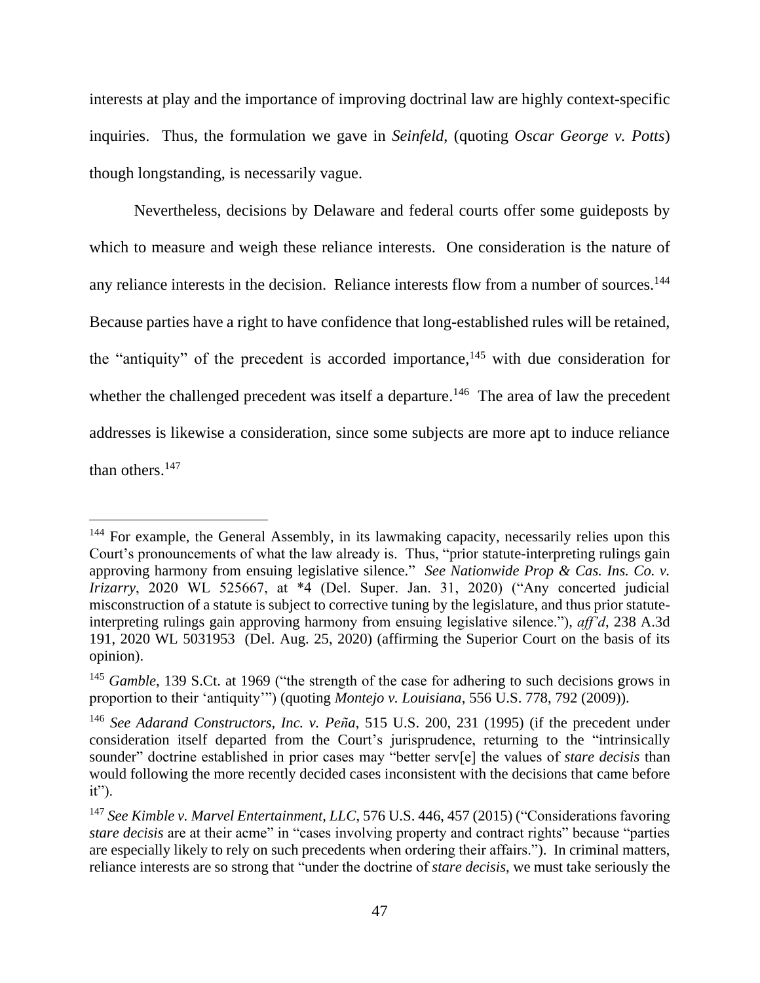interests at play and the importance of improving doctrinal law are highly context-specific inquiries. Thus, the formulation we gave in *Seinfeld*, (quoting *Oscar George v. Potts*) though longstanding, is necessarily vague.

Nevertheless, decisions by Delaware and federal courts offer some guideposts by which to measure and weigh these reliance interests. One consideration is the nature of any reliance interests in the decision. Reliance interests flow from a number of sources.<sup>144</sup> Because parties have a right to have confidence that long-established rules will be retained, the "antiquity" of the precedent is accorded importance,  $145$  with due consideration for whether the challenged precedent was itself a departure.<sup>146</sup> The area of law the precedent addresses is likewise a consideration, since some subjects are more apt to induce reliance than others.<sup>147</sup>

<sup>&</sup>lt;sup>144</sup> For example, the General Assembly, in its lawmaking capacity, necessarily relies upon this Court's pronouncements of what the law already is. Thus, "prior statute-interpreting rulings gain approving harmony from ensuing legislative silence." *See Nationwide Prop & Cas. Ins. Co. v. Irizarry*, 2020 WL 525667, at \*4 (Del. Super. Jan. 31, 2020) ("Any concerted judicial misconstruction of a statute is subject to corrective tuning by the legislature, and thus prior statuteinterpreting rulings gain approving harmony from ensuing legislative silence."), *aff'd,* 238 A.3d 191, 2020 WL 5031953 (Del. Aug. 25, 2020) (affirming the Superior Court on the basis of its opinion).

<sup>&</sup>lt;sup>145</sup> *Gamble*, 139 S.Ct. at 1969 ("the strength of the case for adhering to such decisions grows in proportion to their 'antiquity'") (quoting *Montejo v. Louisiana*, 556 U.S. 778, 792 (2009)).

<sup>146</sup> *See Adarand Constructors, Inc. v. Peña*, 515 U.S. 200, 231 (1995) (if the precedent under consideration itself departed from the Court's jurisprudence, returning to the "intrinsically sounder" doctrine established in prior cases may "better serv[e] the values of *stare decisis* than would following the more recently decided cases inconsistent with the decisions that came before  $it$ ").

<sup>147</sup> *See Kimble v. Marvel Entertainment, LLC*, 576 U.S. 446, 457 (2015) ("Considerations favoring *stare decisis* are at their acme" in "cases involving property and contract rights" because "parties are especially likely to rely on such precedents when ordering their affairs."). In criminal matters, reliance interests are so strong that "under the doctrine of *stare decisis*, we must take seriously the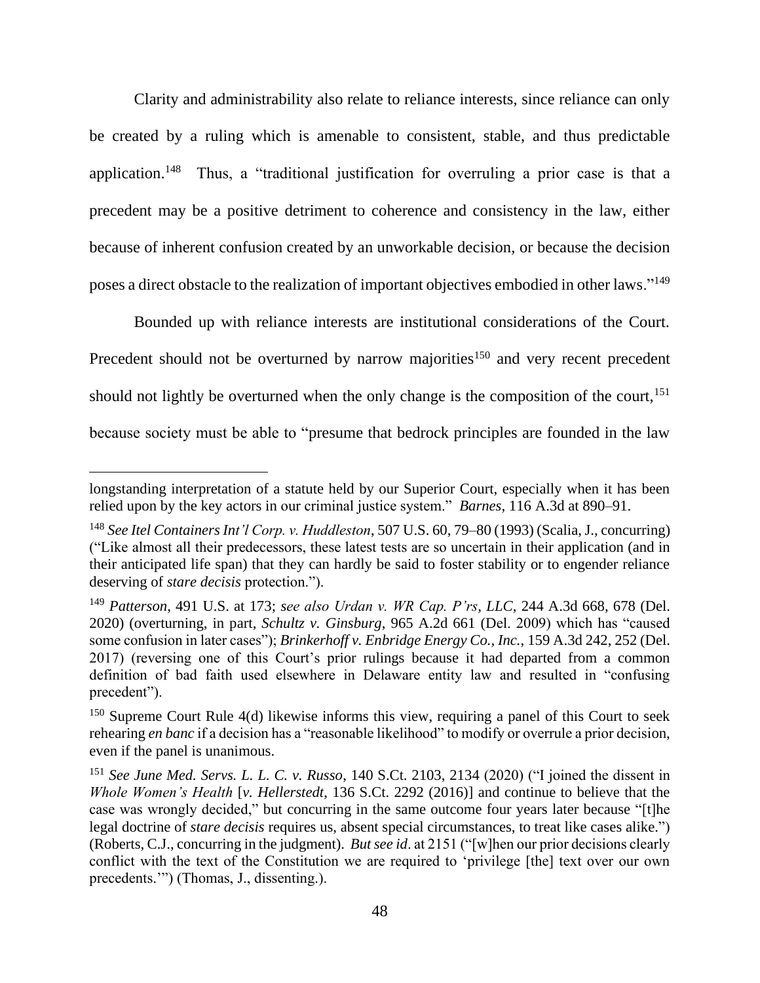Clarity and administrability also relate to reliance interests, since reliance can only be created by a ruling which is amenable to consistent, stable, and thus predictable application.<sup>148</sup> Thus, a "traditional justification for overruling a prior case is that a precedent may be a positive detriment to coherence and consistency in the law, either because of inherent confusion created by an unworkable decision, or because the decision poses a direct obstacle to the realization of important objectives embodied in other laws."<sup>149</sup>

Bounded up with reliance interests are institutional considerations of the Court. Precedent should not be overturned by narrow majorities<sup>150</sup> and very recent precedent should not lightly be overturned when the only change is the composition of the court,  $151$ because society must be able to "presume that bedrock principles are founded in the law

longstanding interpretation of a statute held by our Superior Court, especially when it has been relied upon by the key actors in our criminal justice system." *Barnes*, 116 A.3d at 890–91.

<sup>148</sup> *See Itel Containers Int'l Corp. v. Huddleston*, 507 U.S. 60, 79–80 (1993) (Scalia, J., concurring) ("Like almost all their predecessors, these latest tests are so uncertain in their application (and in their anticipated life span) that they can hardly be said to foster stability or to engender reliance deserving of *stare decisis* protection.").

<sup>149</sup> *Patterson*, 491 U.S. at 173; *see also Urdan v. WR Cap. P'rs, LLC*, 244 A.3d 668, 678 (Del. 2020) (overturning, in part, *Schultz v. Ginsburg*, 965 A.2d 661 (Del. 2009) which has "caused some confusion in later cases"); *Brinkerhoff v. Enbridge Energy Co., Inc.*, 159 A.3d 242, 252 (Del. 2017) (reversing one of this Court's prior rulings because it had departed from a common definition of bad faith used elsewhere in Delaware entity law and resulted in "confusing precedent").

 $150$  Supreme Court Rule 4(d) likewise informs this view, requiring a panel of this Court to seek rehearing *en banc* if a decision has a "reasonable likelihood" to modify or overrule a prior decision, even if the panel is unanimous.

<sup>151</sup> *See June Med. Servs. L. L. C. v. Russo*, 140 S.Ct. 2103, 2134 (2020) ("I joined the dissent in *Whole Women's Health* [*v. Hellerstedt*, 136 S.Ct. 2292 (2016)] and continue to believe that the case was wrongly decided," but concurring in the same outcome four years later because "[t]he legal doctrine of *stare decisis* requires us, absent special circumstances, to treat like cases alike.") (Roberts, C.J., concurring in the judgment). *But see id*. at 2151 ("[w]hen our prior decisions clearly conflict with the text of the Constitution we are required to 'privilege [the] text over our own precedents."") (Thomas, J., dissenting.).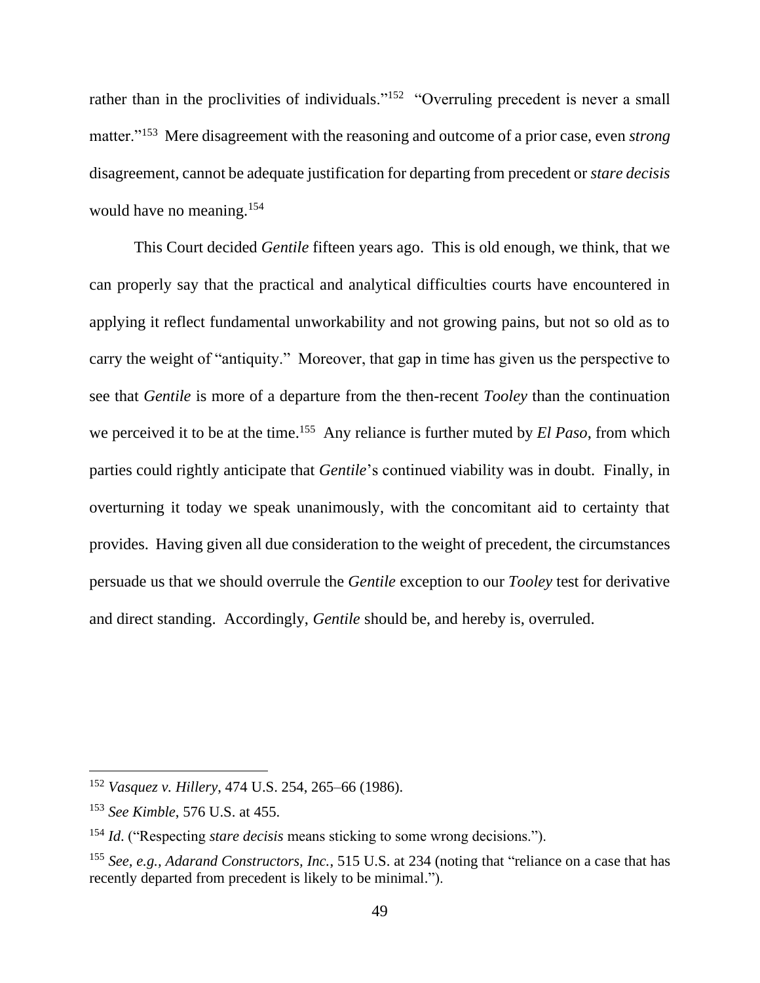rather than in the proclivities of individuals."<sup>152</sup> "Overruling precedent is never a small matter."<sup>153</sup> Mere disagreement with the reasoning and outcome of a prior case, even *strong*  disagreement, cannot be adequate justification for departing from precedent or *stare decisis* would have no meaning.<sup>154</sup>

This Court decided *Gentile* fifteen years ago. This is old enough, we think, that we can properly say that the practical and analytical difficulties courts have encountered in applying it reflect fundamental unworkability and not growing pains, but not so old as to carry the weight of "antiquity." Moreover, that gap in time has given us the perspective to see that *Gentile* is more of a departure from the then-recent *Tooley* than the continuation we perceived it to be at the time.<sup>155</sup> Any reliance is further muted by *El Paso*, from which parties could rightly anticipate that *Gentile*'s continued viability was in doubt. Finally, in overturning it today we speak unanimously, with the concomitant aid to certainty that provides. Having given all due consideration to the weight of precedent, the circumstances persuade us that we should overrule the *Gentile* exception to our *Tooley* test for derivative and direct standing. Accordingly, *Gentile* should be, and hereby is, overruled.

<sup>152</sup> *Vasquez v. Hillery*, 474 U.S. 254, 265–66 (1986).

<sup>153</sup> *See Kimble*, 576 U.S. at 455.

<sup>154</sup> *Id*. ("Respecting *stare decisis* means sticking to some wrong decisions.").

<sup>155</sup> *See, e.g., Adarand Constructors, Inc.*, 515 U.S. at 234 (noting that "reliance on a case that has recently departed from precedent is likely to be minimal.").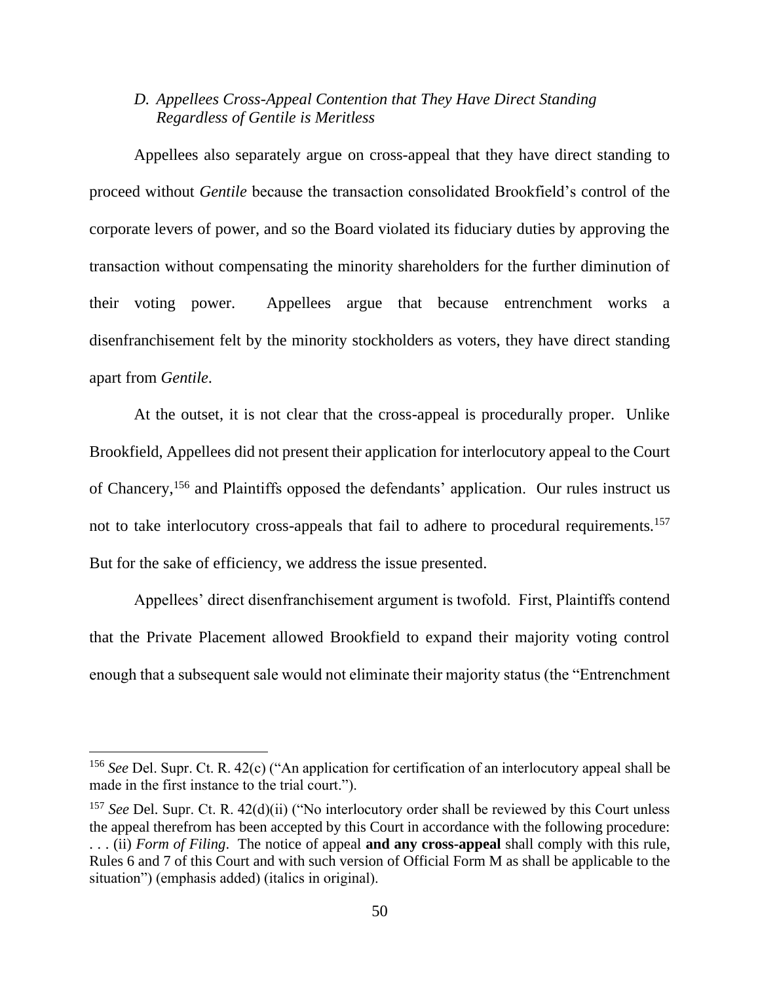## *D. Appellees Cross-Appeal Contention that They Have Direct Standing Regardless of Gentile is Meritless*

Appellees also separately argue on cross-appeal that they have direct standing to proceed without *Gentile* because the transaction consolidated Brookfield's control of the corporate levers of power, and so the Board violated its fiduciary duties by approving the transaction without compensating the minority shareholders for the further diminution of their voting power. Appellees argue that because entrenchment works a disenfranchisement felt by the minority stockholders as voters, they have direct standing apart from *Gentile*.

At the outset, it is not clear that the cross-appeal is procedurally proper. Unlike Brookfield, Appellees did not present their application for interlocutory appeal to the Court of Chancery,<sup>156</sup> and Plaintiffs opposed the defendants' application. Our rules instruct us not to take interlocutory cross-appeals that fail to adhere to procedural requirements.<sup>157</sup> But for the sake of efficiency, we address the issue presented.

Appellees' direct disenfranchisement argument is twofold. First, Plaintiffs contend that the Private Placement allowed Brookfield to expand their majority voting control enough that a subsequent sale would not eliminate their majority status (the "Entrenchment

<sup>156</sup> *See* Del. Supr. Ct. R. 42(c) ("An application for certification of an interlocutory appeal shall be made in the first instance to the trial court.").

<sup>157</sup> *See* Del. Supr. Ct. R. 42(d)(ii) ("No interlocutory order shall be reviewed by this Court unless the appeal therefrom has been accepted by this Court in accordance with the following procedure: . . . (ii) *Form of Filing*. The notice of appeal **and any cross-appeal** shall comply with this rule, Rules 6 and 7 of this Court and with such version of Official Form M as shall be applicable to the situation") (emphasis added) (italics in original).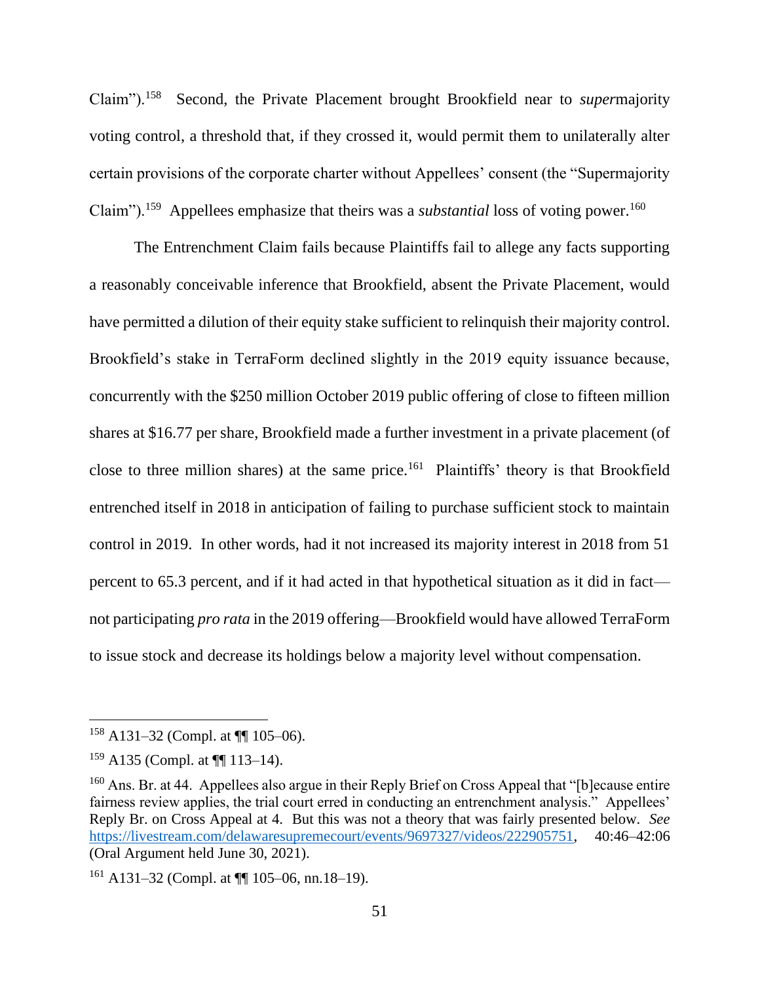Claim").<sup>158</sup> Second, the Private Placement brought Brookfield near to *super*majority voting control, a threshold that, if they crossed it, would permit them to unilaterally alter certain provisions of the corporate charter without Appellees' consent (the "Supermajority Claim").<sup>159</sup> Appellees emphasize that theirs was a *substantial* loss of voting power.<sup>160</sup>

The Entrenchment Claim fails because Plaintiffs fail to allege any facts supporting a reasonably conceivable inference that Brookfield, absent the Private Placement, would have permitted a dilution of their equity stake sufficient to relinquish their majority control. Brookfield's stake in TerraForm declined slightly in the 2019 equity issuance because, concurrently with the \$250 million October 2019 public offering of close to fifteen million shares at \$16.77 per share, Brookfield made a further investment in a private placement (of close to three million shares) at the same price.<sup>161</sup> Plaintiffs' theory is that Brookfield entrenched itself in 2018 in anticipation of failing to purchase sufficient stock to maintain control in 2019. In other words, had it not increased its majority interest in 2018 from 51 percent to 65.3 percent, and if it had acted in that hypothetical situation as it did in fact not participating *pro rata* in the 2019 offering—Brookfield would have allowed TerraForm to issue stock and decrease its holdings below a majority level without compensation.

 $158$  A131–32 (Compl. at  $\P$  105–06).

<sup>159</sup> A135 (Compl. at ¶¶ 113–14).

<sup>&</sup>lt;sup>160</sup> Ans. Br. at 44. Appellees also argue in their Reply Brief on Cross Appeal that "[b] ecause entire fairness review applies, the trial court erred in conducting an entrenchment analysis." Appellees' Reply Br. on Cross Appeal at 4. But this was not a theory that was fairly presented below. *See*  [https://livestream.com/delawaresupremecourt/events/9697327/videos/222905751,](https://livestream.com/delawaresupremecourt/events/9697327/videos/222905751) 40:46–42:06 (Oral Argument held June 30, 2021).

 $161$  A131–32 (Compl. at  $\P$  105–06, nn.18–19).